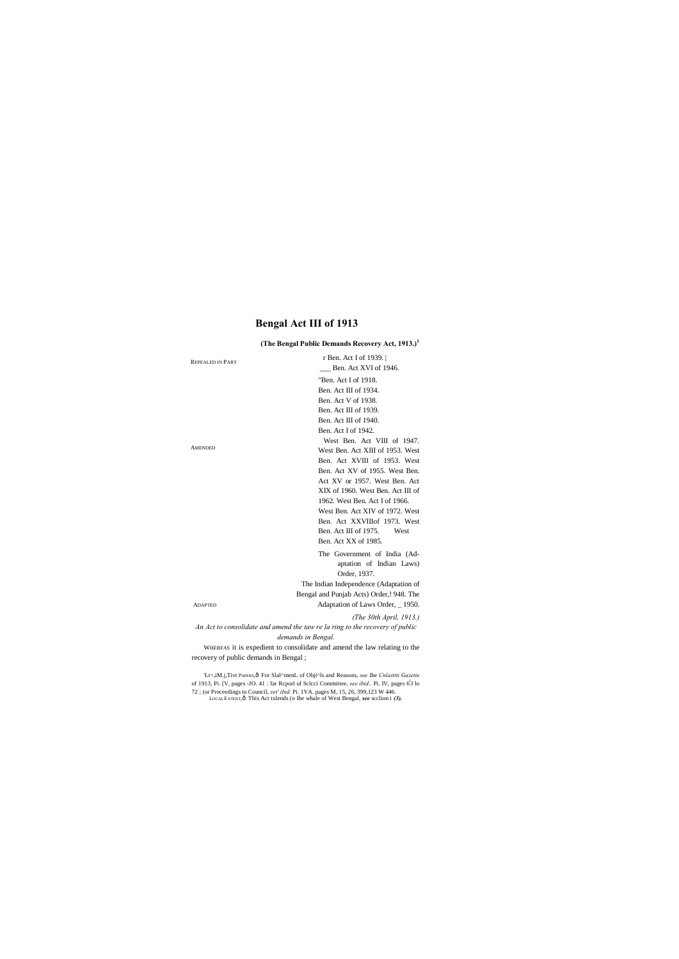# **Bengal Act III of 1913**

# **(The Bengal Public Demands Recovery Act, 1913.)<sup>1</sup>**

| <b>REPEALED IN PART</b>               | r Ben. Act I of 1939.                                                                   |
|---------------------------------------|-----------------------------------------------------------------------------------------|
|                                       | Ben. Act XVI of 1946.                                                                   |
|                                       | "Ben. Act I of 1918.                                                                    |
|                                       | Ben. Act III of 1934.                                                                   |
|                                       | Ben. Act V of 1938.                                                                     |
|                                       | Ben. Act III of 1939.                                                                   |
|                                       | Ben. Act III of 1940.                                                                   |
|                                       | Ben. Act I of 1942.                                                                     |
|                                       | West Ben. Act VIII of 1947.                                                             |
| <b>AMENDED</b>                        | West Ben. Act XIII of 1953. West                                                        |
|                                       | Ben. Act XVIII of 1953. West                                                            |
|                                       | Ben. Act XV of 1955. West Ben.                                                          |
|                                       | Act XV or 1957. West Ben. Act                                                           |
|                                       | XIX of 1960. West Ben. Act III of                                                       |
|                                       | 1962. West Ben. Act I of 1966.                                                          |
|                                       | West Ben. Act XIV of 1972. West                                                         |
|                                       | Ben. Act XXVIIIof 1973. West                                                            |
|                                       | Ben. Act III of 1975.<br>West                                                           |
|                                       | Ben. Act XX of 1985.                                                                    |
|                                       | The Government of India (Ad-                                                            |
|                                       | aptation of Indian Laws)                                                                |
|                                       | Order, 1937.                                                                            |
|                                       | The Indian Independence (Adaptation of                                                  |
|                                       | Bengal and Punjab Acts) Order, ! 948. The                                               |
| <b>ADAPTED</b>                        | Adaptation of Laws Order, 1950.                                                         |
|                                       | (The 30th April, $1913$ .)                                                              |
|                                       | An Act to consolidate and amend the taw re la ring to the recovery of public            |
|                                       | demands in Bengal.                                                                      |
|                                       | WHERFAS it is expedient to consolidate and amend the law relating to the                |
| recovery of public demands in Bengal; |                                                                                         |
|                                       | 'Lt<,iM.j,Tivt PAPERS,ô For Slal^menL of Objt^ls and Reasons, see Ihe Cnlaittti Gazette |

of 1913, Pi. [V, pages -JO. 41 : far Rcporl uf Sclcci Committee, *see ibid.*. Pi. IV, pages 6<sup>1</sup>J lo 72 ; (or Proceedings in Council, *set' ibid.* Pi. 1VA. pages M, 15, 26, 399,123 W 446. LOCAL EXTENT,—This Act txlends (o Ihe whale of West Bengal, *see* scclion 1 *(3).*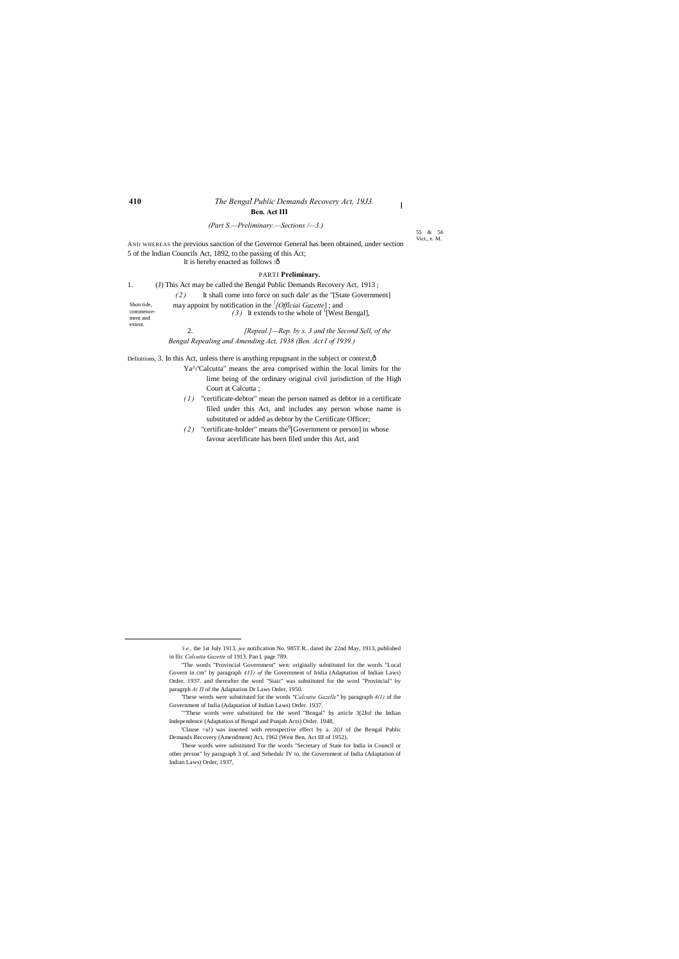55 & 56 Vict., e. M.

# **410** *The Bengal Public Demands Recovery Act, 19J3.* **. Ben. Act III**

AND WHEREAS the previous sanction of the Governor General has been obtained, under section 5 of the Indian Councils Act, 1892, to the passing of this Act; It is hereby enacted as follows :ô

**[**

*(Part S.—Preliminary.—Sections /—3.)*

### PARTI **Preliminary.**

| 1.                                             | (J) This Act may be called the Bengal Public Demands Recovery Act, 1913;                                                                     |
|------------------------------------------------|----------------------------------------------------------------------------------------------------------------------------------------------|
|                                                | It shall come into force on such dale' as the "[State Government]<br>(2)                                                                     |
| Shon tide,<br>commence-<br>ment and<br>extent. | may appoint by notification in the <i><sup>†</sup>[Official Gazette</i> ]; and<br>(3) It extends to the whole of <sup>†</sup> [West Bengal], |
|                                                | $[Repeat.]$ —Rep. by s. 3 and the Second Sell, of the<br>2.                                                                                  |

*Bengal Repealing and Amending Act, 1938 (Ben. Act I of 1939.)*

Definitions, 3. In this Act, unless there is anything repugnant in the subject or context, ô

- Ya^/'Calcutta" means the area comprised within the local limits for the lime being of the ordinary original civil jurisdiction of the High Court at Calcutta ;
- *( 1 )* "certificate-debtor" mean the person named as debtor in a certificate filed under this Act, and includes any person whose name is substituted or added as debtor by the Certificate Officer;
- $(2)$  "certificate-holder" means the<sup>fi</sup>[Government or person] in whose favour acerlificate has been filed under this Act, and

'Clause <u!) was inserted with retrospective effect by a. 2(iJ of (he Bengal Public Demands Recovery (Amendment) Act, 1962 (West Ben, Act III of 1952).

 $\overline{a}$ 

These words were substituted Tor the words "Secretary of State for India in Council or other person" by paragraph 3 of. and Sehedulc IV to. the Government of India (Adaptation of Indian Laws) Order, 1937,

<sup>&</sup>quot;The words "Provincial Government" wen: originally substituted for the words "Local Govern in cm" by paragraph *411) of* ihe Government of Iridia (Adaptation of Indian Laws) Order. 1937. and thereafter the word "Siaic'' was substituted for the word "Provincial" by paragrph *A( II* of the Adaptation Dr Laws Order, 1950.

*<sup>&#</sup>x27;i.e.,* the 1st July 1913, *jee* notification No. 985T.R.. dated ihc 22nd May, 1913, published in llic *Calcutta Gazette* of 1913. Pan I. page 789.

<sup>&#</sup>x27;These words were substituted for the words *"Calcutta Gazelle"* by paragraph *4(1)* of ihe Government of India (Adaptation of Indian Laws) Order. 1937.

<sup>&</sup>quot;"These words were substituted for the word "Bengal" by article 3(2Jof the Indian Independence (Adaptation of Bengal and Punjab Acts) Order. 1948,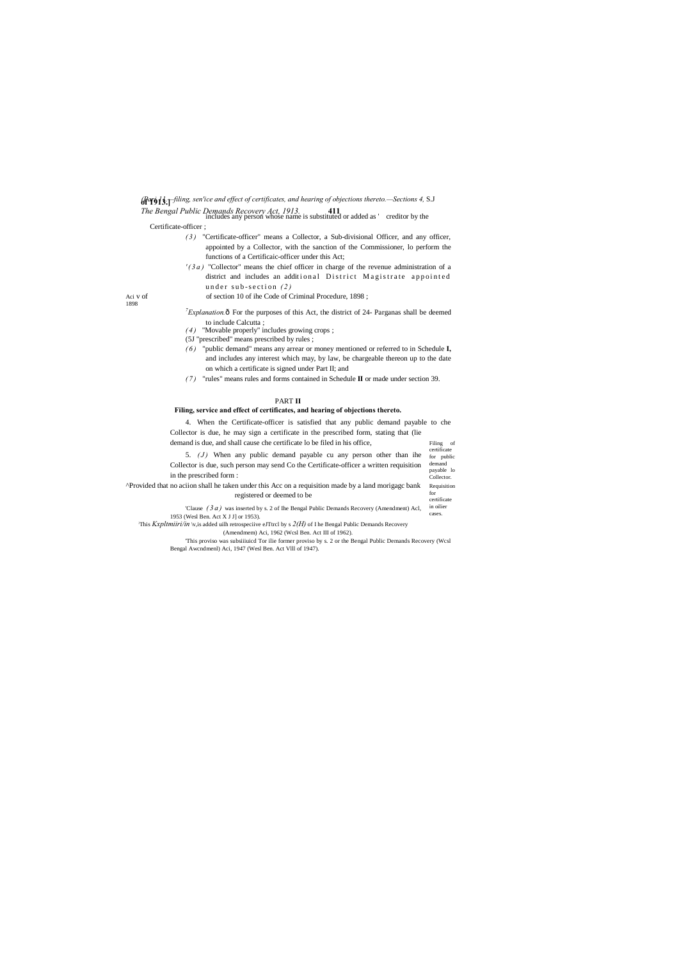| Filing      | οf |
|-------------|----|
| certificate |    |
| for public  |    |
| damand      |    |

**of 1913.]** *(Pari 11.—filing, sen'ice and effect of certificates, and hearing of objections thereto.—Sections 4,* S.J

*The Bengal Public Demands Recovery Act, 1913.* **411** includes any person whose name is substituted or added as ' creditor by the

- *( 3 )* "Certificate-officer" means a Collector, a Sub-divisional Officer, and any officer, appointed by a Collector, with the sanction of the Commissioner, lo perform the functions of a Certificaic-officer under this Act;
- *' ( 3 a )* "Collector" means the chief officer in charge of the revenue administration of a district and includes an additional District Magistrate appointed under sub-section (2)

Aci v of of section 10 of ihe Code of Criminal Procedure, 1898;

# Certificate-officer ;

- *Z Explanation*. $\hat{o}$  For the purposes of this Act, the district of 24- Parganas shall be deemed to include Calcutta ;
- *( 4 )* "Movable properly" includes growing crops ;
- (5J "prescribed" means prescribed by rules ;
- *( 6 )* "public demand" means any arrear or money mentioned or referred to in Schedule **I,** and includes any interest which may, by law, be chargeable thereon up to the date on which a certificate is signed under Part II; and
- *( 7 )* "rules" means rules and forms contained in Schedule **II** or made under section 39.

1898

demand payable lo **Collector** 5. *(J)* When any public demand payable cu any person other than ihe Collector is due, such person may send Co the Certificate-officer a written requisition in the prescribed form :

Requisition for certificate ^Provided that no aciion shall he taken under this Acc on a requisition made by a land morigagc bank registered or deemed to be

in oilier cases. 'Clause *( 3 a )* was inserted by s. 2 of Ihe Bengal Public Demands Recovery (Amendment) Acl, 1953 (Wesl Ben. Act X J J] or 1953).

This *Kxpltmiiri/in* \v,is added uilh retrospeciive eJTtrcl by s  $2(H)$  of I he Bengal Public Demands Recovery

### PART **II**

### **Filing, service and effect of certificates, and hearing of objections thereto.**

4. When the Certificate-officer is satisfied that any public demand payable to che Collector is due, he may sign a certificate in the prescribed form, stating that (lie demand is due, and shall cause che certificate lo be filed in his office,

(Amendmem) Aci, 1962 (Wcsl Ben. Act III of 1962).

'This proviso was subsiiiuicd Tor ilie former proviso by s. 2 or the Bengal Public Demands Recovery (Wcsl Bengal Awcndmenl) Aci, 1947 (Wesl Ben. Act Vlll of 1947).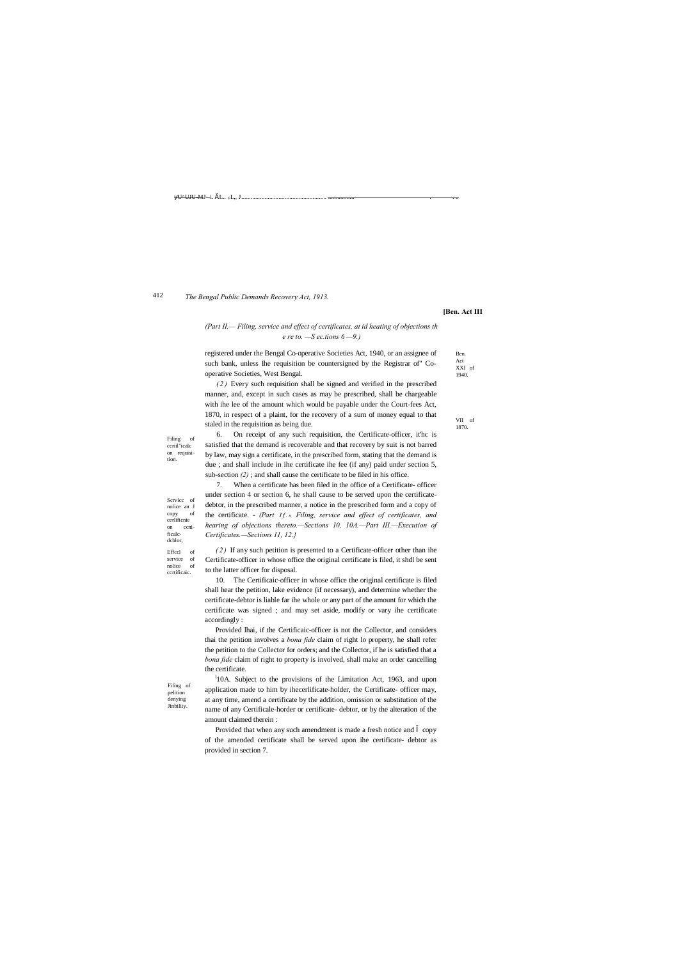Ben. Act XXI of 1940.

> VII of 1870.

Scrvice of nolice an J copy of cerlificnie on ccnificalcdcblor, Effccl of service of<br>nolice of nolice

Filing of ccriil"icalc on requisition.

Filing of pelition denying **Jinbiliiy** 

 $-U^{\Delta}UJU-MJ - i.$  š.L..  $vL_{\nu}$ , J....

#### 412 *The Bengal Public Demands Recovery Act, 1913.*

ccrtificaic.

### **[Ben. Act III**

# *(Part II.— Filing, service and effect of certificates, at id heating of objections th e re to. —S ec.tions 6 —9.)*

registered under the Bengal Co-operative Societies Act, 1940, or an assignee of such bank, unless Ihe requisition be countersigned by the Registrar of" Cooperative Societies, West Bengal.

*( 2 )* Every such requisition shall be signed and verified in the prescribed manner, and, except in such cases as may be prescribed, shall be chargeable with ihe lee of the amount which would be payable under the Court-fees Act, 1870, in respect of a plaint, for the recovery of a sum of money equal to that staled in the requisition as being due.

6. On receipt of any such requisition, the Certificate-officer, it'hc is satisfied that the demand is recoverable and that recovery by suit is not barred by law, may sign a certificate, in the prescribed form, stating that the demand is due ; and shall include in ihe certificate ihe fee (if any) paid under section 5, sub-section *(2)* ; and shall cause the certificate to be filed in his office.

<sup>1</sup>10A. Subject to the provisions of the Limitation Act, 1963, and upon application made to him by ihecerlificate-holder, the Certificate- officer may, at any time, amend a certificate by the addition, omission or substitution of the name of any Certificale-horder or certificate- debtor, or by the alteration of the amount claimed therein :

Provided that when any such amendment is made a fresh notice and copy of the amended certificate shall be served upon ihe certificate- debtor as provided in section 7.

7. When a certificate has been filed in the office of a Certificate- officer under section 4 or section 6, he shall cause to be served upon the certificatedebtor, in the prescribed manner, a notice in the prescribed form and a copy of the certificate. - *(Part If.* 6 Filing, service and effect of certificates, and *hearing of objections thereto.—Sections 10, 10A.—Part III.—Execution of Certificates.—Sections 11, 12.}*

*( 2 )* If any such petition is presented to a Certificate-officer other than ihe Certificate-officer in whose office the original certificate is filed, it shdl be sent to the latter officer for disposal.

10. The Certificaic-officer in whose office the original certificate is filed shall hear the petition, lake evidence (if necessary), and determine whether the certificate-debtor is liable far ihe whole or any part of the amount for which the certificate was signed ; and may set aside, modify or vary ihe certificate accordingly :

Provided lhai, if the Certificaic-officer is not the Collector, and considers thai the petition involves a *bona fide* claim of right lo property, he shall refer the petition to the Collector for orders; and the Collector, if he is satisfied that a *bona fide* claim of right to property is involved, shall make an order cancelling the certificate.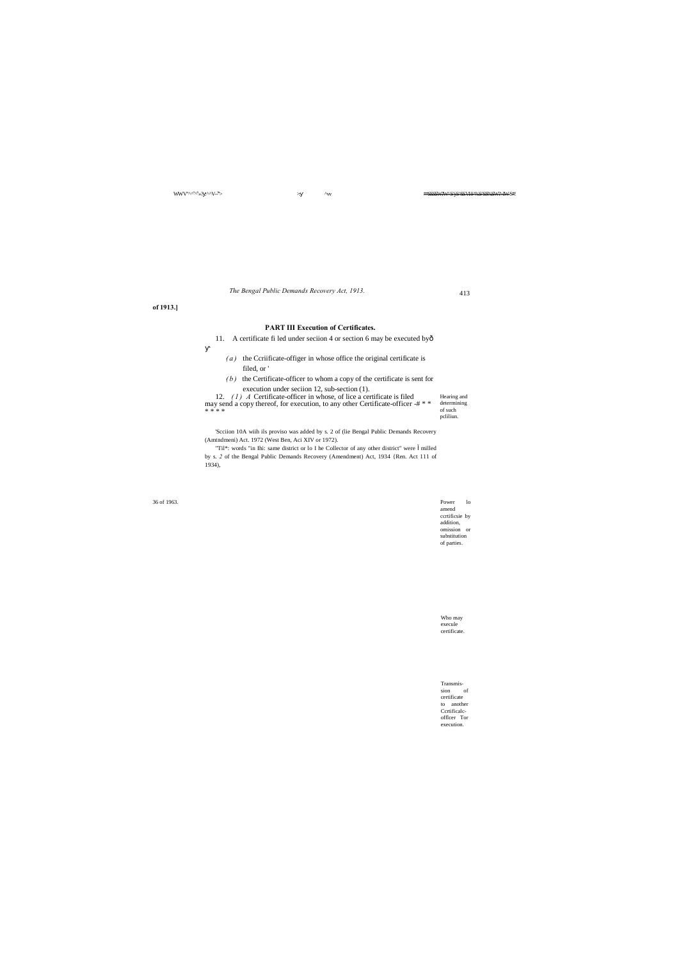36 of 1963. Power lo amend ccrtificsie by addition, omission or substitution of parties.

> Who may execule certificate.

Transmission of certificate to another Ccrtificalcofflcer Tor

execution.

413

 $WWV''^{\wedge \wedge ^S\wedge ^S}\!\!\!\rightarrow ?$  :^^V-

' > >: ^ vv \*\*SSSSW?W^ S^j-S^SS VH-^%S^SS%SW?> IW-S\*!

- 11. A certificate fi led under seciion 4 or section 6 may be executed byô
	- $(a)$  the Ccriificate-offiger in whose office the original certificate is filed, or '
	- *(b)* the Certificate-officer to whom a copy of the certificate is sent for execution under seciion 12, sub-section (1).

*The Bengal Public Demands Recovery Act, 1913.*

**of 1913.]**

# **PART III Execution of Certificates.**

| 12. $(1)$ A Certificate-officer in whose, of lice a certificate is filed        | Hearing and |
|---------------------------------------------------------------------------------|-------------|
| may send a copy thereof, for execution, to any other Certificate-officer -# * * | determining |
| * * * *                                                                         | of such     |
|                                                                                 | pcliliun.   |

'Scciion 10A wiih ils proviso was added by s. 2 of (lie Bengal Public Demands Recovery (Amtndmeni) Act. 1972 (West Ben, Aci XIV or 1972).

"Til\*: words "in Ihi: same district or lo I he Collector of any other district" were milled by s. *2* of the Bengal Public Demands Recovery (Amendment) Act, 1934 {Ren. Act 111 of 1934),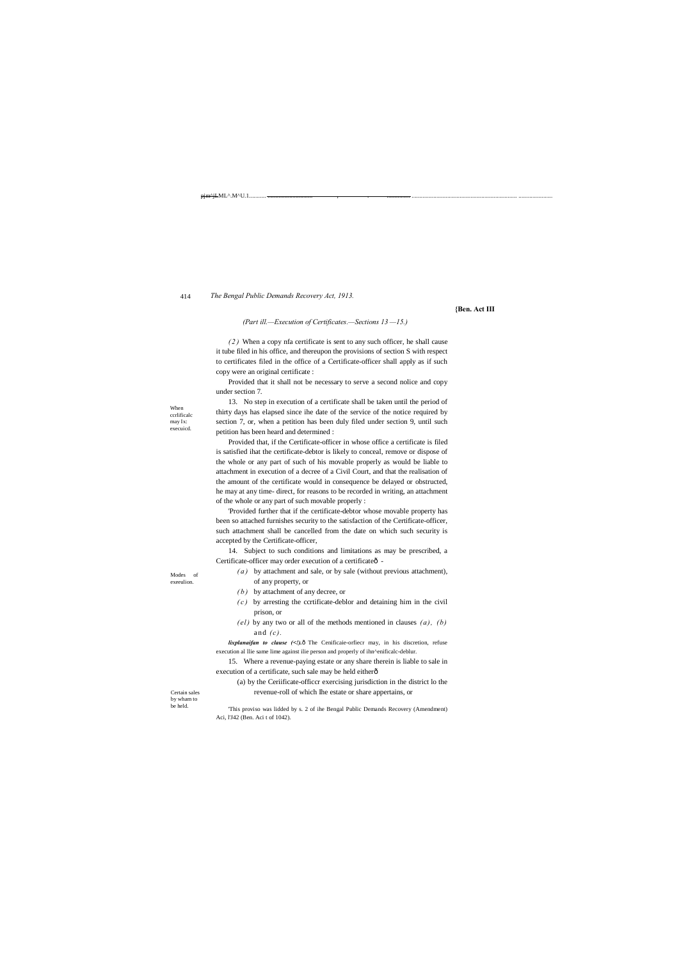Modes of exeeulion

When ccrlificalc may Ix: execuicd.

Certain sales by wham to be held.

pjm^jLML^.M^U.1.

#### 414 *The Bengal Public Demands Recovery Act, 1913.*

**{Ben. Act III**

*(Part ill.—Execution of Certificates.—Sections 13 —15.)*

*( 2 )* When a copy nfa certificate is sent to any such officer, he shall cause it tube filed in his office, and thereupon the provisions of section S with respect to certificates filed in the office of a Certificate-officer shall apply as if such copy were an original certificate :

Provided that it shall not be necessary to serve a second nolice and copy under section 7.

13. No step in execution of a certificate shall be taken until the period of thirty days has elapsed since ihe date of the service of the notice required by section 7, or, when a petition has been duly filed under section 9, until such petition has been heard and determined :

14. Subject to such conditions and limitations as may be prescribed, a Certificate-officer may order execution of a certificateô-

*lixplanaifan to clause* (<!). O The Cenificaie-orfiecr may, in his discretion, refuse execution al llie same lime against ilie person and properly of ihn^enificalc-deblur.

15. Where a revenue-paying estate or any share therein is liable to sale in execution of a certificate, such sale may be held eitherô

Provided that, if the Certificate-officer in whose office a certificate is filed is satisfied ihat the certificate-debtor is likely to conceal, remove or dispose of the whole or any part of such of his movable properly as would be liable to attachment in execution of a decree of a Civil Court, and that the realisation of the amount of the certificate would in consequence be delayed or obstructed, he may at any time- direct, for reasons to be recorded in writing, an attachment of the whole or any part of such movable properly :

'Provided further that if the certificate-debtor whose movable property has been so attached furnishes security to the satisfaction of the Certificate-officer, such attachment shall be cancelled from the date on which such security is accepted by the Certificate-officer,

*( a )* by attachment and sale, or by sale (without previous attachment),

of any property, or

*( b )* by attachment of any decree, or

*( c )* by arresting the ccrtificate-deblor and detaining him in the civil prison, or

*(el )* by any two or all of the methods mentioned in clauses *(a), (b)* and *(c).*

(a) by the Ceriificate-officcr exercising jurisdiction in the district lo the revenue-roll of which Ihe estate or share appertains, or

'This proviso was lidded by s. 2 of ihe Bengal Public Demands Recovery (Amendment) Aci, l'J42 (Ben. Aci t of 1042).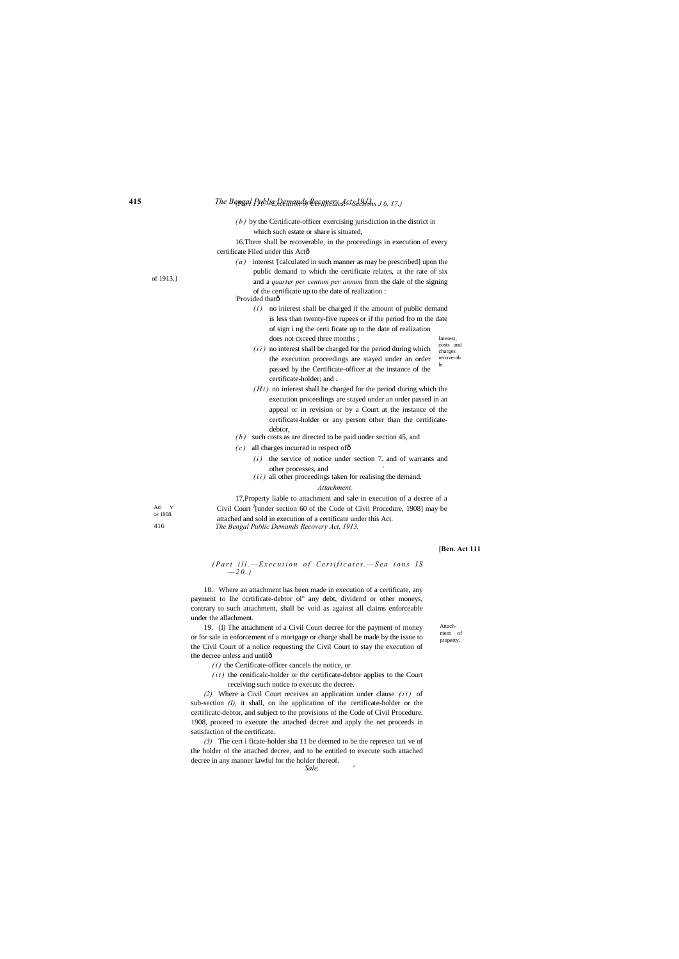# **415** *The Bengal Public Demands Recovery Act, 19J3. (Part 111.—Execution of Certificates.—Sections J 6, 17.)*

Attachment of property.

### *(Part ill.*—Execution of Certificates.—Sea ions IS  $-20.$

Aci v OF 1908. 416

of 1913.]

16.There shall be recoverable, in the proceedings in execution of every certificate Filed under this Actô

- *( a )* interest '[calculated in such manner as may be prescribed] upon the public demand to which the certificate relates, at the rate of six and a *quarter per centum per annum* from the dale of the signing of the certificate up to the date of realization : : Provided thatô
	- Interest,  $(i)$  no inierest shall be charged if the amount of public demand is less than twenty-five rupees or if the period fro m the date of sign i ng the certi ficate up to the date of realization does not cxceed three months ;
	- costs and charges recoverab le.  $(i i)$  no interest shall be charged for the period during which the execution proceedings are stayed under an order passed by the Certificate-officer at the instance of the certificate-holder; and .
	- $(H<sub>i</sub>)$  no inierest shall be charged for the period during which the execution proceedings are stayed under an order passed in an appeal or in revision or by a Court at the instance of the certificate-holder or any person other than the certificatedebtor,
- *(b)* such costs as are directed to be paid under section 45, and
- $(c)$  all charges incurred in respect of  $\delta$ 
	- $(i)$  the service of notice under section 7. and of warrants and other processes, and '
	- $(i i)$  all other proceedings taken for realising the demand.

*( b )* by the Certificate-officer exercising jurisdiction in the district in which such estate or share is situated,

19. (I) The attachment of a Civil Court decree for the payment of money or for sale in enforcement of a mortgage or charge shall be made by the issue to the Civil Court of a nolice requesting the Civil Court to stay the execution of the decree unless and untilô

 $(i)$  the Certificate-officer cancels the notice, or

 $(it)$  the cenificalc-holder or the certificate-debtor applies to the Court receiving such notice to executc the decree.

### *Attachment.*

17,Property liable to attachment and sale in execution of a decree of a Civil Court  $\frac{J}{I}$  [under section 60 of the Code of Civil Procedure, 1908] may be attached and sold in execution of a certificate under this Act. *The Bengal Public Demands Recovery Act, 1913.*

### **[Ben. Act 111**

18. Where an attachment has been made in execution of a certificate, any payment to Ihe ccrtificate-debtor ol" any debt, dividend or other moneys, contrary to such attachment, shall be void as against all claims enforceable under the allachment.

*(2)* Where a Civil Court receives an application under clause *( i i )* of sub-section *(I),* it shall, on ihe application of the certificate-holder or the certificatc-debtor, and subject to the provisions of the Code of Civil Procedure. 1908, proceed to execute the attached decree and apply the net proceeds in

satisfaction of the certificate.

*(3)* The cert i ficate-holder sha 11 be deemed to be the represen tati ve of the holder ol the attached decree, and to be entitled to execute such attached decree in any manner lawful for the holder thereof.

*Sale, '*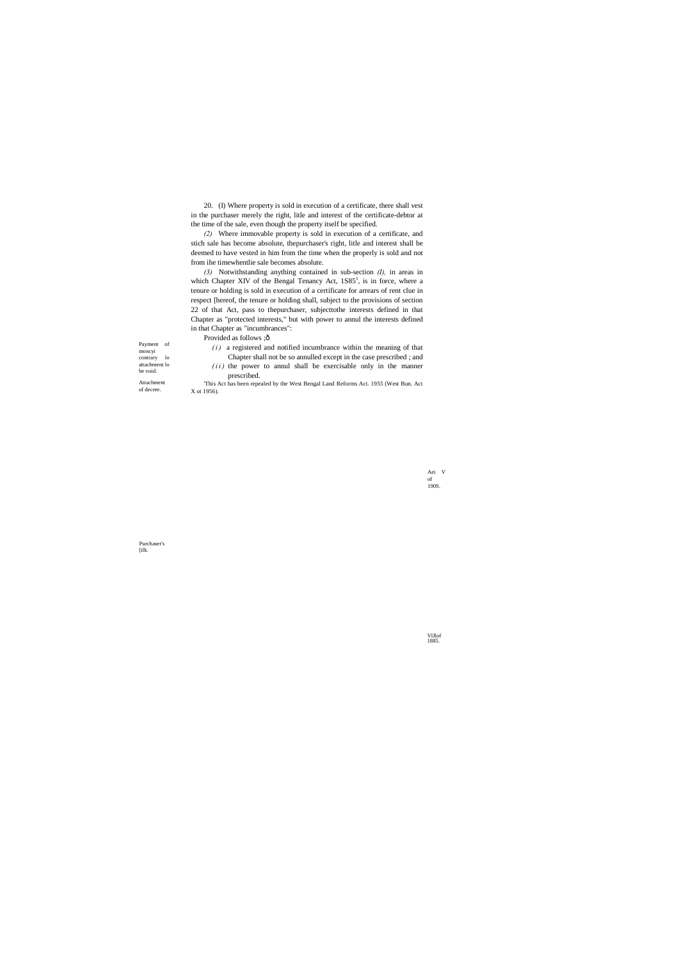Payment of moncyi contrary lo attachment lo be void. Attachment of decree.

> Aei V of 190S.

Purchaser's [ilk.

VlJlof 1885.

20. (I) Where property is sold in execution of a certificate, there shall vest in the purchaser merely the right, litle and interest of the certificate-debtor at the time of the sale, even though the property itself be specified.

*(2)* Where immovable property is sold in execution of a certificate, and stich sale has become absolute, thepurchaser's right, litle and interest shall be deemed to have vested in him from the time when the properly is sold and not from ihe timewhentlie sale becomes absolute.

*(3)* Notwithstanding anything contained in sub-section *(I),* in areas in which Chapter XIV of the Bengal Tenancy Act,  $1S85<sup>1</sup>$ , is in force, where a tenure or holding is sold in execution of a certificate for arrears of rent clue in respect [hereof, the tenure or holding shall, subject to the provisions of section 22 of that Act, pass to thepurchaser, subjecttothe interests defined in that Chapter as "protected interests," but with power to annul the interests defined in that Chapter as "incumbrances":

Provided as follows ; ô

 $(i)$  a registered and notified incumbrance within the meaning of that

Chapter shall not be so annulled except in the case prescribed ; and  $(i i)$  the power to annul shall be exercisable only in the manner prescribed.

'This Act has been repealed by the West Bengal Land Reforms Act. 1955 (West Bun. Act X ot 1956).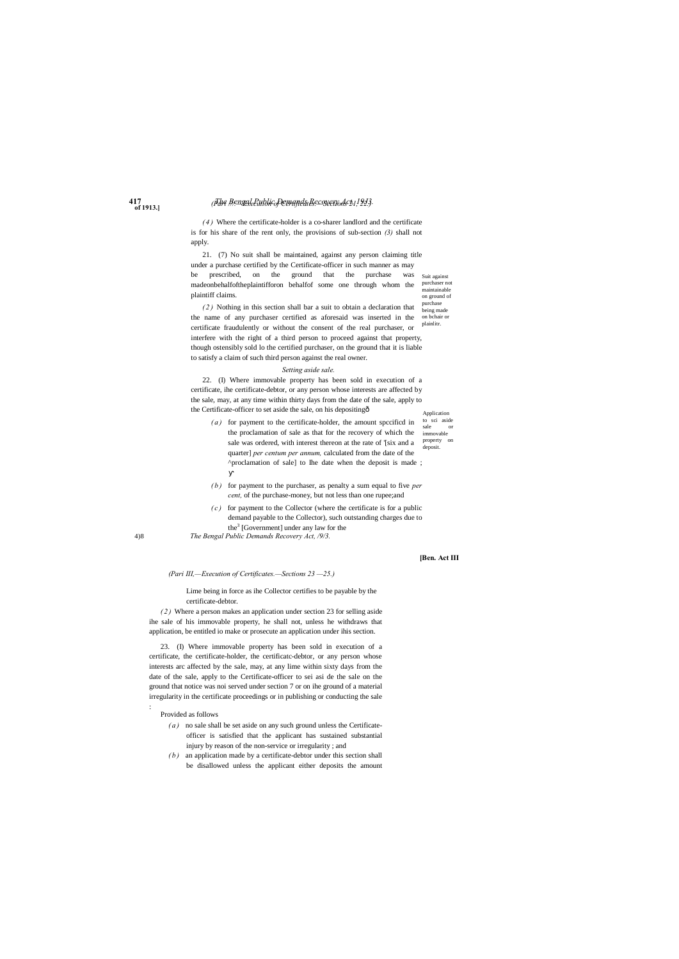- to sci aside sale immovable property on deposit. *( a )* for payment to the certificate-holder, the amount spccificd in the proclamation of sale as that for the recovery of which the sale was ordered, with interest thereon at the rate of '[six and a quarter] *per centum per annum,* calculated from the date of the ^proclamation of sale] to Ihe date when the deposit is made ;
- *( b )* for payment to the purchaser, as penalty a sum equal to five *per cent,* of the purchase-money, but not less than one rupee;and
- $(c)$  for payment to the Collector (where the certificate is for a public demand payable to the Collector), such outstanding charges due to the $3$  [Government] under any law for the

purchaser not .<br>maintainable on ground of purchase being made on bchair or plainlitr.

# **417** *The Bengal Public Demands Recovery Act, 19J3. (Part ///.—Execution of Certificates.—Sections 21, 22.)*

**of 1913.]**

4)8

*( 4 )* Where the certificate-holder is a co-sharer landlord and the certificate is for his share of the rent only, the provisions of sub-section *(3)* shall not apply.

Suit against 21. (7) No suit shall be maintained, against any person claiming title under a purchase certified by the Certificate-officer in such manner as may be prescribed, on the ground that the purchase was madeonbehalfoftheplaintifforon behalfof some one through whom the plaintiff claims.

Application 22. (I) Where immovable property has been sold in execution of a certificate, ihe certificate-debtor, or any person whose interests are affected by the sale, may, at any time within thirty days from the date of the sale, apply to the Certificate-officer to set aside the sale, on his depositing—

*( 2 )* Nothing in this section shall bar a suit to obtain a declaration that the name of any purchaser certified as aforesaid was inserted in the certificate fraudulently or without the consent of the real purchaser, or interfere with the right of a third person to proceed against that property, though ostensibly sold lo the certified purchaser, on the ground that it is liable to satisfy a claim of such third person against the real owner.

### *Setting aside sale.*

*The Bengal Public Demands Recovery Act, /9/3.*

### **[Ben. Act III**

*(Pari III,—Execution of Certificates.—Sections 23 —25.)*

Lime being in force as ihe Collector certifies to be payable by the certificate-debtor.

*( 2 )* Where a person makes an application under section 23 for selling aside ihe sale of his immovable property, he shall not, unless he withdraws that application, be entitled io make or prosecute an application under ihis section.

23. (I) Where immovable property has been sold in execution of a certificate, the certificate-holder, the certificatc-debtor, or any person whose interests arc affected by the sale, may, at any lime within sixty days from the date of the sale, apply to the Certificate-officer to sei asi de the sale on the ground that notice was noi served under section 7 or on ihe ground of a material irregularity in the certificate proceedings or in publishing or conducting the sale :

Provided as follows

- *( a )* no sale shall be set aside on any such ground unless the Certificateofficer is satisfied that the applicant has sustained substantial injury by reason of the non-service or irregularity ; and
- *( b )* an application made by a certificate-debtor under this section shall be disallowed unless the applicant either deposits the amount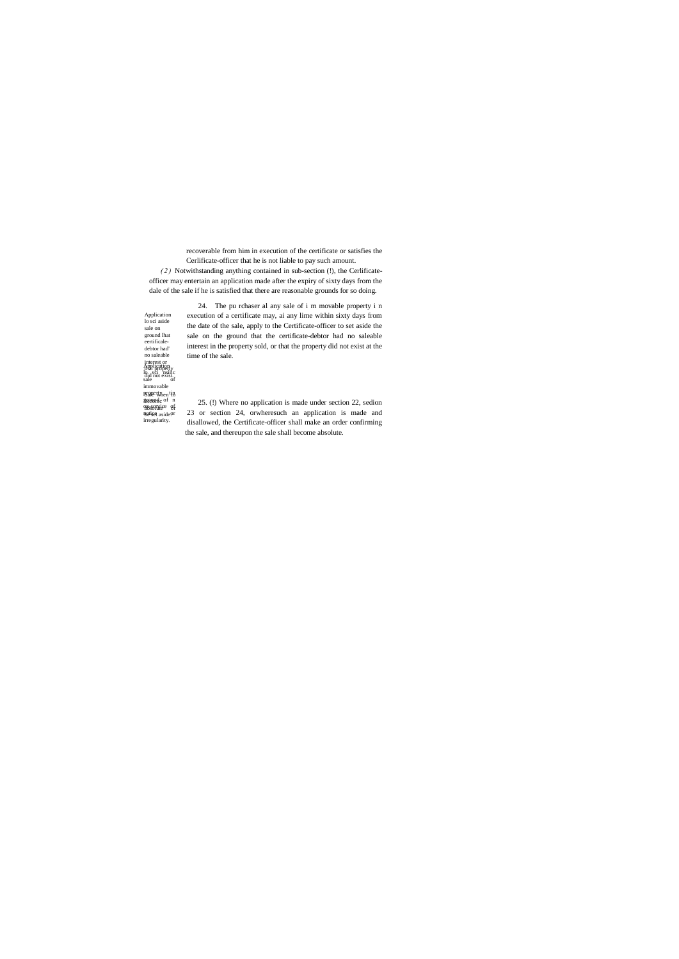**Application**  $\log_{1.4}$ sci, nsiilc sale of immovable property<sub>hen</sub>tip pggapestyhent#8<br>\$RRANG of n on-scrvice of absolute or notice aside or **1621set** aside!<br>irregularity. Application lo sci aside sale on ground lhat eertificaledebtor had' no saleable interest or thai properly did not exist. becomc

recoverable from him in execution of the certificate or satisfies the Cerlificate-officer that he is not liable to pay such amount.

*( 2 )* Notwithstanding anything contained in sub-section (!), the Cerlificateofficer may entertain an application made after the expiry of sixty days from the dale of the sale if he is satisfied that there are reasonable grounds for so doing.

> 24. The pu rchaser al any sale of i m movable property i n execution of a certificate may, ai any lime within sixty days from the date of the sale, apply to the Certificate-officer to set aside the sale on the ground that the certificate-debtor had no saleable interest in the property sold, or that the property did not exist at the time of the sale.

> 25. (!) Where no application is made under section 22, sedion 23 or section 24, orwheresuch an application is made and disallowed, the Certificate-officer shall make an order confirming the sale, and thereupon the sale shall become absolute.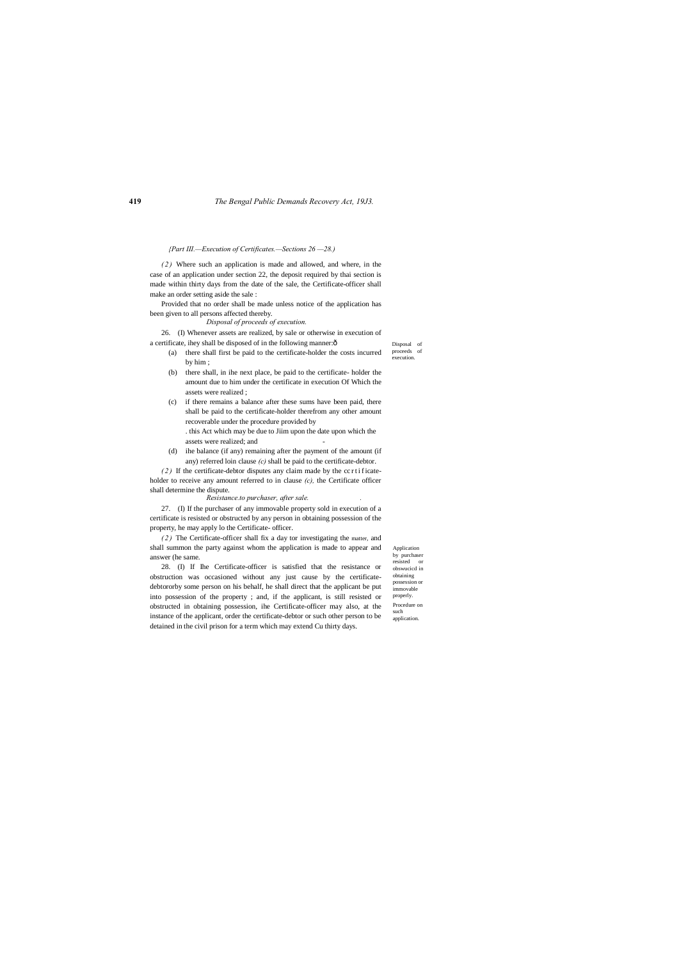Disposal of proceeds of execution

Application by purchaser resisted or obswucicd in obtaining possession or immovable properly. Procedure on such application.

*{Part III.—Execution of Certificates.—Sections 26 —28.)*

26. (I) Whenever assets are realized, by sale or otherwise in execution of a certificate, ihey shall be disposed of in the following manner: $\hat{o}$ 

*( 2 )* Where such an application is made and allowed, and where, in the case of an application under section 22, the deposit required by thai section is made within thirty days from the date of the sale, the Certificate-officer shall make an order setting aside the sale :

Provided that no order shall be made unless notice of the application has been given to all persons affected thereby.

> . this Act which may be due to Jiim upon the date upon which the assets were realized; and

*Disposal of proceeds of execution.*

*(2)* If the certificate-debtor disputes any claim made by the cc r t i ficateholder to receive any amount referred to in clause *(c),* the Certificate officer shall determine the dispute.

- (a) there shall first be paid to the certificate-holder the costs incurred by him ;
- (b) there shall, in ihe next place, be paid to the certificate- holder the amount due to him under the certificate in execution Of Which the assets were realized ;
- (c) if there remains a balance after these sums have been paid, there shall be paid to the certificate-holder therefrom any other amount recoverable under the procedure provided by

(d) ihe balance (if any) remaining after the payment of the amount (if any) referred loin clause *(c)* shall be paid to the certificate-debtor.

*Resistance.to purchaser, after sale. .*

27. (I) If the purchaser of any immovable property sold in execution of a certificate is resisted or obstructed by any person in obtaining possession of the property, he may apply lo the Certificate- officer.

*( 2 )* The Certificate-officer shall fix a day tor investigating the matter, and shall summon the party against whom the application is made to appear and answer (he same.

28. (I) If Ihe Certificate-officer is satisfied that the resistance or obstruction was occasioned without any just cause by the certificatedebtororby some person on his behalf, he shall direct that the applicant be put into possession of the property ; and, if the applicant, is still resisted or obstructed in obtaining possession, ihe Certificate-officer may also, at the instance of the applicant, order the certificate-debtor or such other person to be detained in the civil prison for a term which may extend Cu thirty days.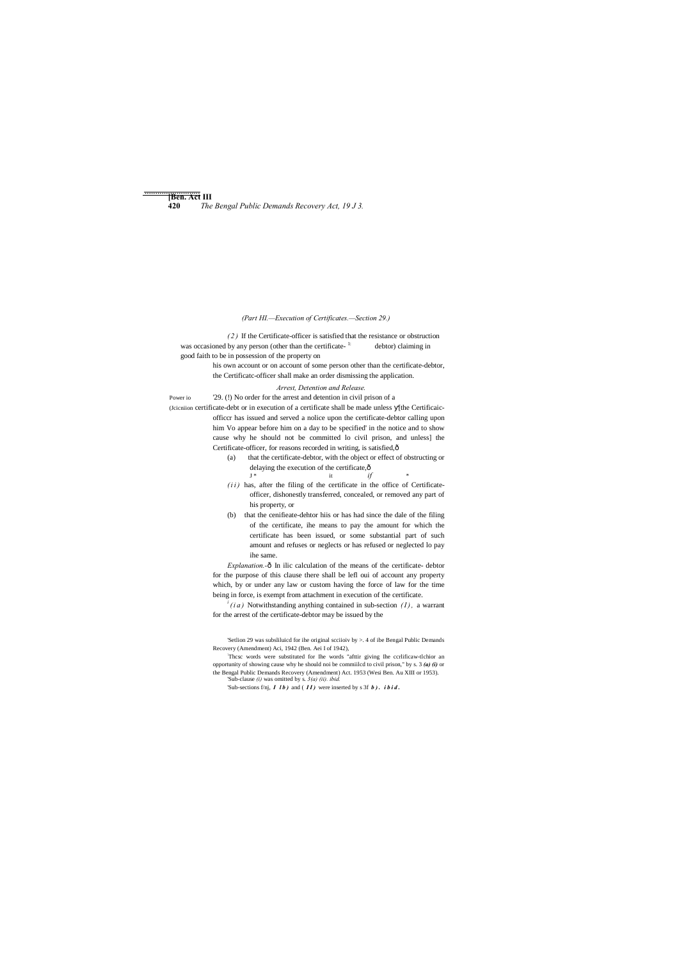**[Ben. Act III** ..........................

*(Part HI.—Execution of Certificates.—Section 29.)*

*( 2 )* If the Certificate-officer is satisfied that the resistance or obstruction was occasioned by any person (other than the certificate- <sup>1:</sup> debtor) claiming in good faith to be in possession of the property on

officcr has issued and served a nolice upon the certificate-debtor calling upon him Vo appear before him on a day to be specified' in the notice and to show cause why he should not be committed lo civil prison, and unless] the Certificate-officer, for reasons recorded in writing, is satisfied, ô

his own account or on account of some person other than the certificate-debtor, the Certificatc-officer shall make an order dismissing the application.

(a) that the certificate-debtor, with the object or effect of obstructing or delaying the execution of the certificate, $\hat{\theta}$ <br> $J^*$  it

 $J^*$  it  $if$  \*

# *Arrest, Detention and Release.*

Power io '29. (!) No order for the arrest and detention in civil prison of a

(Jcicniion certificate-debt or in execution of a certificate shall be made unless [the Certificaic-

- $(i i)$  has, after the filing of the certificate in the office of Certificateofficer, dishonestly transferred, concealed, or removed any part of his property, or
- (b) that the cenifieate-dehtor hiis or has had since the dale of the filing of the certificate, ihe means to pay the amount for which the certificate has been issued, or some substantial part of such amount and refuses or neglects or has refused or neglected lo pay ihe same.

*Explanation.*-ô In ilic calculation of the means of the certificate- debtor for the purpose of this clause there shall be lefl oui of account any property which, by or under any law or custom having the force of law for the time being in force, is exempt from attachment in execution of the certificate.

 $\int f(i\,a)$  Notwithstanding anything contained in sub-section  $(I)$ , a warrant for the arrest of the certificate-debtor may be issued by the

'Setlion 29 was subsliluicd for ihe original scciioiv by >. 4 of ibe Bengal Public Demands Recovery (Amendment) Aci, 1942 (Ben. Aei I of 1942),

: Thcsc words were substituted for Ihe words "afttir giving Ihe ccrlificaw-tlchior an opportunity of showing cause why he should noi be commiilcd to civil prison," by s. 3 *(a) (i)* or the Bengal Public Demands Recovery (Amendment) Act. 1953 (Wesi Ben. Au XIII or 1953). 'Sub-clause *(i)* was omitted by s. *3(a) (ii). ibid.*

'Sub-sections f/nj, *I lb*) and (*II*) were inserted by s 3f *b*). *ibid*.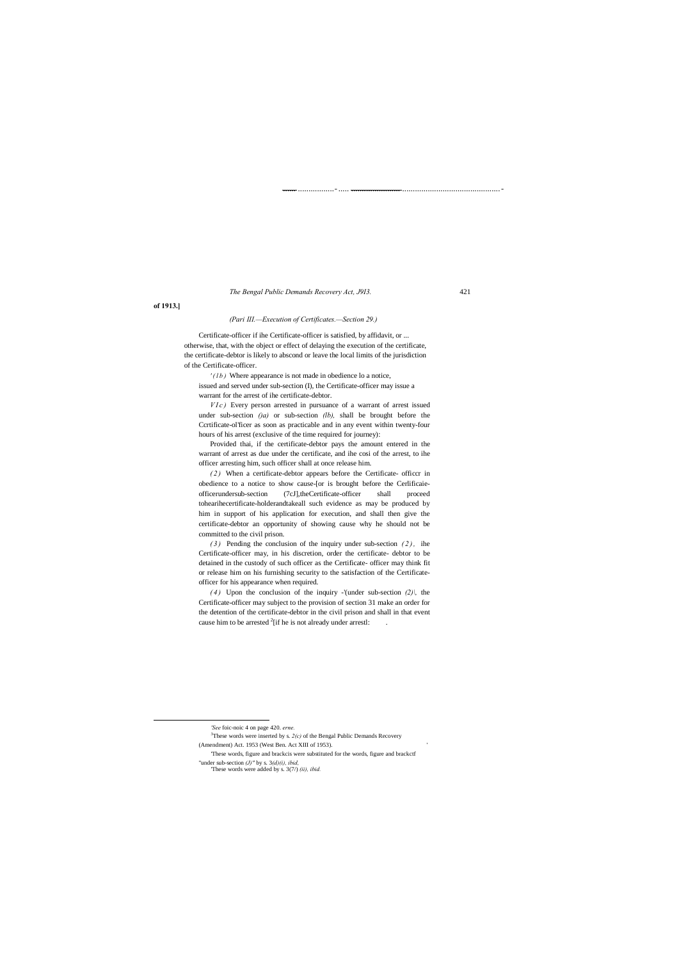...... .................-..... ....................... ..............................................-

## *The Bengal Public Demands Recovery Act, J9I3.* 421

**of 1913.]**

 $\overline{a}$ 

### *(Pari III.—Execution of Certificates.—Section 29.)*

Certificate-officer if ihe Certificate-officer is satisfied, by affidavit, or ... otherwise, that, with the object or effect of delaying the execution of the certificate, the certificate-debtor is likely to abscond or leave the local limits of the jurisdiction of the Certificate-officer.

*VIc)* Every person arrested in pursuance of a warrant of arrest issued under sub-section *()a)* or sub-section *(lb),* shall be brought before the Ccrtificate-ol'ficer as soon as practicable and in any event within twenty-four hours of his arrest (exclusive of the time required for journey):

*' ( l b )* Where appearance is not made in obedience lo a notice,

issued and served under sub-section (I), the Certificate-officer may issue a warrant for the arrest of ihe certificate-debtor.

Provided thai, if the certificate-debtor pays the amount entered in the warrant of arrest as due under the certificate, and ihe cosi of the arrest, to ihe officer arresting him, such officer shall at once release him.

*( 2 )* When a certificate-debtor appears before the Certificate- officcr in obedience to a notice to show cause-[or is brought before the Cerlificaieofficerundersub-section (7cJ],theCertificate-officer shall proceed tohearihecertificate-holderandtakeall such evidence as may be produced by him in support of his application for execution, and shall then give the certificate-debtor an opportunity of showing cause why he should not be committed to the civil prison.

*( 3 )* Pending the conclusion of the inquiry under sub-section *( 2 ) ,* ihe Certificate-officer may, in his discretion, order the certificate- debtor to be detained in the custody of such officer as the Certificate- officer may think fit or release him on his furnishing security to the satisfaction of the Certificateofficer for his appearance when required.

*(4)* Upon the conclusion of the inquiry -'(under sub-section *(2)*), the Certificate-officer may subject to the provision of section 31 make an order for the detention of the certificate-debtor in the civil prison and shall in that event cause him to be arrested  $2$ [if he is not already under arrestl:  $\qquad \qquad$ .

*'See* foic-noic 4 on page 420. *erne.*

<sup>3</sup>These words were inserted by s.  $2(c)$  of the Bengal Public Demands Recovery

(Amendment) Act. 1953 (West Ben. Act XIII of 1953).

'These words, figure and brackcis were substituted for the words, figure and brackctf

"under sub-section *(J)"* by s. 3*(d)(i), ibid,*

'These words were added by s. 3(7/) *(ii), ibid.*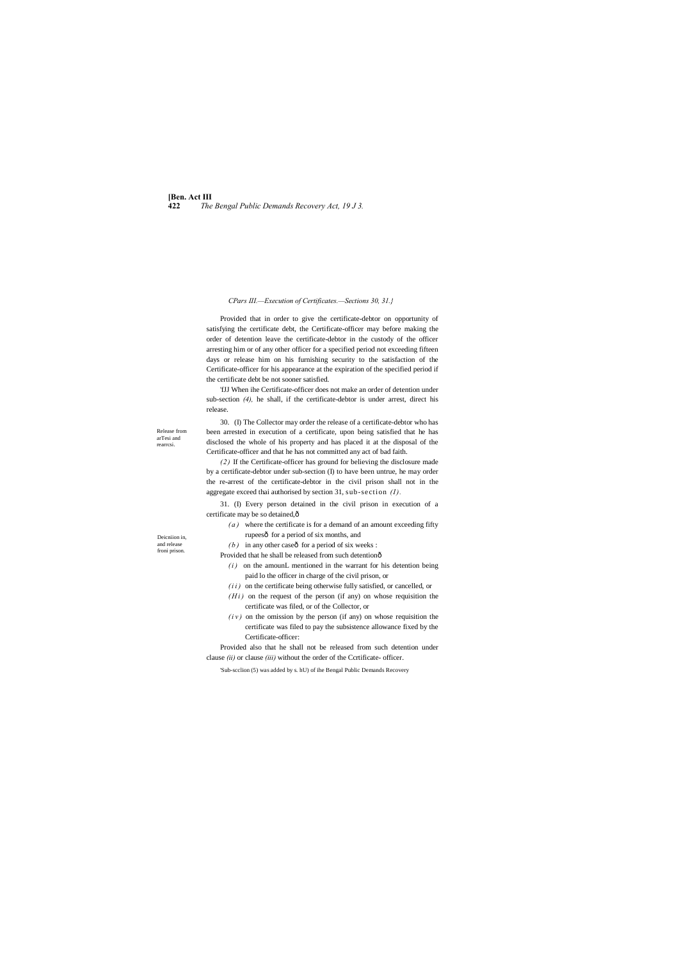**[Ben. Act III 422** *The Bengal Public Demands Recovery Act, 19 J 3.*

Deicniion in, and release froni prison.

Release from arTesi and rearrcsi.

### *CPars III.—Execution of Certificates.—Sections 30, 31.}*

Provided that in order to give the certificate-debtor on opportunity of satisfying the certificate debt, the Certificate-officer may before making the order of detention leave the certificate-debtor in the custody of the officer arresting him or of any other officer for a specified period not exceeding fifteen days or release him on his furnishing security to the satisfaction of the Certificate-officer for his appearance at the expiration of the specified period if the certificate debt be not sooner satisfied.

*( a )* where the certificate is for a demand of an amount exceeding fifty rupeesô for a period of six months, and

 $(b)$  in any other case  $\hat{p}$  for a period of six weeks :

Provided that he shall be released from such detentionô

'fJJ When ihe Certificate-officer does not make an order of detention under sub-section *(4),* he shall, if the certificate-debtor is under arrest, direct his release.

30. (I) The Collector may order the release of a certificate-debtor who has been arrested in execution of a certificate, upon being satisfied that he has disclosed the whole of his property and has placed it at the disposal of the Certificate-officer and that he has not committed any act of bad faith.

- $(i)$  on the amounL mentioned in the warrant for his detention being paid lo the officer in charge of the civil prison, or
- *(ii)* on the certificate being otherwise fully satisfied, or cancelled, or
- $(H<sub>i</sub>)$  on the request of the person (if any) on whose requisition the certificate was filed, or of the Collector, or
- $(iv)$  on the omission by the person (if any) on whose requisition the certificate was filed to pay the subsistence allowance fixed by the Certificate-officer:

*(2)* If the Certificate-officer has ground for believing the disclosure made by a certificate-debtor under sub-section (I) to have been untrue, he may order the re-arrest of the certificate-debtor in the civil prison shall not in the aggregate exceed thai authorised by section 31, sub-section *(I).*

31. (I) Every person detained in the civil prison in execution of a certificate may be so detained,—

Provided also that he shall not be released from such detention under clause *(ii)* or clause *(iii)* without the order of the Ccrtificate- officer.

'Sub-scclion (5) was added by s. hU) of ihe Bengal Public Demands Recovery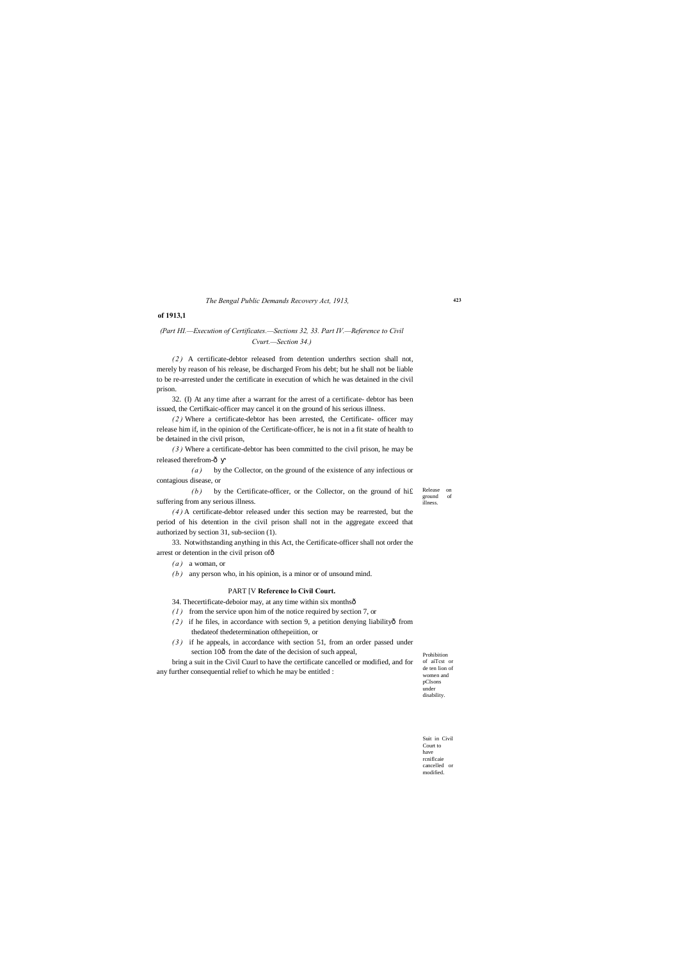### **423**

Prohibition of aiTcst or de ten lion of women and pCIsons under disability

Suit in Civil Court to have rcniflcaie cancelled or modified.

*The Bengal Public Demands Recovery Act, 1913,*

### **of 1913,1**

# *(Part HI.—Execution of Certificates.—Sections 32, 33. Part IV.—Reference to Civil Cvurt.—Section 34.)*

*( 2 )* A certificate-debtor released from detention underthrs section shall not, merely by reason of his release, be discharged From his debt; but he shall not be liable to be re-arrested under the certificate in execution of which he was detained in the civil prison.

*( 3 )* Where a certificate-debtor has been committed to the civil prison, he may be released therefrom- $\hat{o}$ 

Release on ground of illness.  $(b)$  by the Certificate-officer, or the Collector, on the ground of hif suffering from any serious illness.

32. (I) At any time after a warrant for the arrest of a certificate- debtor has been issued, the Certifkaic-officer may cancel it on the ground of his serious illness.

33. Notwithstanding anything in this Act, the Certificate-officer shall not order the arrest or detention in the civil prison ofô

*( 2 )* Where a certificate-debtor has been arrested, the Certificate- officer may release him if, in the opinion of the Certificate-officer, he is not in a fit state of health to be detained in the civil prison,

- *( 1 )* from the service upon him of the notice required by section 7, or
- (2) if he files, in accordance with section 9, a petition denying liabilityô from thedateof thedetermination ofthepeiition, or
- *( 3 )* if he appeals, in accordance with section 51, from an order passed under section 10 $\delta$  from the date of the decision of such appeal,

*( a )* by the Collector, on the ground of the existence of any infectious or contagious disease, or

*( 4 )* A certificate-debtor released under this section may be rearrested, but the period of his detention in the civil prison shall not in the aggregate exceed that authorized by section 31, sub-seciion (1).

- *( a )* a woman, or
- *( b )* any person who, in his opinion, is a minor or of unsound mind.

### PART [V **Reference lo Civil Court.**

34. Thecertificate-deboior may, at any time within six monthsô

bring a suit in the Civil Cuurl to have the certificate cancelled or modified, and for any further consequential relief to which he may be entitled :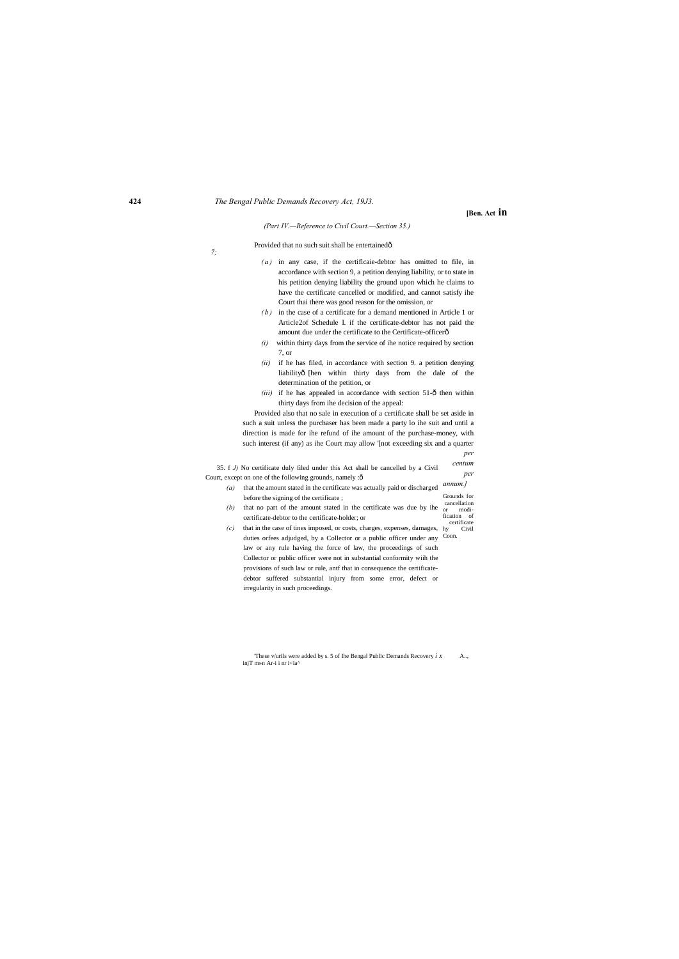**[Ben. Act in**

*(Part IV.—Reference to Civil Court.—Section 35.)*

### Provided that no such suit shall be entertainedô

*7;*

35. f *J)* No certificate duly filed under this Act shall be cancelled by a Civil Court, except on one of the following grounds, namely :ô *centum per* 

- (a) that the amount stated in the certificate was actually paid or discharged *annum.]* before the signing of the certificate ; Grounds for
- $(b)$  that no part of the amount stated in the certificate was due by ihe  $\frac{c}{\alpha n}$ certificate-debtor to the certificate-holder; or cancellation modification of certificate
- *(c)* that in the case of tines imposed, or costs, charges, expenses, damages, duties orfees adjudged, by a Collector or a public officer under any Coun. law or any rule having the force of law, the proceedings of such Collector or public officer were not in substantial conformity wiih the provisions of such law or rule, antf that in consequence the certificatedebtor suffered substantial injury from some error, defect or irregularity in such proceedings. Civil

'These v/urils were added by s. 5 of Ihe Bengal Public Demands Recovery *i x* A.., injT m»n Ar-i i nr i<ia^

- *( a )* in any case, if the certiflcaie-debtor has omitted to file, in accordance with section 9, a petition denying liability, or to state in his petition denying liability the ground upon which he claims to have the certificate cancelled or modified, and cannot satisfy ihe Court thai there was good reason for the omission, or
- *( b )* in the case of a certificate for a demand mentioned in Article 1 or Article2of Schedule I. if the certificate-debtor has not paid the amount due under the certificate to the Certificate-officerô
- *(i)* within thirty days from the service of ihe notice required by section 7, or
- *(ii)* if he has filed, in accordance with section 9. a petition denying liabilityô [hen within thirty days from the dale of the determination of the petition, or
- $(iii)$  if he has appealed in accordance with section 51- $\hat{\text{o}}$  then within thirty days from ihe decision of the appeal:

Provided also that no sale in execution of a certificate shall be set aside in such a suit unless the purchaser has been made a party lo ihe suit and until a direction is made for ihe refund of ihe amount of the purchase-money, with such interest (if any) as ihe Court may allow '[not exceeding six and a quarter *per*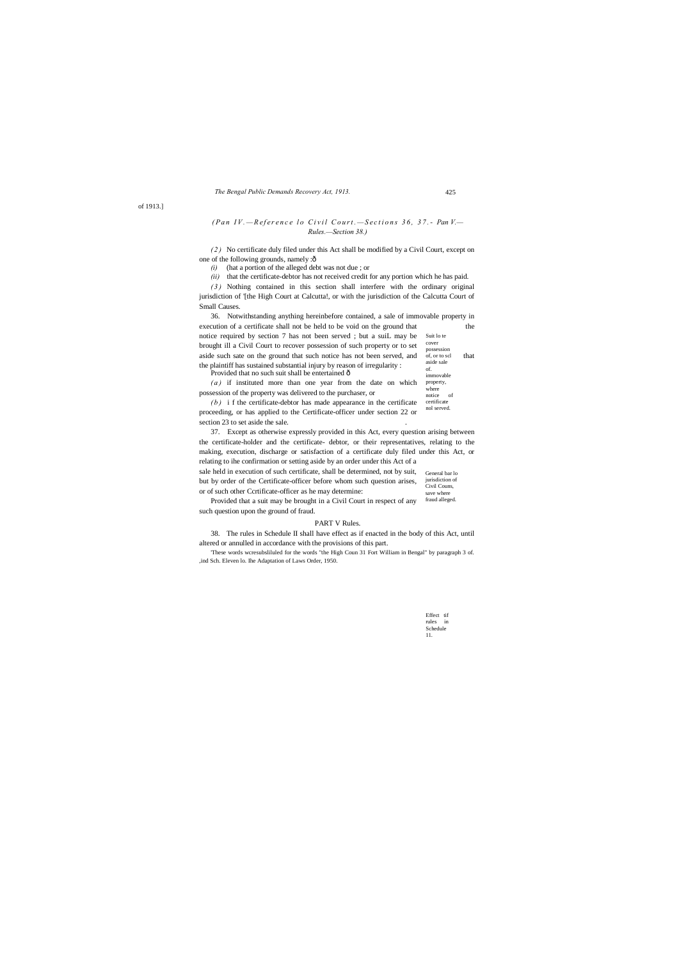certificate nol served.  $(b)$  i f the certificate-debtor has made appearance in the certificate proceeding, or has applied to the Certificate-officer under section 22 or section 23 to set aside the sale.

immovable property,

where

# *(Pan IV.* - *Reference lo Civil Court.* - *Sections 36, 37. - Pan V.* -*Rules.—Section 38.)*

*( 2 )* No certificate duly filed under this Act shall be modified by a Civil Court, except on one of the following grounds, namely :ô

> Effect tif rules in Schedule 11.

# *The Bengal Public Demands Recovery Act, 1913.* 425

of 1913.]

*(i)* (hat a portion of the alleged debt was not due ; or

*(ii)* that the certificate-debtor has not received credit for any portion which he has paid.

*( 3 )* Nothing contained in this section shall interfere with the ordinary original jurisdiction of '[the High Court at Calcutta!, or with the jurisdiction of the Calcutta Court of Small Causes.

Suit lo te cover possession of, or to scl aside sale of. 36. Notwithstanding anything hereinbefore contained, a sale of immovable property in execution of a certificate shall not be held to be void on the ground that the notice required by section 7 has not been served ; but a suiL may be brought ill a Civil Court to recover possession of such property or to set aside such sate on the ground that such notice has not been served, and  $\frac{1}{\text{of, or to scl}}$  that the plaintiff has sustained substantial injury by reason of irregularity : Provided that no such suit shall be entertained  $\hat{o}$ 

notice of *( a )* if instituted more than one year from the date on which possession of the property was delivered to the purchaser, or

General bar lo jurisdiction of Civil Couns, save where sale held in execution of such certificate, shall be determined, not by suit, but by order of the Certificate-officer before whom such question arises, or of such other Ccrtificate-officer as he may determine:

fraud alleged. Provided that a suit may be brought in a Civil Court in respect of any such question upon the ground of fraud.

37. Except as otherwise expressly provided in this Act, every question arising between the certificate-holder and the certificate- debtor, or their representatives, relating to the making, execution, discharge or satisfaction of a certificate duly filed under this Act, or relating to ihe confirmation or setting aside by an order under this Act of a

### PART V Rules.

38. The rules in Schedule II shall have effect as if enacted in the body of this Act, until altered or annulled in accordance with the provisions of this part.

'These words wcresubsliluled for the words "the High Coun 31 Fort William in Bengal" by paragraph 3 of. ,ind Sch. Eleven lo. Ihe Adaptation of Laws Order, 1950.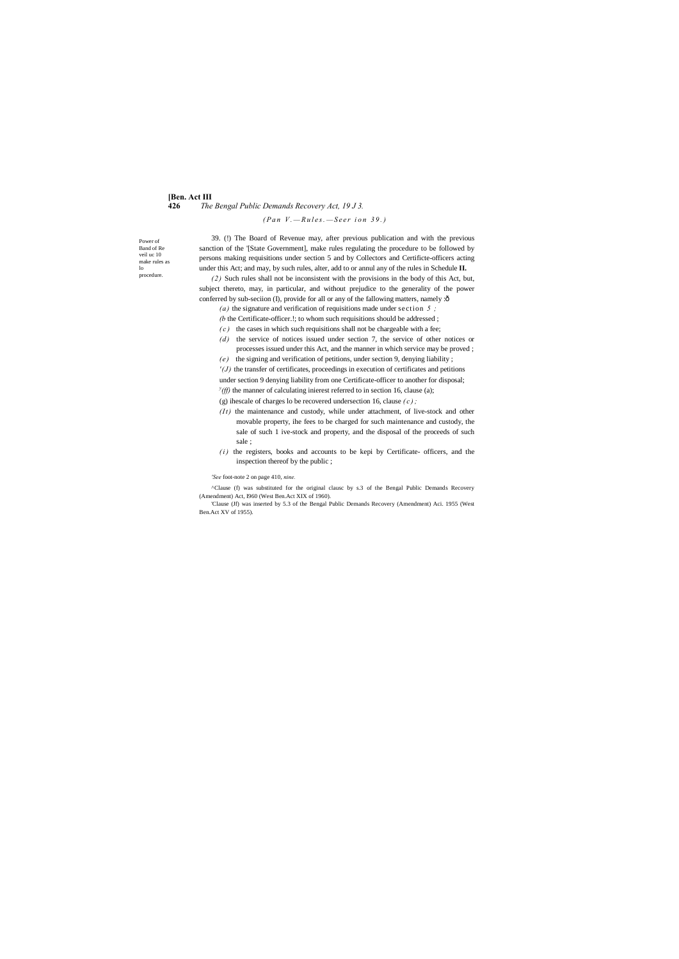# **[Ben. Act III 426** *The Bengal Public Demands Recovery Act, 19 J 3.*

Power of Band of Re veil uc 10 make rules as lo procedure.

*( P a n V . — R u l e s . — S e e r i o n 3 9 . )*

*(2)* Such rules shall not be inconsistent with the provisions in the body of this Act, but, subject thereto, may, in particular, and without prejudice to the generality of the power conferred by sub-seciion (I), provide for all or any of the fallowing matters, namely :ô

39. (!) The Board of Revenue may, after previous publication and with the previous sanction of the '[State Government], make rules regulating the procedure to be followed by persons making requisitions under section 5 and by Collectors and Certificte-officers acting under this Act; and may, by such rules, alter, add to or annul any of the rules in Schedule **II.**

- *(b* the Certificate-officer.!; to whom such requisitions should be addressed ;
- $(c)$  the cases in which such requisitions shall not be chargeable with a fee;
- *(d)* the service of notices issued under section 7, the service of other notices or processes issued under this Act, and the manner in which service may be proved ;
- *(e)* the signing and verification of petitions, under section 9, denying liability ;
- *'(J)* the transfer of certificates, proceedings in execution of certificates and petitions under section 9 denying liability from one Certificate-officer to another for disposal; *y*(*ff*) the manner of calculating inierest referred to in section 16, clause (a);

*(a)* the signature and verification of requisitions made under section *5 ;*

(g) ihescale of charges lo be recovered undersection 16, clause *( c ) ;*

- *(It)* the maintenance and custody, while under attachment, of live-stock and other movable property, ihe fees to be charged for such maintenance and custody, the sale of such 1 ive-stock and property, and the disposal of the proceeds of such sale ;
- $(i)$  the registers, books and accounts to be kepi by Certificate- officers, and the inspection thereof by the public ;

### *'See* foot-note 2 on page 410, *nine.*

^Clause (f) was substituted for the original clausc by s.3 of the Bengal Public Demands Recovery (Amendment) Act, I960 (West Ben.Act XIX of 1960).

'Clause (Jf) was inserted by 5.3 of the Bengal Public Demands Recovery (Amendment) Aci. 1955 (West Ben.Act XV of 1955).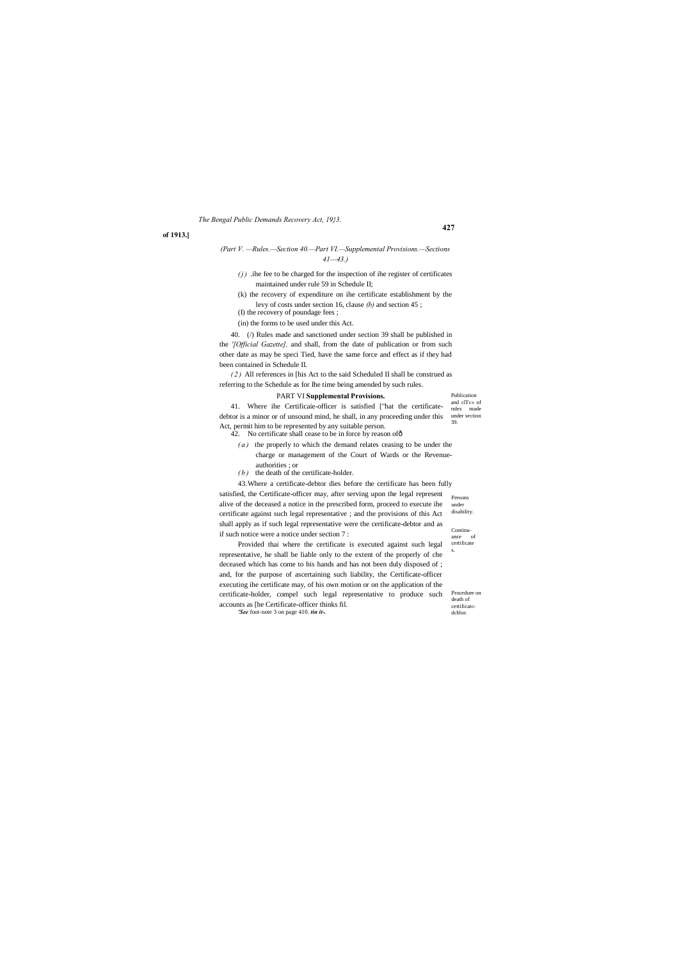**427**

debtor is a minor or of unsound mind, he shall, in any proceeding under this under section 41. Where ihe Certificaie-officer is satisfied ["hat the certificate-Act, permit him to be represented by any suitable person. 42. No certificate shall cease to be in force by reason of  $\delta$ 

Publication and clTc« of rules made 39.

Continu-<br>ance of ance certificate s.

under disability.

Procedure on death of certificatcdcblor.

*The Bengal Public Demands Recovery Act, 19}3.*

### **of 1913.]**

# *(Part V. —Rules.—Section 40.—Part VI.—Supplemental Provisions.—Sections 41—43.)*

- $(j)$  .ihe fee to be charged for the inspection of ihe register of certificates maintained under rule 59 in Schedule II;
- (k) the recovery of expenditure on ihe certificate establishment by the levy of costs under section 16, clause *(b)* and section 45 ; (I) the recovery of poundage fees ;

(in) the forms to be used under this Act.

40. (/) Rules made and sanctioned under section 39 shall be published in the *'[Official Gazette],* and shall, from the date of publication or from such other date as may be speci Tied, have the same force and effect as if they had been contained in Schedule II.

*( 2 )* All references in [his Act to the said Scheduled II shall be construed as referring to the Schedule as for Ihe time being amended by such rules.

satisfied, the Certificate-officer may, after serving upon the legal represent Persons 43.Where a certificate-debtor dies before the certificate has been fully alive of the deceased a notice in the prescribed form, proceed to execute ihe certificate against such legal representative ; and the provisions of this Act shall apply as if such legal representative were the certificate-debtor and as if such notice were a notice under section 7 :

### PART VI **Supplemental Provisions.**

- 
- *( a )* the properly to which the demand relates ceasing to be under the charge or management of the Court of Wards or the Revenueauthorities ; or
- *( b )* the death of the certificate-holder.

Provided thai where the certificate is executed against such legal representative, he shall be liable only to the extent of the properly of che deceased which has come to his hands and has not been duly disposed of ; and, for the purpose of ascertaining such liability, the Certificate-officer executing ihe certificate may, of his own motion or on the application of the certificate-holder, compel such legal representative to produce such accounts as [he Certificate-officer thinks fil. *'See* foot-note 3 on page 410. *tin it-.*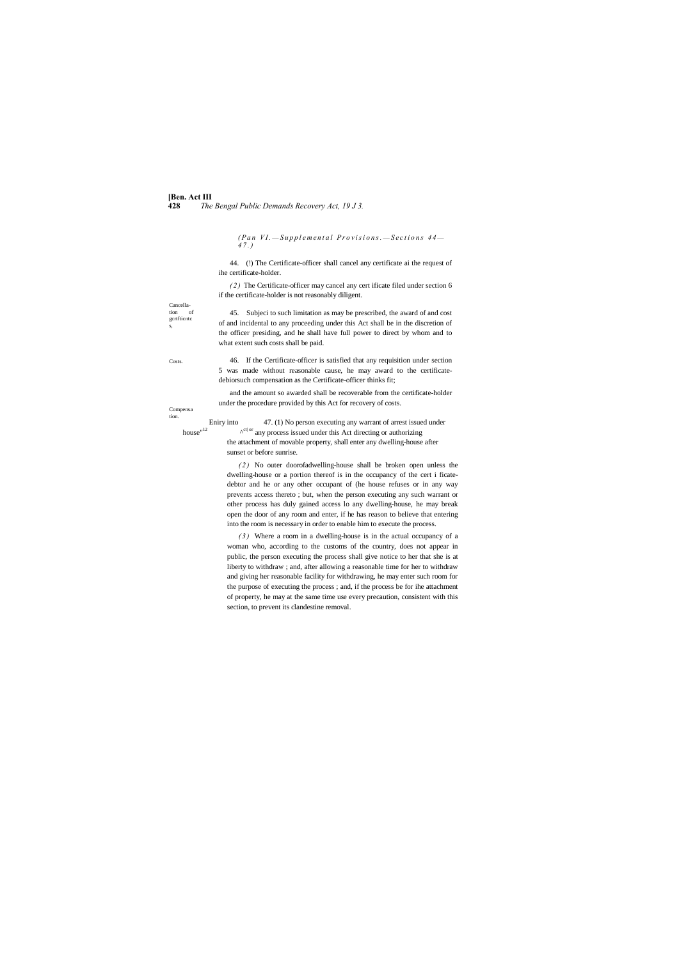**[Ben. Act III 428** *The Bengal Public Demands Recovery Act, 19 J 3.*

Cancellation of gcrtfticntc s,

Costs.

*(Pan VI.*—Supplemental Provisions.—Sections 44— *4 7 . )*

Compensa tion.

Eniry into 47. (1) No person executing any warrant of arrest issued under<br>house<sup>n12</sup>  $\lambda^{\text{ct}|\text{ or}}$  any process issued under this Act directing or authorizing

44. (!) The Certificate-officer shall cancel any certificate ai the request of ihe certificate-holder.

*( 2 )* The Certificate-officer may cancel any cert ificate filed under section 6 if the certificate-holder is not reasonably diligent.

45. Subjeci to such limitation as may be prescribed, the award of and cost of and incidental to any proceeding under this Act shall be in the discretion of the officer presiding, and he shall have full power to direct by whom and to what extent such costs shall be paid.

 $\wedge^{{\rm ct}|\, {\rm or}}$  any process issued under this Act directing or authorizing the attachment of movable property, shall enter any dwelling-house after sunset or before sunrise.

46. If the Certificate-officer is satisfied that any requisition under section 5 was made without reasonable cause, he may award to the certificatedebiorsuch compensation as the Certificate-officer thinks fit;

and the amount so awarded shall be recoverable from the certificate-holder under the procedure provided by this Act for recovery of costs.

*( 2 )* No outer doorofadwelling-house shall be broken open unless the dwelling-house or a portion thereof is in the occupancy of the cert i ficatedebtor and he or any other occupant of (he house refuses or in any way prevents access thereto ; but, when the person executing any such warrant or other process has duly gained access lo any dwelling-house, he may break open the door of any room and enter, if he has reason to believe that entering into the room is necessary in order to enable him to execute the process.

*( 3 )* Where a room in a dwelling-house is in the actual occupancy of a woman who, according to the customs of the country, does not appear in public, the person executing the process shall give notice to her that she is at liberty to withdraw ; and, after allowing a reasonable time for her to withdraw and giving her reasonable facility for withdrawing, he may enter such room for the purpose of executing the process ; and, if the process be for ihe attachment of property, he may at the same time use every precaution, consistent with this section, to prevent its clandestine removal.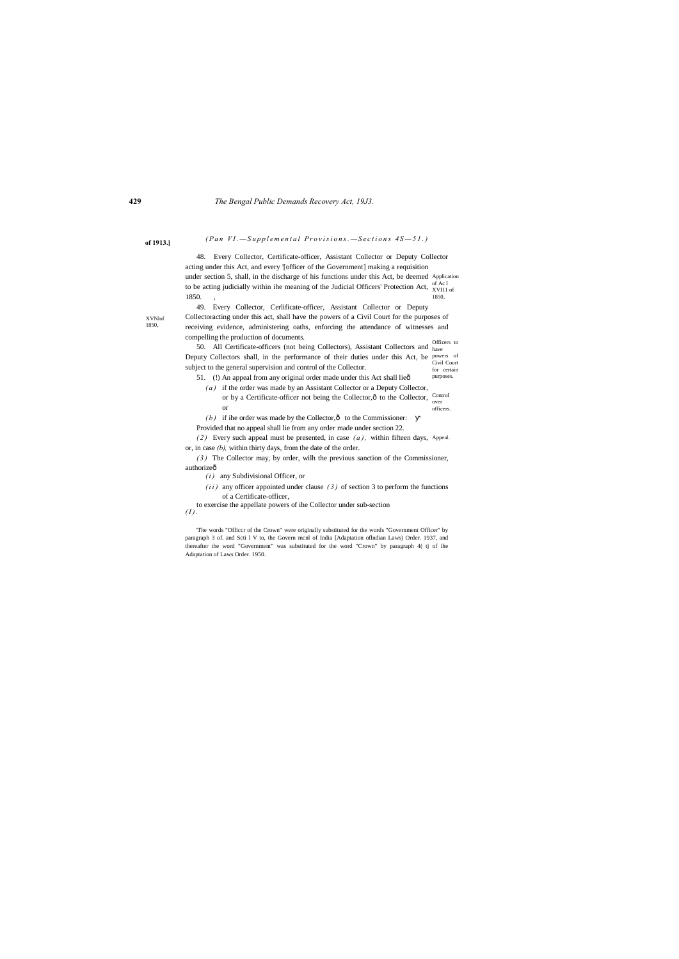# **of 1913.**] *(Pan VI. - Supplemental Provisions. - Sections 4S-51.)*

under section 5, shall, in the discharge of his functions under this Act, be deemed Application of Ac I to be acting judicially within ihe meaning of the Judicial Officers' Protection Act,  $\frac{M}{X}$ VI11 of 1850, 48. Every Collector, Certificate-officer, Assistant Collector or Deputy Collector acting under this Act, and every '[officer of the Government] making a requisition 1850.

XVNlof 1850,

> Officers to 50. All Certificate-officers (not being Collectors), Assistant Collectors and have powers of Deputy Collectors shall, in the performance of their duties under this Act, be powers of Civil Court for certain purposes. subject to the general supervision and control of the Collector.

51. (!) An appeal from any original order made under this Act shall lieô

49. Every Collector, Cerlificate-officer, Assistant Collector or Deputy Collectoracting under this act, shall have the powers of a Civil Court for the purposes of receiving evidence, administering oaths, enforcing the attendance of witnesses and compelling the production of documents.

(2) Every such appeal must be presented, in case  $(a)$ , within fifteen days, Appeal. or, in case *(b),* within thirty days, from the date of the order.

*( 3 )* The Collector may, by order, wilh the previous sanction of the Commissioner, authorizeô

*(i)* any Subdivisional Officer, or

- Control or by a Certificate-officer not being the Collector, $\hat{\text{o}}$  to the Collector,  $\frac{\text{Con}}{\text{over}}$ officers. *( a )* if the order was made by an Assistant Collector or a Deputy Collector, or
- $(b)$  if ihe order was made by the Collector, $\hat{0}$  to the Commissioner:
- Provided that no appeal shall lie from any order made under section 22.

 $(i i)$  any officer appointed under clause  $(3)$  of section 3 to perform the functions of a Certificate-officer,

to exercise the appellate powers of ihe Collector under sub-section  $(I)$ .

'The words "Officcr of the Crown" were originally substituted for the words "Government Officer" by paragraph 3 of. and Scti l V to, the Govern mcnl of India [Adaptation oflndian Laws) Order. 1937, and thereafter the word "Government" was substituted for the word "Crown" by paragraph 4( tj of ihe Adaptation of Laws Order. 1950.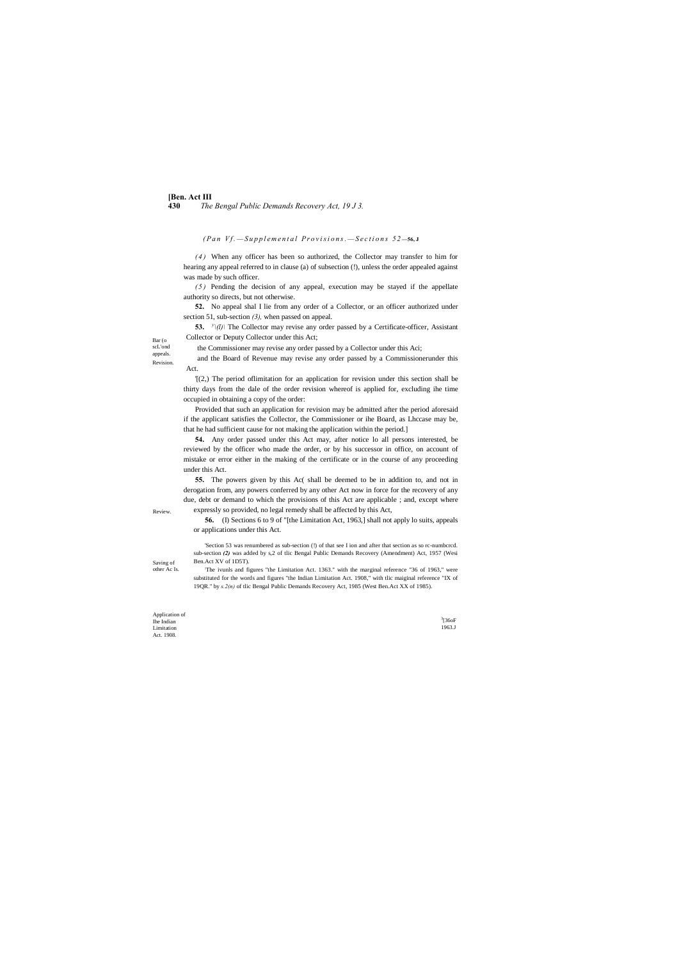# **[Ben. Act III 430** *The Bengal Public Demands Recovery Act, 19 J 3.*

*(Pan Vf.*  $-Supplemental Provisions. -Sections 52-56, J$ 

Bar (o scL'ond appeals. Revision.

Review.

Saving of other Ac Is.

Application of Ihe Indian Limitation Act. 1908.

3 [36oF 1963.J

*( 4 )* When any officer has been so authorized, the Collector may transfer to him for hearing any appeal referred to in clause (a) of subsection (!), unless the order appealed against was made by such officer.

**53.**  $\frac{y}{d}$  The Collector may revise any order passed by a Certificate-officer, Assistant Collector or Deputy Collector under this Act;

*( 5 )* Pending the decision of any appeal, execution may be stayed if the appellate authority so directs, but not otherwise.

**52.** No appeal shal I lie from any order of a Collector, or an officer authorized under section 51, sub-section *(3),* when passed on appeal.

the Commissioner may revise any order passed by a Collector under this Aci;

and the Board of Revenue may revise any order passed by a Commissionerunder this Act.

'[(2,) The period oflimitation for an application for revision under this section shall be thirty days from the dale of the order revision whereof is applied for, excluding ihe time occupied in obtaining a copy of the order:

The ivunls and figures "the Limitation Act. 1363." with the marginal reference "36 of 1963," were substituted for the words and figures "the Indian Limitation Act. 1908," with tlic maiginal reference "IX of 19QR." by *s.2(n)* of tlic Bengal Public Demands Recovery Act, 1985 (West Ben.Act XX of 1985).

Provided that such an application for revision may be admitted after the period aforesaid if the applicant satisfies the Collector, the Commissioner or ihe Board, as Lhccase may be, that he had sufficient cause for not making the application within the period.]

**54.** Any order passed under this Act may, after notice lo all persons interested, be reviewed by the officer who made the order, or by his successor in office, on account of mistake or error either in the making of the certificate or in the course of any proceeding under this Act.

**55.** The powers given by this Ac( shall be deemed to be in addition to, and not in derogation from, any powers conferred by any other Act now in force for the recovery of any due, debt or demand to which the provisions of this Act are applicable ; and, except where expressly so provided, no legal remedy shall be affected by this Act,

**56.** (I) Sections 6 to 9 of "[the Limitation Act, 1963,] shall not apply lo suits, appeals or applications under this Act.

'Section 53 was renumbered as sub-section (!) of that see I ion and after that section as so rc-numbcrcd. sub-section *(2)* was added by s,2 of tlic Bengal Public Demands Recovery (Amendment) Act, 1957 (Wesi Ben.Act XV of 1D5T).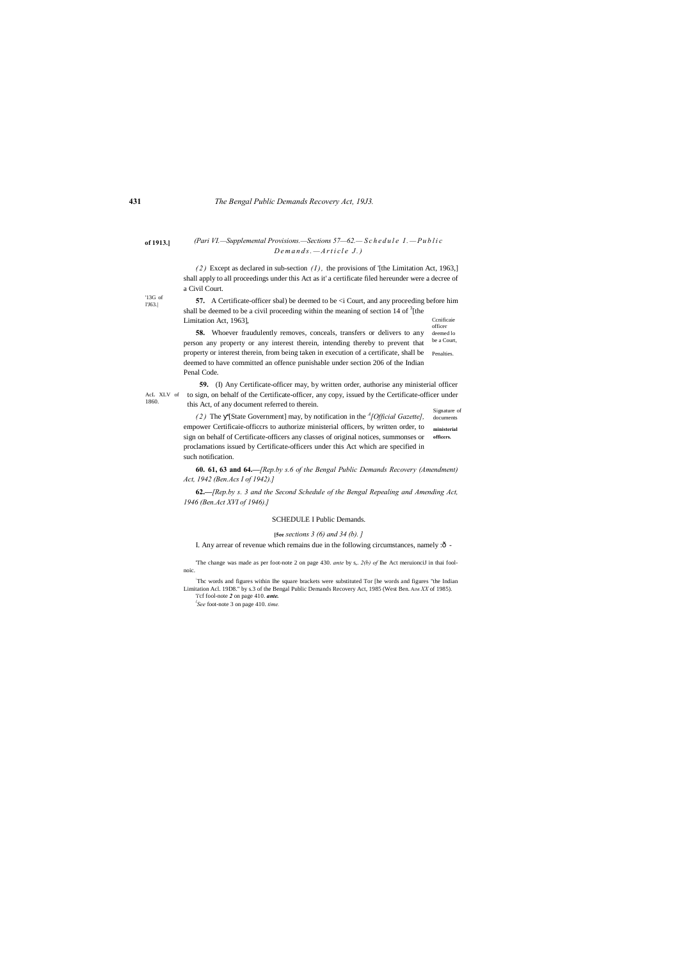'13G of l'J63.|

1860.

# **of 1913.]** *(Pari VI.—Supplemental Provisions.—Sections 57—62.— S c h e d u l e I . — P u b l i c D e m a n d s . — A r t i c l e J . )*

 $(2)$  Except as declared in sub-section  $(I)$ , the provisions of '[the Limitation Act, 1963,] shall apply to all proceedings under this Act as it' a certificate filed hereunder were a decree of a Civil Court.

Ccnificaie **57.** A Certificate-officer sbal) be deemed to be  $\leq$  Court, and any proceeding before him shall be deemed to be a civil proceeding within the meaning of section 14 of  $3$ [the Limitation Act, 1963],

officer deemed lo be a Court, Penalties. **58.** Whoever fraudulently removes, conceals, transfers or delivers to any person any property or any interest therein, intending thereby to prevent that property or interest therein, from being taken in execution of a certificate, shall be deemed to have committed an offence punishable under section 206 of the Indian Penal Code.

AcL XLV of to sign, on behalf of the Certificate-officer, any copy, issued by the Certificate-officer under **59.** (I) Any Certificate-officer may, by written order, authorise any ministerial officer this Act, of any document referred to therein.

Signature of documents **ministerial officers.** *( 2 )* The '[State Government] may, by notification in the *<sup>A</sup> [Official Gazette],* empower Certificaie-officcrs to authorize ministerial officers, by written order, to sign on behalf of Certificate-officers any classes of original notices, summonses or proclamations issued by Certificate-officers under this Act which are specified in such notification.

**60. 61, 63 and 64.—***[Rep.by s.6 of the Bengal Public Demands Recovery (Amendment) Act, 1942 (Ben.Acs I of 1942).]*

**62.—***[Rep.by s. 3 and the Second Schedule of the Bengal Repealing and Amending Act, 1946 (Ben.Act XVI of 1946).]*

### SCHEDULE I Public Demands.

# **[5ee** *sections 3 (6) and 34 (b). ]*

I. Any arrear of revenue which remains due in the following circumstances, namely :ô -

'The change was made as per foot-note 2 on page 430. *ante* by s,. *2(b) of* Ihe Act meruionciJ in thai foolnoic.

: Thc words and figures within Ihe square brackets were substituted Tor [he words and figures "the Indian Limitation Acl. 19D8." by s.3 of the Bengal Public Demands Recovery Act, 1985 (West Ben. AIM *XX* of 1985).

'i'cf fool-note *2* on page 410. *ante.*

*l See* foot-note 3 on page 410. *time.*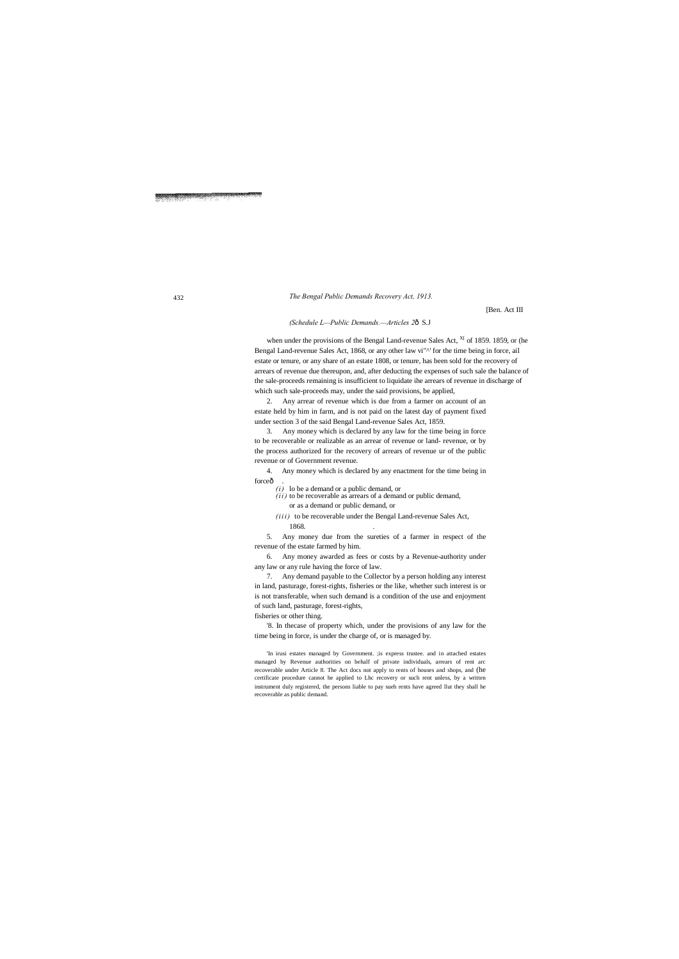[Ben. Act III

### *(Schedule L—Public Demands.—Articles 2*—S.J

when under the provisions of the Bengal Land-revenue Sales Act,  $X<sup>[X]</sup>$  of 1859. 1859, or (he Bengal Land-revenue Sales Act, 1868, or any other law vi"<sup>^</sup>' for the time being in force, ail estate or tenure, or any share of an estate 1808, or tenure, has been sold for the recovery of arrears of revenue due thereupon, and, after deducting the expenses of such sale the balance of the sale-proceeds remaining is insufficient to liquidate ihe arrears of revenue in discharge of which such sale-proceeds may, under the said provisions, be applied,

4. Any money which is declared by any enactment for the time being in forceô

- *(ii)* to be recoverable as arrears of a demand or public demand, or as a demand or public demand, or
- *(iii)* to be recoverable under the Bengal Land-revenue Sales Act, 1868.

2. Any arrear of revenue which is due from a farmer on account of an estate held by him in farm, and is not paid on the latest day of payment fixed under section 3 of the said Bengal Land-revenue Sales Act, 1859.

3. Any money which is declared by any law for the time being in force to be recoverable or realizable as an arrear of revenue or land- revenue, or by the process authorized for the recovery of arrears of revenue ur of the public revenue or of Government revenue.

*(i)* lo be a demand or a public demand, or

5. Any money due from the sureties of a farmer in respect of the revenue of the estate farmed by him.

6. Any money awarded as fees or costs by a Revenue-authority under any law or any rule having the force of law.

7. Any demand payable to the Collector by a person holding any interest in land, pasturage, forest-rights, fisheries or the like, whether such interest is or is not transferable, when such demand is a condition of the use and enjoyment of such land, pasturage, forest-rights,

fisheries or other thing.

'8. In thecase of property which, under the provisions of any law for the time being in force, is under the charge of, or is managed by.

'In irusi estates managed by Government. ;is express trustee. and in attached estates managed by Revenue authorities on behalf of private individuals, arrears of rent arc recoverable under Article 8. The Act docs not apply to rents of houses and shops, and (he certificate procedure cannot he applied to Lhc recovery or such rent unless, by a written instrument duly registered, the persons liable to pay sueh rents have agreed llut they shall he recoverable as public demand.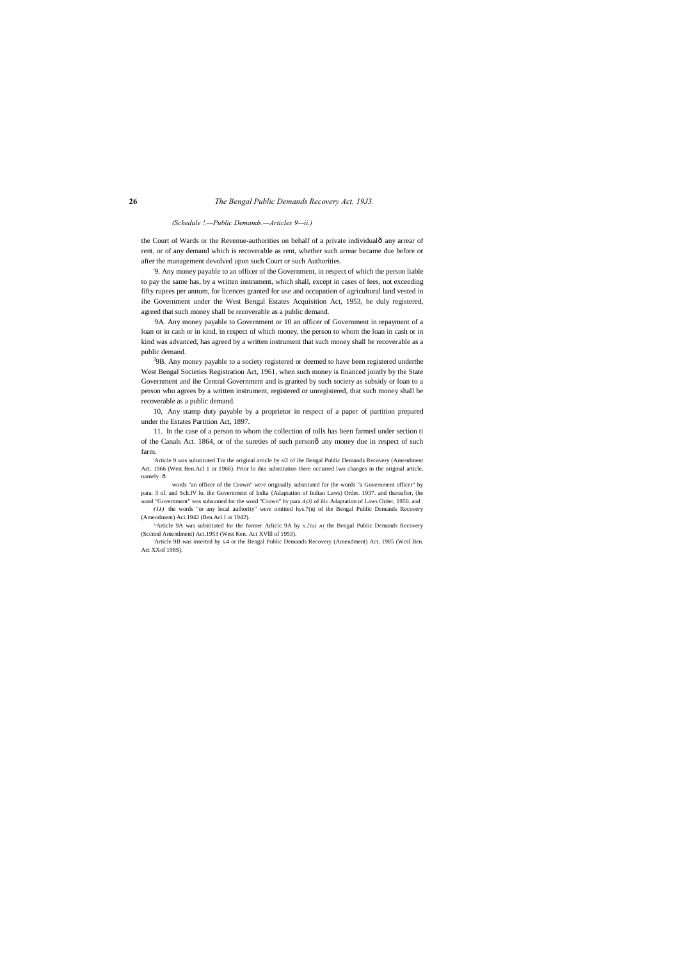### *(Schedule !.—Public Demands.—Articles 9—ii.)*

the Court of Wards or the Revenue-authorities on behalf of a private individualô any arrear of rent, or of any demand which is recoverable as rent, whether such arrear became due before or after the management devolved upon such Court or such Authorities.

'9. Any money payable to an officer of the Government, in respect of which the person liable to pay the same has, by a written instrument, which shall, except in cases of fees, not exceeding fifty rupees per annum, for licences granted for use and occupation of agricultural land vested in ihe Government under the West Bengal Estates Acquisition Act, 1953, be duly registered, agreed that such money shall be recoverable as a public demand.

<sup>3</sup>9B. Any money payable to a society registered or deemed to have been registered underthe West Bengal Societies Registration Act, 1961, when such money is financed jointly by the State Government and ihe Central Government and is granted by such society as subsidy or loan to a person who agrees by a written instrument, registered or unregistered, that such money shall be recoverable as a public demand.

'Article 9 was substituted Tor the original article by s/2 of ihe Bengal Public Demands Recovery (Amendment Act. 1966 (West Ben.Acl 1 or 1966). Prior lo ihis substitution there occurred lwo changes in the original article, namely :ô

: 9A. Any money payable to Government or 10 an officer of Government in repayment of a loan or in cash or in kind, in respect of which money, the person to whom the loan in cash or in kind was advanced, has agreed by a written instrument that such money shall be recoverable as a public demand.

(ii) the words "or any local authority" were omitted hys.7(nj of the Bengal Public Demands Recovery (Amendment) Aci.1942 (Ben.Aci I or 1942).

10, Any stamp duty payable by a proprietor in respect of a paper of partition prepared under the Estates Partition Act, 1897.

11. In the case of a person to whom the collection of tolls has been farmed under seciion ti of the Canals Act. 1864, or of the sureties of such personô any money due in respect of such farm.

words "an officer of the Crown" were originally substituted for (he words "a Government officer" by para. 3 of. and Sch.IV lo. ihe Government of India {Adaptation of Indian Laws) Order. 1937. and thereafter, (he word "Government" was subsumed for the word "Crown" by para *A(J)* of ilic Adaptation of Laws Order, 1950. and

^Article 9A was substituted for the former Arliclc 9A by *s.2(a) n(* the Bengal Public Demands Recovery (Sccnnd Amendment) Act.1953 (West Ken. Aci XVlll of 1953).

'Article 9B was inserted by s.4 or the Bengal Public Demands Recovery (Amendment) Act, 1985 (Wcsl Ben. Act XXof 198S).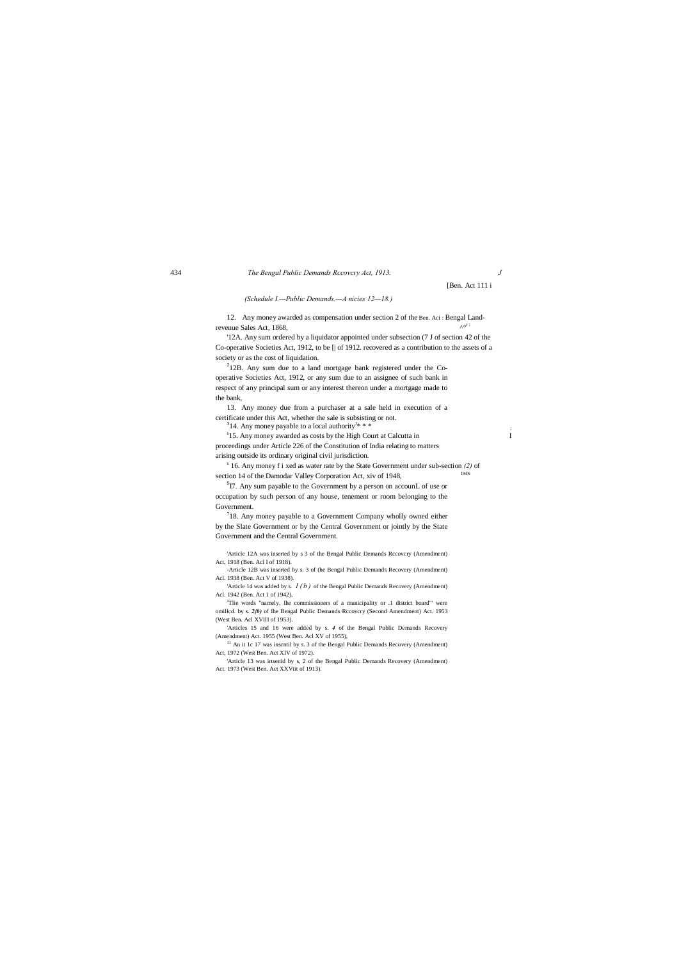12. Any money awarded as compensation under section 2 of the Ben. Aci : Bengal Landrevenue Sales Act, 1868,

[Ben. Act 111 i

*(Schedule I.—Public Demands.—A nicies 12—18.)*

'12A. Any sum ordered by a liquidator appointed under subsection (7 J of section 42 of the Co-operative Societies Act, 1912, to be [| of 1912. recovered as a contribution to the assets of a society or as the cost of liquidation.

 $212B$ . Any sum due to a land mortgage bank registered under the Cooperative Societies Act, 1912, or any sum due to an assignee of such bank in respect of any principal sum or any interest thereon under a mortgage made to the bank,

13. Any money due from a purchaser at a sale held in execution of a certificate under this Act, whether the sale is subsisting or not.

<sup>3</sup>14. Any money payable to a local authority<sup>J\*</sup> \* \*  $* * *$ 

<sup>s</sup>15. Any money awarded as costs by the High Court at Calcutta in I proceedings under Article 226 of the Constitution of India relating to matters arising outside its ordinary original civil jurisdiction.

<sup>s</sup> 16. Any money f i xed as water rate by the State Government under sub-section *(2)* of section 14 of the Damodar Valley Corporation Act, xiv of 1948,

 ${}^{S}$ I7. Any sum payable to the Government by a person on accounL of use or occupation by such person of any house, tenement or room belonging to the Government.

 $718$ . Any money payable to a Government Company wholly owned either by the Slate Government or by the Central Government or jointly by the State Government and the Central Government.

'Article 14 was added by s.  $1(b)$  of the Bengal Public Demands Recovery (Amendment) Acl. 1942 (Ben. Act 1 of 1942),

<sup>J</sup>Tlie words "namely, Ihe commissioners of a municipality or .1 district board"' were omillcd. by s. 2*{b)* of Ihe Bengal Public Demands Rccovcry (Second Amendment) Act. 1953 (West Ben. Acl XVIII of 1953).

 $11$  An it 1c 17 was inscntil by s. 3 of the Bengal Public Demands Recovery (Amendment) Act, 1972 (West Ben. Act XIV of 1972).

'Article 12A was inserted by s 3 of the Bengal Public Demands Rccovcry (Amendment) Act, 1918 (Ben. Acl I of 1918).

-Article 12B was inserted by s. 3 of (he Bengal Public Demands Recovery (Amendment) Acl. 1938 (Ben. Act V of 1938).

'Articles 15 and 16 were added by s. *4* of the Bengal Public Demands Recovery (Amendment) Act. 1955 (West Ben. Acl XV of 1955),

'Article 13 was irtsenid by s, 2 of the Bengal Public Demands Recovery (Amendment) Act. 1973 (West Ben. Act XXVtit of 1913).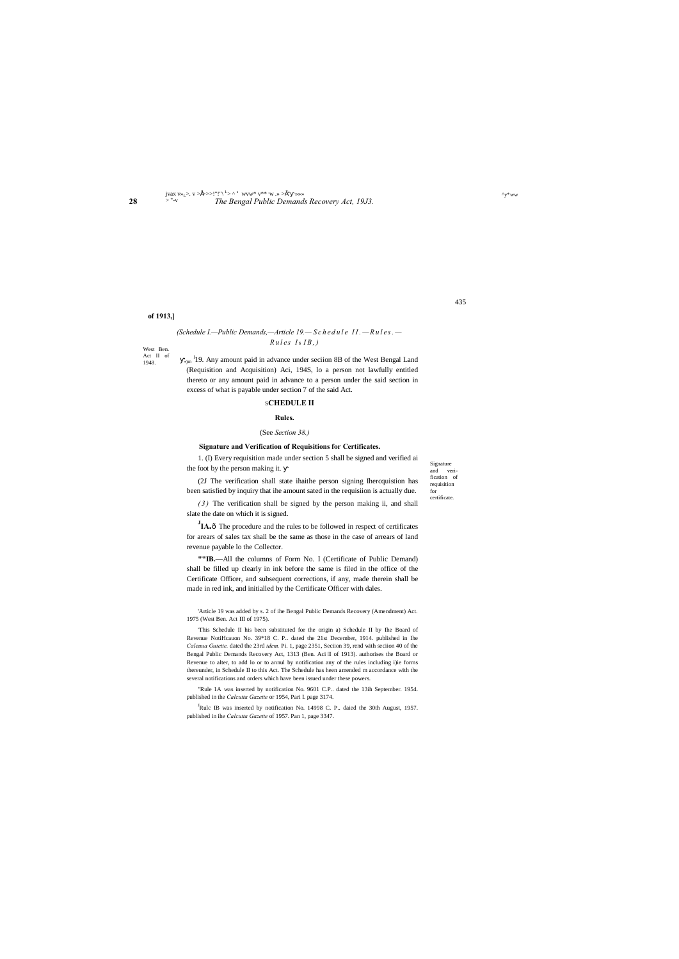West Ben. Act II of 1948.

### **28** *The Bengal Public Demands Recovery Act, 19J3.* jvax v»L>. v >•>>>!"!"\ <sup>L</sup> > ^ <sup>s</sup> wvw\* v\*\* , w .» >"" »»» > "-v

# *(Schedule I.—Public Demands,—Article 19.— S c h e d u l e I I . —R u l e s . —*  $Rules$  *I*<sup>0</sup> *IB*, *)*

Signature and verification of requisition for certificate.

435

 $\mathbf{v}^*$ ww

### **of 1913,]**

 $_{\text{dm}}$ <sup>1</sup>19. Any amount paid in advance under seciion 8B of the West Bengal Land (Requisition and Acquisition) Aci, 194S, lo a person not lawfully entitled thereto or any amount paid in advance to a person under the said section in excess of what is payable under section 7 of the said Act.

### S**CHEDULE II**

### **Rules.**

**J<sub>IA.</sub>** The procedure and the rules to be followed in respect of certificates for arears of sales tax shall be the same as those in the case of arrears of land revenue payable lo the Collector.

### (See *Section 38.)*

# **Signature and Verification of Requisitions for Certificates.**

1. (I) Every requisition made under section 5 shall be signed and verified ai the foot by the person making it.

(2J The verification shall state ihaithe person signing Ihercquistion has been satisfied by inquiry that ihe amount sated in the requisiion is actually due.

*( 3 )* The verification shall be signed by the person making ii, and shall slate the date on which it is signed.

<sup>J</sup>Rulc IB was inserted by notification No. 14998 C. P.. daied the 30th August, 1957. published in ihe *Calcutta Gazette* of 1957. Pan 1, page 3347.

**""IB.—**All the columns of Form No. I (Certificate of Public Demand) shall be filled up clearly in ink before the same is filed in the office of the Certificate Officer, and subsequent corrections, if any, made therein shall be made in red ink, and initialled by the Certificate Officer with dales.

'Article 19 was added by s. 2 of ihe Bengal Public Demands Recovery (Amendment) Act. 1975 (West Ben. Act III of 1975).

'This Schedule II his been substituted for the origin a) Schedule II by Ihe Board of Revenue NotiHcauon No. 39\*18 C. P.. dated the 21st December, 1914. published in Ihe *Caleuua Guietie.* dated the 23rd *idem.* Pi. 1, page 2351, Seciion 39, rend with seciion 40 of the Bengal Public Demands Recovery Act, 1313 (Ben. Aci III of 1913). authorises the Board or Revenue to alter, to add lo or to annul by notification any of the rules including i)ie forms thereunder, in Schedule II to this Act. The Schedule has heen amended m accordance with the several notifications and orders which have been issued under these powers.

"Rule 1A was inserted by notification No. 9601 C.P.. dated the 13ih September. 1954. published in the *Calcutta Gazette* or 1954, Pari I. page 3174.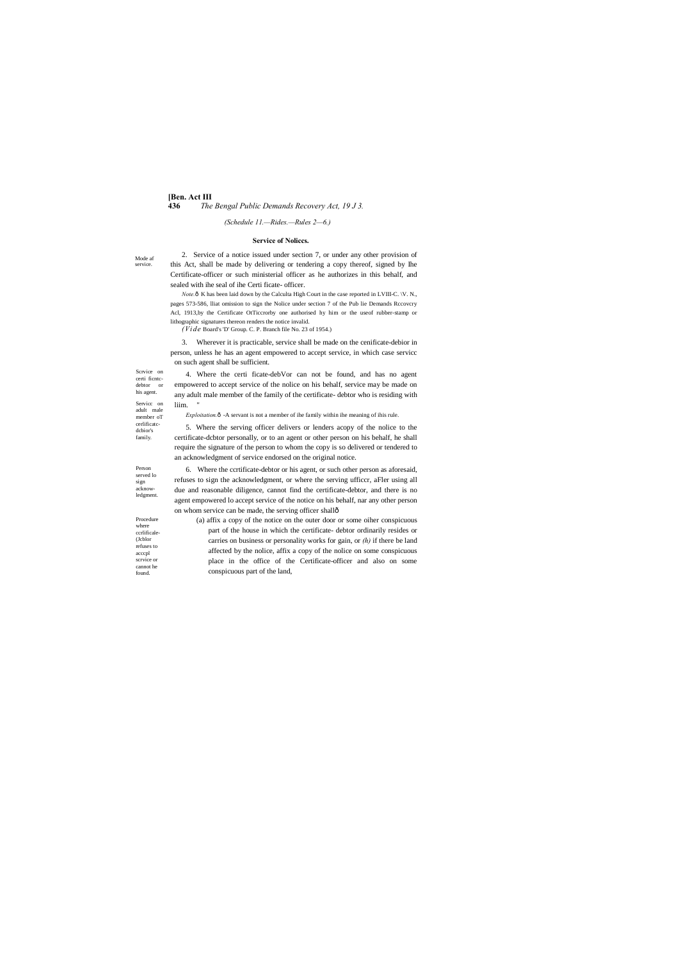### **[Ben. Act III**

**436** *The Bengal Public Demands Recovery Act, 19 J 3.*

Mode af service.

Scrvice on certi ficntcdebtor or his agent. Servicc on adult male member oT cerlificatcdcbior's family.

Person served lo sign acknowledgment.

Procedure where ccrlificale- (Jcblor refuses to acccpl scrvice or

cannot he found.

# *(Schedule 11.—Rides.—Rules 2—6.)*

### **Service of Noliccs.**

*Note*. $\hat{\text{o}}$  K has been laid down by the Calculta High Court in the case reported in LVIII-C. \V. N., pages 573-586, lliat omission to sign the Nolice under section 7 of the Pub lie Demands Rccovcry Acl, 1913,by the Certificate OtTiccrorby one authorised hy him or the useof rubber-stamp or lithographic signatures thereon renders the notice invalid.

2. Service of a notice issued under section 7, or under any other provision of this Act, shall be made by delivering or tendering a copy thereof, signed by Ihe Certificate-officer or such ministerial officer as he authorizes in this behalf, and sealed with ihe seal of ihe Certi ficate- officer.

4. Where the certi ficate-debVor can not be found, and has no agent empowered to accept service of the nolice on his behalf, service may be made on any adult male member of the family of the certificate- debtor who is residing with liim.

*Exploitation.* $ô$  -A servant is not a member of ihe family within ihe meaning of ihis rule.

6. Where the ccrtificate-debtor or his agent, or such other person as aforesaid, refuses to sign the acknowledgment, or where the serving ufficcr, aFler using all due and reasonable diligence, cannot find the certificate-debtor, and there is no agent empowered lo accept service of the notice on his behalf, nar any other person on whom service can be made, the serving officer shallô

*(Vide* Board's 'D' Group. C. P. Branch file No. 23 of 1954.)

3. Wherever it is practicable, service shall be made on the cenificate-debior in person, unless he has an agent empowered to accept service, in which case servicc on such agent shall be sufficient.

5. Where the serving officer delivers or lenders acopy of the nolice to the certificate-dcbtor personally, or to an agent or other person on his behalf, he shall require the signature of the person to whom the copy is so delivered or tendered to an acknowledgment of service endorsed on the original notice.

(a) affix a copy of the notice on the outer door or some oiher conspicuous part of the house in which the certificate- debtor ordinarily resides or carries on business or personality works for gain, or *(h)* if there be land affected by the nolice, affix a copy of the nolice on some conspicuous place in the office of the Certificate-officer and also on some conspicuous part of the land,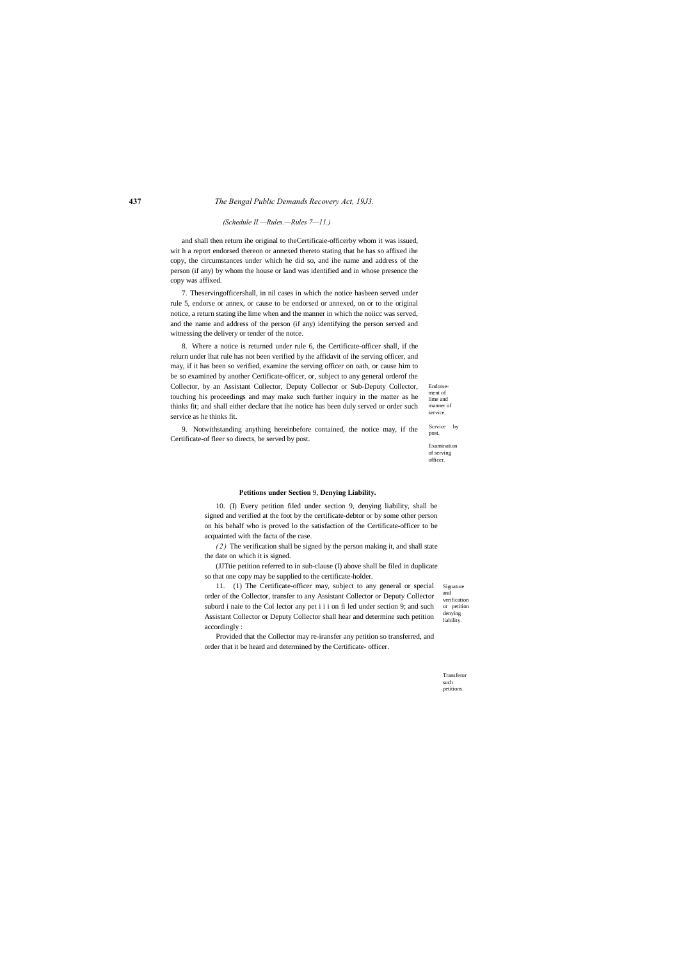Endorse ment of lime and manner of service.

Examination of serving officer.

Signature and verification or petition denying liability.

### *(Schedule II.—Rules.—Rules 7—11.)*

and shall then return ihe original to theCertificaie-officerby whom it was issued, wit h a report endorsed thereon or annexed thereto stating that he has so affixed ihe copy, the circumstances under which he did so, and ihe name and address of the person (if any) by whom the house or land was identified and in whose presence the copy was affixed.

7. Theservingofficershall, in nil cases in which the notice hasbeen served under rule 5, endorse or annex, or cause to be endorsed or annexed, on or to the original notice, a return stating ihe lime when and the manner in which the noiicc was served, and the name and address of the person (if any) identifying the person served and witnessing the delivery or tender of the notce.

Scrvice by post. 9. Notwithstanding anything hereinbefore contained, the notice may, if the Certificate-of fleer so directs, be served by post.

8. Where a notice is returned under rule 6, the Certificate-officer shall, if the relurn under lhat rule has not been verified by the affidavit of ihe serving officer, and may, if it has been so verified, examine the serving officer on oath, or cause him to be so examined by another Certificate-officer, or, subject to any general orderof the Collector, by an Assistant Collector, Deputy Collector or Sub-Deputy Collector, touching his proceedings and may make such further inquiry in the matter as he thinks fit; and shall either declare that ihe notice has been duly served or order such service as he thinks fit.

### **Petitions under Section** 9, **Denying Liability.**

10. (I) Every petition filed under section 9, denying liability, shall be signed and verified at the foot by the certificate-debtor or by some other person on his behalf who is proved lo the satisfaction of the Certificate-officer to be acquainted with the facta of the case.

*( 2 )* The verification shall be signed by the person making it, and shall state the date on which it is signed.

(JJTtie petition referred to in sub-clause (I) above shall be filed in duplicate so that one copy may be supplied to the certificate-holder.

11. (1) The Certificate-officer may, subject to any general or special order of the Collector, transfer to any Assistant Collector or Deputy Collector subord i naie to the Col lector any pet i i i on fi led under section 9; and such Assistant Collector or Deputy Collector shall hear and determine such petition accordingly :

Provided that the Collector may re-iransfer any petition so transferred, and order that it be heard and determined by the Certificate- officer.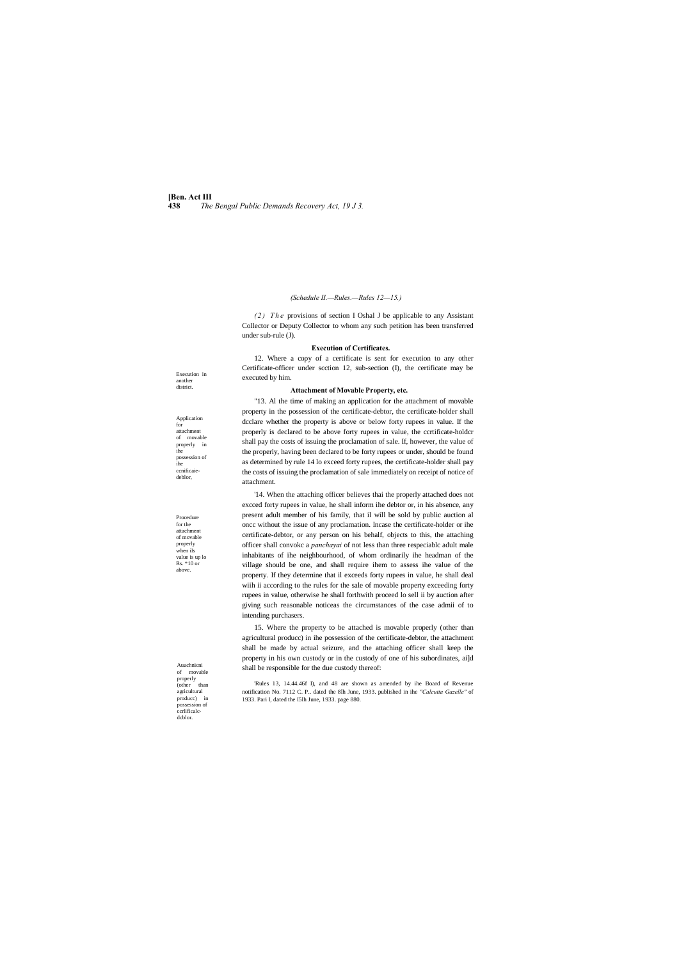**[Ben. Act III 438** *The Bengal Public Demands Recovery Act, 19 J 3.*

Execution in another district.

Application for attachment of movable properly in ihe possession of ihe ccnificaiedeblor,

Procedure for the attachment of movable properly when ils value is up lo Rs. \*10 or above.

*(2)* The provisions of section I Oshal J be applicable to any Assistant Collector or Deputy Collector to whom any such petition has been transferred under sub-rule (J).

Auachnicni of movable properly (other than agricultural producc) in possession of ccrlificalcdcblor.

### *(Schedule II.—Rules.—Rules 12—15.)*

### **Execution of Certificates.**

12. Where a copy of a certificate is sent for execution to any other Certificate-officer under scction 12, sub-section (I), the certificate may be executed by him.

### **Attachment of Movable Property, etc.**

"13. Al the time of making an application for the attachment of movable property in the possession of the certificate-debtor, the certificate-holder shall dcclare whether the property is above or below forty rupees in value. If the properly is declared to be above forty rupees in value, the ccrtificate-holdcr shall pay the costs of issuing the proclamation of sale. If, however, the value of the properly, having been declared to be forty rupees or under, should be found as determined by rule 14 lo exceed forty rupees, the certificate-holder shall pay the costs of issuing the proclamation of sale immediately on receipt of notice of attachment.

'14. When the attaching officer believes thai the properly attached does not excced forty rupees in value, he shall inform ihe debtor or, in his absence, any present adult member of his family, that il will be sold by public auction al oncc without the issue of any proclamation. Incase the certificate-holder or ihe certificate-debtor, or any person on his behalf, objects to this, the attaching officer shall convokc a *panchayai* of not less than three respeciablc adult male inhabitants of ihe neighbourhood, of whom ordinarily ihe headman of the village should be one, and shall require ihem to assess ihe value of the property. If they determine that il exceeds forty rupees in value, he shall deal wiih ii according to the rules for the sale of movable property exceeding forty rupees in value, otherwise he shall forthwith proceed lo sell ii by auction after giving such reasonable noticeas the circumstances of the case admii of to intending purchasers.

15. Where the property to be attached is movable properly (other than agricultural producc) in ihe possession of the certificate-debtor, the attachment shall be made by actual seizure, and the attaching officer shall keep the property in his own custody or in the custody of one of his subordinates, ai]d shall be responsible for the due custody thereof:

'Rules 13, 14.44.46f I), and 48 are shown as amended by ihe Board of Revenue notification No. 7112 C. P.. dated the 8lh June, 1933. published in ihe *"Calcutta Gazelle"* of 1933. Pari I, dated the I5lh June, 1933. page 880.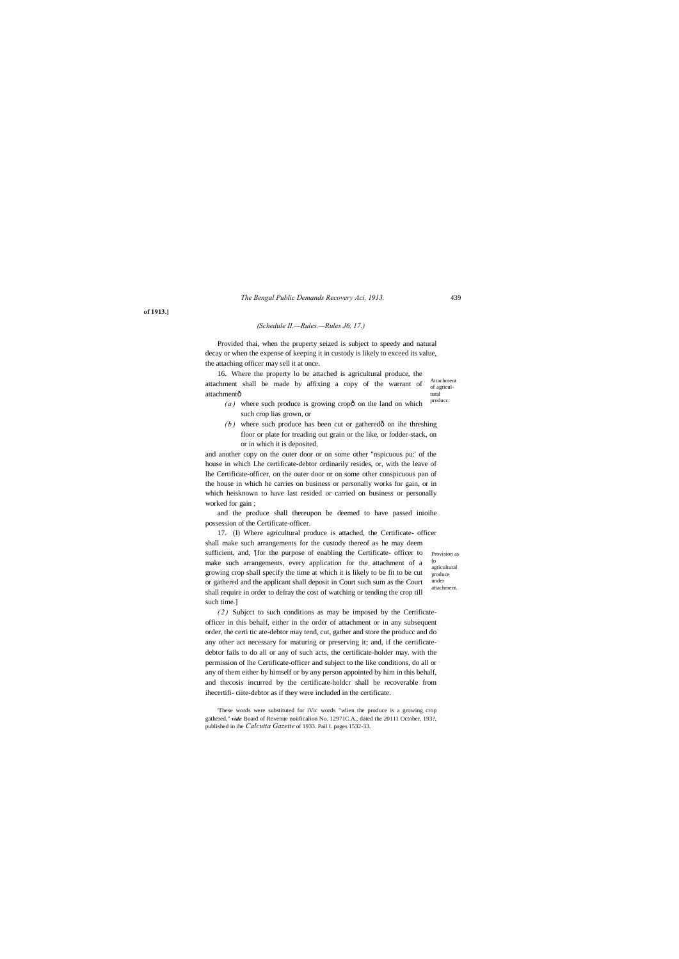439

Attachment of agricultural 16. Where the property lo be attached is agricultural produce, the attachment shall be made by affixing a copy of the warrant of attachmentô

**of 1913.]**

*The Bengal Public Demands Recovery Aci, 1913.*

### *(Schedule II.—Rules.—Rules J6, 17.)*

Provided thai, when the pruperty seized is subject to speedy and natural decay or when the expense of keeping it in custody is likely to exceed its value, the attaching officer may sell it at once.

- producc.  $(a)$  where such produce is growing cropô on the land on which such crop lias grown, or
- $(b)$  where such produce has been cut or gathered $\hat{o}$  on ihe threshing floor or plate for treading out grain or the like, or fodder-stack, on or in which it is deposited,

sufficient, and, '[for the purpose of enabling the Certificate- officer to Provision as  $\lceil$ o agricultural produce under attachment. 17. (I) Where agricultural produce is attached, the Certificate- officer shall make such arrangements for the custody thereof as he may deem make such arrangements, every application for the attachment of a growing crop shall specify the time at which it is likely to be fit to be cut or gathered and the applicant shall deposit in Court such sum as the Court shall require in order to defray the cost of watching or tending the crop till such time.]

and another copy on the outer door or on some other "nspicuous pu:' of the house in which Lhe certificate-debtor ordinarily resides, or, with the leave of lhe Certificate-officer, on the outer door or on some other conspicuous pan of the house in which he carries on business or personally works for gain, or in which heisknown to have last resided or carried on business or personally worked for gain ;

and the produce shall thereupon be deemed to have passed inioihe possession of the Certificate-officer.

*(2)* Subject to such conditions as may be imposed by the Certificateofficer in this behalf, either in the order of attachment or in any subsequent order, the certi tic ate-debtor may tend, cut, gather and store the producc and do any other act necessary for maturing or preserving it; and, if the certificatedebtor fails to do all or any of such acts, the certificate-holder may. with the permission of lhe Certificate-officer and subject to the like conditions, do all or any of them either by himself or by any person appointed by him in this behalf, and thecosis incurred by the certificate-holdcr shall be recoverable from ihecertifi- ciite-debtor as if they were included in the certificate.

'These words were substituted for iVic words "wlien the produce is a growing crop gathered," *vide* Board of Revenue noiificalion No. 12971C.A., dated the 20111 October. 193?.

published in ihe *Calcutta Gazette* of 1933. Pail I. pages 1532-33.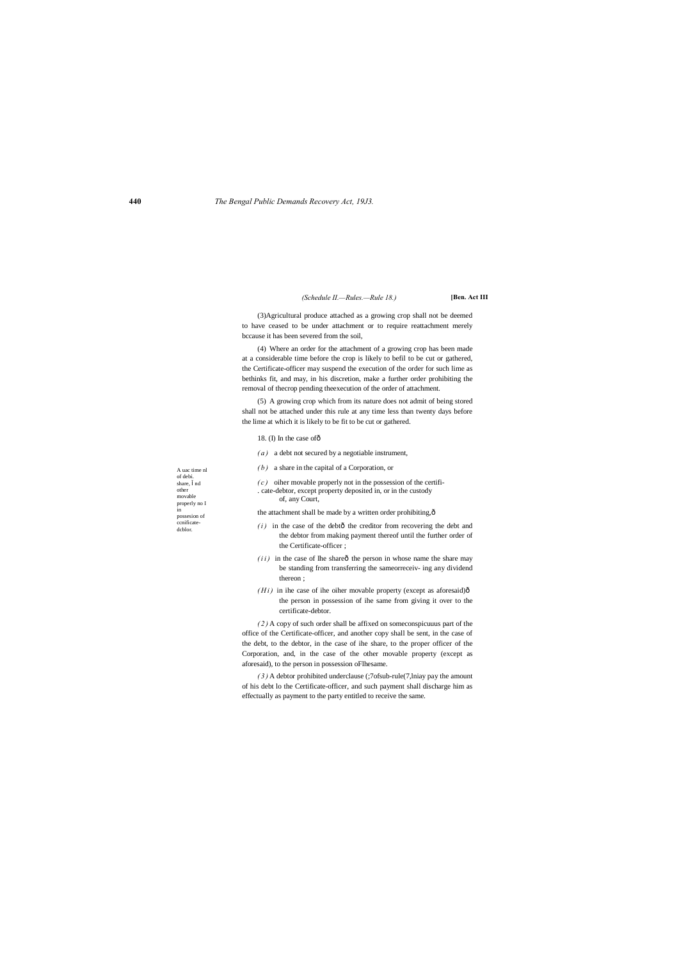A uac time nl of debi. share, nd other movable properly no I in possesion of ccnificatedcblor.

*(Schedule II.—Rules.—Rule 18.)* **[Ben. Act III**

(3)Agricultural produce attached as a growing crop shall not be deemed to have ceased to be under attachment or to require reattachment merely bccause it has been severed from the soil,

(4) Where an order for the attachment of a growing crop has been made at a considerable time before the crop is likely to befil to be cut or gathered, the Certificate-officer may suspend the execution of the order for such lime as bethinks fit, and may, in his discretion, make a further order prohibiting the removal of thecrop pending theexecution of the order of attachment.

(5) A growing crop which from its nature does not admit of being stored shall not be attached under this rule at any time less than twenty days before the lime at which it is likely to be fit to be cut or gathered.

### 18. (I) In the case of ô

- $(i)$  in the case of the debtô the creditor from recovering the debt and the debtor from making payment thereof until the further order of the Certificate-officer ;
- $(i i)$  in the case of Ihe share $\hat{0}$  the person in whose name the share may be standing from transferring the sameorreceiv- ing any dividend thereon ;
- $(Hi)$  in ihe case of ihe oiher movable property (except as aforesaid) $\hat{o}$ the person in possession of ihe same from giving it over to the certificate-debtor.
- *( a )* a debt not secured by a negotiable instrument,
- *( b )* a share in the capital of a Corporation, or

*( c )* oiher movable properly not in the possession of the certifi- . cate-debtor, except property deposited in, or in the custody of, any Court,

the attachment shall be made by a written order prohibiting, $\hat{o}$ 

*( 2 )* A copy of such order shall be affixed on someconspicuuus part of the office of the Certificate-officer, and another copy shall be sent, in the case of the debt, to the debtor, in the case of ihe share, to the proper officer of the Corporation, and, in the case of the other movable property (except as aforesaid), to the person in possession oFlhesame.

*( 3 )* A debtor prohibited underclause (;7ofsub-rule(7,lniay pay the amount of his debt lo the Certificate-officer, and such payment shall discharge him as effectually as payment to the party entitled to receive the same.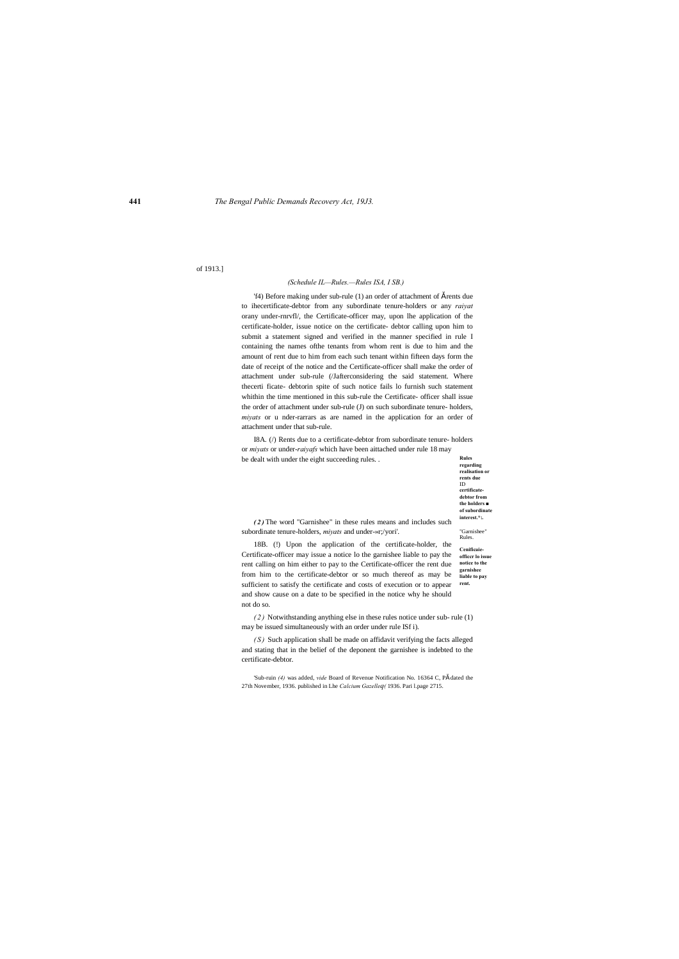**regarding realisation or rents due** ID **certificatedebtor from the holders ■ of subordinate interest.\*:.**

"Garnishee" Rules.

# of 1913.]

### *(Schedule IL—Rules.—Rules ISA, I SB.)*

'f4) Before making under sub-rule (1) an order of attachment of  $\check{s}$  rents due to ihecertificate-debtor from any subordinate tenure-holders or any *raiyat* orany under-rnrvfl/, the Certificate-officer may, upon lhe application of the certificate-holder, issue notice on the certificate- debtor calling upon him to submit a statement signed and verified in the manner specified in rule I containing the names ofthe tenants from whom rent is due to him and the amount of rent due to him from each such tenant within fifteen days form the date of receipt of the notice and the Certificate-officer shall make the order of attachment under sub-rule (/Jafterconsidering the said statement. Where thecerti ficate- debtorin spite of such notice fails lo furnish such statement whithin the time mentioned in this sub-rule the Certificate- officer shall issue the order of attachment under sub-rule (J) on such subordinate tenure- holders, *miyats* or u nder-rarrars as are named in the application for an order of attachment under that sub-rule.

**Rules**  I8A. (/) Rents due to a certificate-debtor from subordinate tenure- holders or *miyats* or under-*raiyafs* which have been aittached under rule 18 may be dealt with under the eight succeeding rules. .

**Cenificaieofficcr lo issue notice to the garnishee liable to pay rent.** 18B. (!) Upon the application of the certificate-holder, the Certificate-officer may issue a notice lo the garnishee liable to pay the rent calling on him either to pay to the Certificate-officer the rent due from him to the certificate-debtor or so much thereof as may be sufficient to satisfy the certificate and costs of execution or to appear and show cause on a date to be specified in the notice why he should not do so.

*(S)* Such application shall be made on affidavit verifying the facts alleged and stating that in the belief of the deponent the garnishee is indebted to the certificate-debtor.

'Sub-ruin (4) was added, *vide* Board of Revenue Notification No. 16364 C, Pš dated the 27th November, 1936. published in Lhe *Calcium Gazelleq(* 1936. Pari l.page 2715.

*( 2 )* The word "Garnishee" in these rules means and includes such subordinate tenure-holders, *miyats* and under-»r;/yori'.

*( 2 )* Notwithstanding anything else in these rules notice under sub- rule (1) may be issued simultaneously with an order under rule ISf i).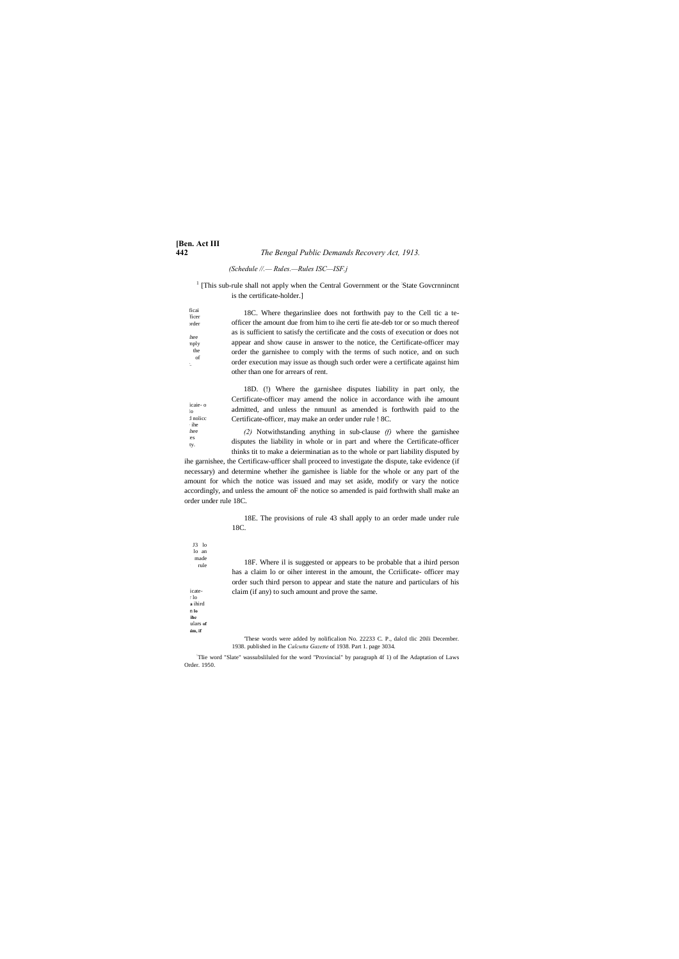# **[Ben. Act III 442** *The Bengal Public Demands Recovery Act, 1913.*

 $1$  [This sub-rule shall not apply when the Central Government or the 'State Governmincnt' is the certificate-holder.]

*(Schedule //.— Rules.—Rules ISC—ISF.j*

| ficai<br>ficer<br>order            | 18C. Where the garinalies does not forthwith pay to the Cell tic a te-<br>officer the amount due from him to ihe certi fie ate-deb tor or so much thereof |
|------------------------------------|-----------------------------------------------------------------------------------------------------------------------------------------------------------|
| shee                               | as is sufficient to satisfy the certificate and the costs of execution or does not                                                                        |
| mply<br>the<br><sub>of</sub><br>÷. | appear and show cause in answer to the notice, the Certificate-officer may<br>order the garnishee to comply with the terms of such notice, and on such    |
|                                    | order execution may issue as though such order were a certificate against him<br>other than one for arrears of rent.                                      |

icaie- o  $\operatorname{\mathbf{d}}$  nolice 18D. (!) Where the garnishee disputes liability in part only, the Certificate-officer may amend the nolice in accordance with ihe amount admitted, and unless the nmuunl as amended is forthwith paid to the Certificate-officer, may make an order under rule ! 8C.

 $J3$  lo lo an made rule **.Male ihe**  ulars of **his claim, if**  18F. Where il is suggested or appears to be probable that a ihird person has a claim lo or oiher interest in the amount, the Ccriificate- officer may order such third person to appear and state the nature and particulars of his claim (if any) to such amount and prove the same. 'These words were added by nolificalion No. 22233 C. P., dalcd tlic 20ili December. 1938. published in Ihe *Calcutta Gazette* of 1938. Part 1. page 3034.

*(2)* Notwithstanding anything in sub-clause *(f)* where the garnishee disputes the liability in whole or in part and where the Certificate-officer thinks tit to make a deierminatian as to the whole or part liability disputed by

ihe garnishee, the Certificaw-ufficer shall proceed to investigate the dispute, take evidence (if necessary) and determine whether ihe garnishee is liable for the whole or any part of the amount for which the notice was issued and may set aside, modify or vary the notice accordingly, and unless the amount oF the notice so amended is paid forthwith shall make an order under rule 18C.

> 18E. The provisions of rule 43 shall apply to an order made under rule 18C.

: TIie word "Slate" wassubsliluled for the word "Provincial" by paragraph 4f 1) of Ihe Adaptation of Laws Order. 1950.

icate- $\pm 1$ o  $\mathbf a$ ihird  $\mathbf n$  lo

 $\log$ 

 $:$ ihe shee  $\mathop{\mathrm{les}}$ ty.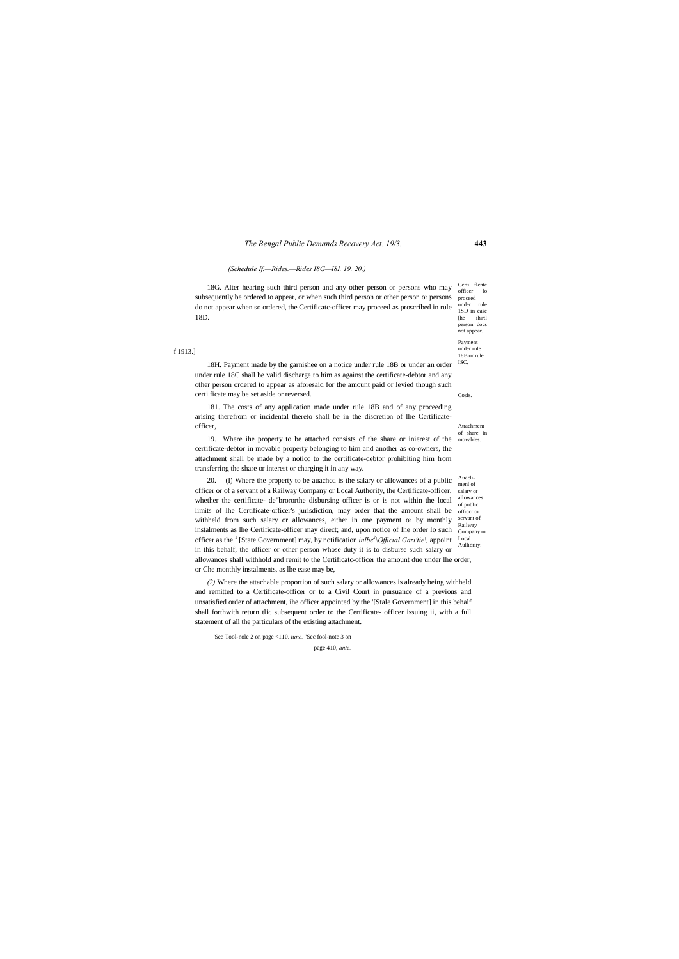#### *The Bengal Public Demands Recovery Act. 19/3.* **443**

Ccrti flcnte officcr lo under rule 1SD in case [he ihirt] person docs not appear.

Payment under rule 18B or rule ISC,

Cosis.

Attachment of share in movables.

Auaclisalary or allowances of public officcr or servant of Railway Company or Aullioriiy.

of 1913.]

proceed 18G. Alter hearing such third person and any other person or persons who may subsequently be ordered to appear, or when such third person or other person or persons do not appear when so ordered, the Certificatc-officer may proceed as proscribed in rule 18D.

#### *(Schedule If.—Rides.—Rides I8G—I8I. 19. 20.)*

18H. Payment made by the garnishee on a notice under rule 18B or under an order under rule 18C shall be valid discharge to him as against the certificate-debtor and any other person ordered to appear as aforesaid for the amount paid or levied though such certi ficate may be set aside or reversed.

181. The costs of any application made under rule 18B and of any proceeding arising therefrom or incidental thereto shall be in the discretion of lhe Certificateofficer,

menl of Local 20. (I) Where the property to be auachcd is the salary or allowances of a public officer or of a servant of a Railway Company or Local Authority, the Certificate-officer, whether the certificate- de"brororthe disbursing officer is or is not within the local limits of lhe Certificate-officer's jurisdiction, may order that the amount shall be withheld from such salary or allowances, either in one payment or by monthly instalments as lhe Certificate-officer may direct; and, upon notice of lhe order lo such officer as the 1 [State Government] may, by notification *inlbe2 \Official Gazi'tie\,* appoint in this behalf, the officer or other person whose duty it is to disburse such salary or allowances shall withhold and remit to the Certificatc-officer the amount due under lhe order, or Che monthly instalments, as lhe ease may be,

19. Where ihe property to be attached consists of the share or inierest of the certificate-debtor in movable property belonging to him and another as co-owners, the attachment shall be made by a noticc to the certificate-debtor prohibiting him from transferring the share or interest or charging it in any way.

*(2)* Where the attachable proportion of such salary or allowances is already being withheld and remitted to a Certificate-officer or to a Civil Court in pursuance of a previous and unsatisfied order of attachment, ihe officer appointed by the '[Stale Government] in this behalf shall forthwith return tlic subsequent order to the Certificate- officer issuing ii, with a full statement of all the particulars of the existing attachment.

'See Tool-nole 2 on page <110. *tunc.* "Sec fool-note 3 on page 410, *ante.*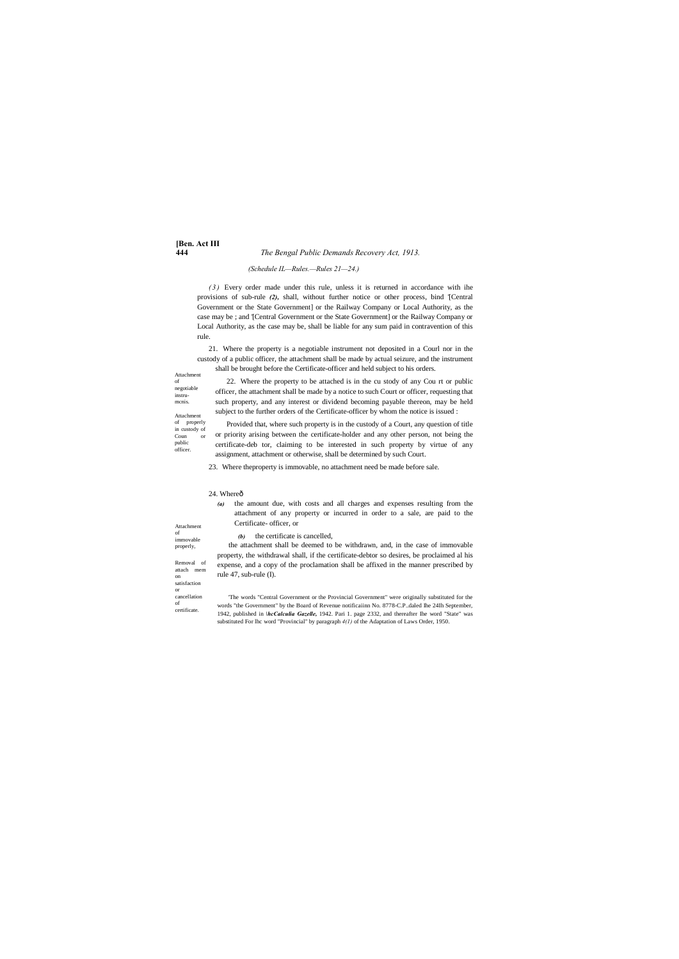# **[Ben. Act III**

#### **444** *The Bengal Public Demands Recovery Act, 1913.*

of negotiable instrumcnis.

public officer.

Attachment of immovable properly, Removal of attach mem on

satisfaction or cancellation of certificate.

#### *(Schedule IL—Rules.—Rules 21—24.)*

*( 3 )* Every order made under this rule, unless it is returned in accordance with ihe provisions of sub-rule *(2),* shall, without further notice or other process, bind '[Central Government or the State Government] or the Railway Company or Local Authority, as the case may be ; and '[Central Government or the State Government] or the Railway Company or Local Authority, as the case may be, shall be liable for any sum paid in contravention of this rule.

Attachment 22. Where the property to be attached is in the cu stody of any Cou rt or public officer, the attachment shall be made by a notice to such Court or officer, requesting that such property, and any interest or dividend becoming payable thereon, may be held subject to the further orders of the Certificate-officer by whom the notice is issued :

Attachment of properly in custody of Coun or Provided that, where such property is in the custody of a Court, any question of title or priority arising between the certificate-holder and any other person, not being the certificate-deb tor, claiming to be interested in such property by virtue of any assignment, attachment or otherwise, shall be determined by such Court.

21. Where the property is a negotiable instrument not deposited in a Courl nor in the custody of a public officer, the attachment shall be made by actual seizure, and the instrument shall be brought before the Certificate-officer and held subject to his orders.

23. Where theproperty is immovable, no attachment need be made before sale.

#### 24. Whereô

*(a)* the amount due, with costs and all charges and expenses resulting from the attachment of any property or incurred in order to a sale, are paid to the Certificate- officer, or

*(b)* the certificate is cancelled,

the attachment shall be deemed to be withdrawn, and, in the case of immovable property, the withdrawal shall, if the certificate-debtor so desires, be proclaimed al his expense, and a copy of the proclamation shall be affixed in the manner prescribed by rule 47, sub-rule (I).

'The words "Central Government or the Provincial Government'' were originally substituted for the words "the Government" by the Board of Revenue notificaiinn No. 8778-C.P..daled Ihe 24Ih September, 1942, published in *\hcCalculia Gazelle,* 1942. Pari 1. page 2332, and thereafter Ihe word "State" was substituted For lhc word "Provincial" by paragraph *4(1)* of the Adaptation of Laws Order, 1950.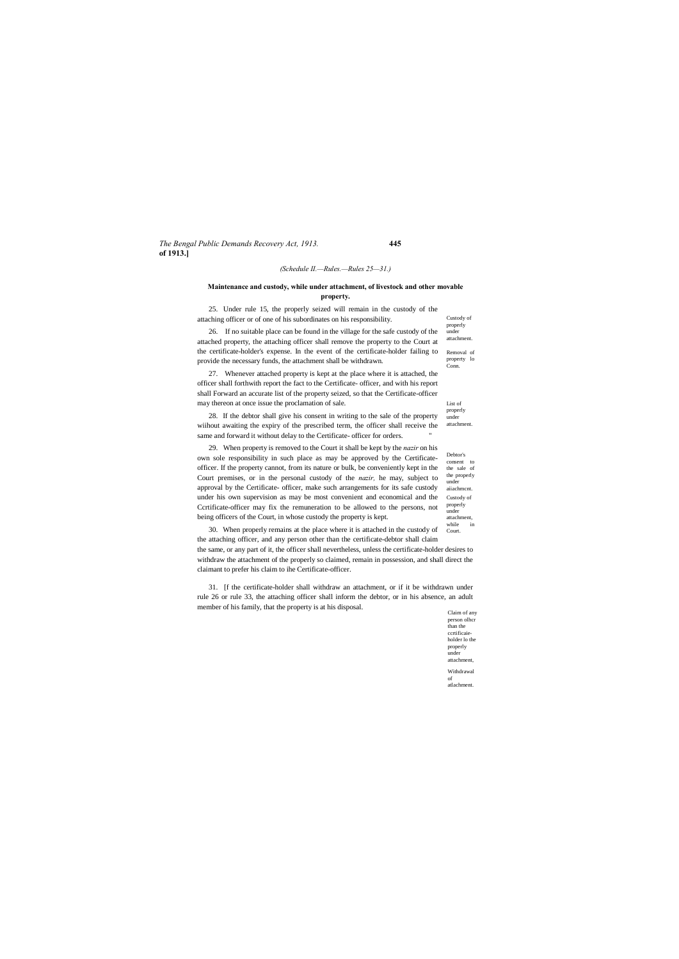#### *The Bengal Public Demands Recovery Act, 1913.* **445 of 1913.]**

Custody of

properly attachment. 28. If the debtor shall give his consent in writing to the sale of the property wiihout awaiting the expiry of the prescribed term, the officer shall receive the same and forward it without delay to the Certificate- officer for orders.

> Debtor's consent to the sale of the properly under aiiachmcnt. Custody of properly under attachment,<br>while in while

> properly under attachment. Removal of property lo Conn.

List of

under

Claim of any person olhcr than the ccrtificaieholder lo the properly under attachment, Withdrawal of atlachment.

#### *(Schedule II.—Rules.—Rules 25—31.)*

#### **Maintenance and custody, while under attachment, of livestock and other movable property.**

25. Under rule 15, the properly seized will remain in the custody of the attaching officer or of one of his subordinates on his responsibility.

26. If no suitable place can be found in the village for the safe custody of the attached property, the attaching officer shall remove the property to the Court at the certificate-holder's expense. In the event of the certificate-holder failing to provide the necessary funds, the attachment shall be withdrawn.

27. Whenever attached property is kept at the place where it is attached, the officer shall forthwith report the fact to the Certificate- officer, and with his report shall Forward an accurate list of the property seized, so that the Certificate-officer may thereon at once issue the proclamation of sale.

Court. 30. When properly remains at the place where it is attached in the custody of the attaching officer, and any person other than the certificate-debtor shall claim the same, or any part of it, the officer shall nevertheless, unless the certificate-holder desires to withdraw the attachment of the properly so claimed, remain in possession, and shall direct the claimant to prefer his claim to ihe Certificate-officer.

29. When property is removed to the Court it shall be kept by the *nazir* on his own sole responsibility in such place as may be approved by the Certificateofficer. If the property cannot, from its nature or bulk, be conveniently kept in the Court premises, or in the personal custody of the *nazir,* he may, subject to approval by the Certificate- officer, make such arrangements for its safe custody under his own supervision as may be most convenient and economical and the Ccrtificate-officer may fix the remuneration to be allowed to the persons, not being officers of the Court, in whose custody the property is kept.

31. [f the certificate-holder shall withdraw an attachment, or if it be withdrawn under rule 26 or rule 33, the attaching officer shall inform the debtor, or in his absence, an adult member of his family, that the property is at his disposal.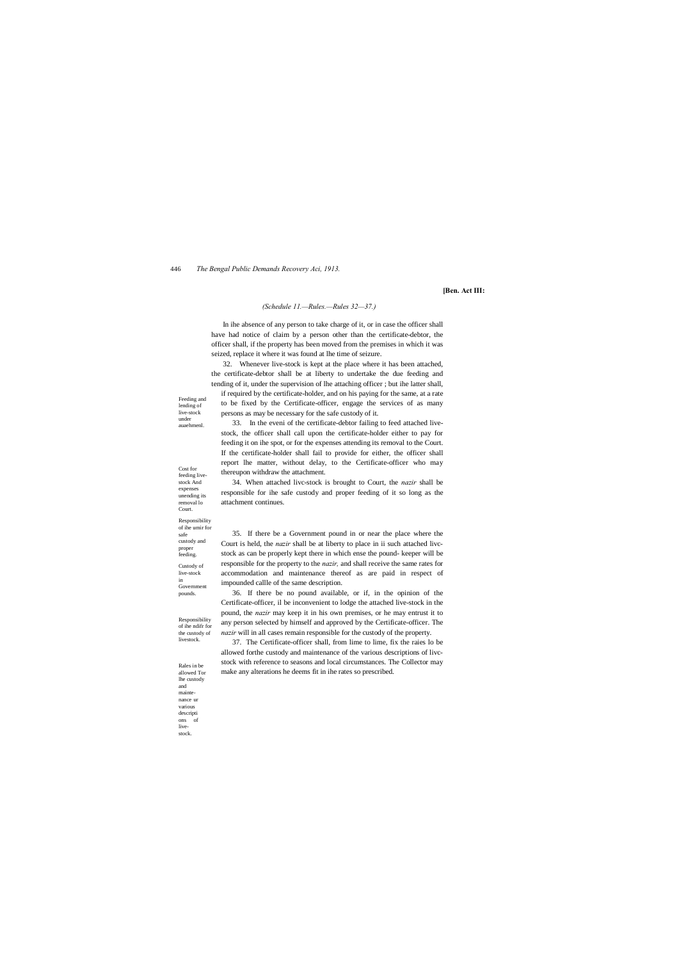Feeding and

lending of live-stock under auaehmenl.

Cost for feeding livestock And expenses unending its removal lo Court.

#### Responsibility of ihe umir for

safe custody and proper feeding. Custody of live-stock

#### 446 *The Bengal Public Demands Recovery Aci, 1913.*

in

pounds.

Responsibility of ihe ndifr for the custody of livestock.

Rales in be allowed Tor lhe custody

and mainte nance ur various descripti ons of livestock.

#### **[Ben. Act III:**

#### *(Schedule 11.—Rules.—Rules 32—37.)*

In ihe absence of any person to take charge of it, or in case the officer shall have had notice of claim by a person other than the certificate-debtor, the officer shall, if the property has been moved from the premises in which it was seized, replace it where it was found at lhe time of seizure.

32. Whenever live-stock is kept at the place where it has been attached, the certificate-debtor shall be at liberty to undertake the due feeding and tending of it, under the supervision of lhe attaching officer ; but ihe latter shall,

if required by the certificate-holder, and on his paying for the same, at a rate to be fixed by the Certificate-officer, engage the services of as many persons as may be necessary for the safe custody of it.

Government Court is held, the *nazir* shall be at liberty to place in ii such attached livcstock as can be properly kept there in which ense the pound- keeper will be responsible for the property to the *nazir,* and shall receive the same rates for accommodation and maintenance thereof as are paid in respect of impounded callle of the same description.

33. In the eveni of the certificate-debtor failing to feed attached livestock, the officer shall call upon the certificate-holder either to pay for feeding it on ihe spot, or for the expenses attending its removal to the Court. If the certificate-holder shall fail to provide for either, the officer shall report lhe matter, without delay, to the Certificate-officer who may thereupon withdraw the attachment.

34. When attached livc-stock is brought to Court, the *nazir* shall be responsible for ihe safe custody and proper feeding of it so long as the attachment continues.

35. If there be a Government pound in or near the place where the

36. If there be no pound available, or if, in the opinion of the Certificate-officer, il be inconvenient to lodge the attached live-stock in the pound, the *nazir* may keep it in his own premises, or he may entrust it to any person selected by himself and approved by the Certificate-officer. The *nazir* will in all cases remain responsible for the custody of the property.

37. The Certificate-officer shall, from lime to lime, fix the raies lo be allowed forthe custody and maintenance of the various descriptions of livcstock with reference to seasons and local circumstances. The Collector may make any alterations he deems fit in ihe rates so prescribed.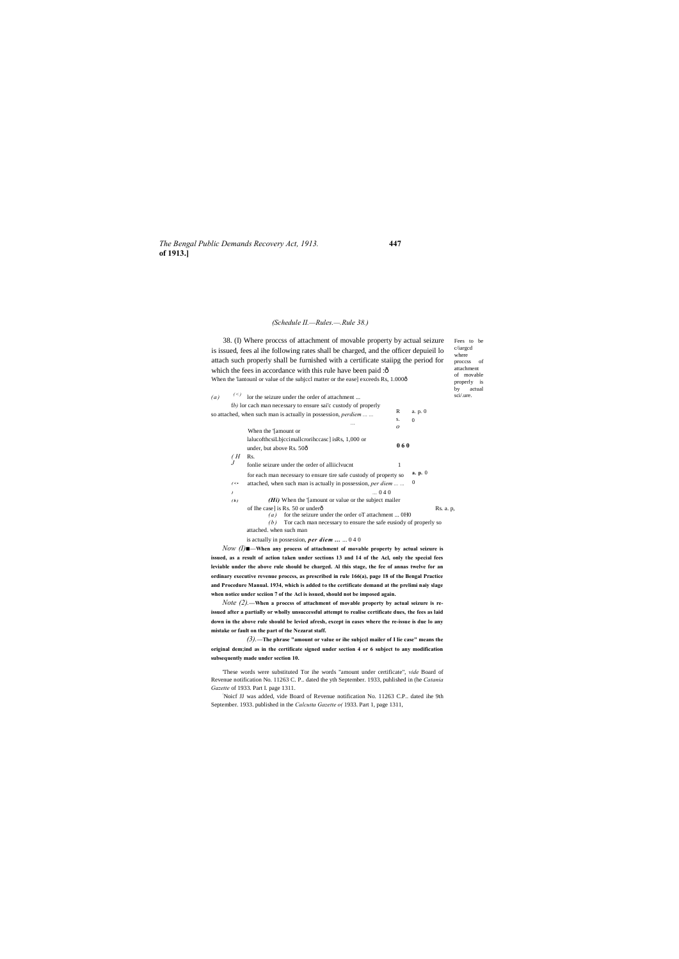#### *The Bengal Public Demands Recovery Act, 1913.* **447 of 1913.]**

proccss of attachment of movable properly is by actual<br>sci/.ure.

#### *(Schedule II.—Rules.—.Rule 38.)*

Fees to be c/iargcd where  $\mathcal{L}(a)$  (<) lor the seizure under the order of attachment ... R s. *o* a. p. 0 0 **0 6 0** *( H*  Rs. *J* for each man necessary to ensure tire safe custody of property so  $\alpha$ . **p.** 0  $($   $\cdot$  **•** attached, when such man is actually in possession, *per diem* ... ... 0 *) ( b )* 38. (I) Where proccss of attachment of movable property by actual seizure is issued, fees al ihe following rates shall be charged, and the officer depuieil lo attach such properly shall be furnished with a certificate staiipg the period for which the fees in accordance with this rule have been paid :ô When the 'lantounl or value of the subjccl matter or the ease] exceeds Rs, 1.000ô f*b)* lor cach man necessary to ensure sai'c custody of properly so attached, when such man is actually in possession, *perdiem ... ... ...* When the '[amount or lalucofthcsiLbjccimallcrorihccasc] isRs, 1,000 or under, but above Rs. 50ô fonlie seizure under the order of alliiclvucnt 1 *...* 0 4 0 *(Hi)* When the '[amount or value or the subject mailer of Ihe case] is Rs. 50 or underô  $(a)$  for the seizure under the order oT attachment ... 0H0 *(b)* Tor cach man necessary to ensure the safe eusiody of properly so attached. when such man is actually in possession, *per diem ...* ... 0 4 0

*Note (2)*. When a process of attachment of movable property by actual seizure is re**issued after a partially or wholly unsuccessful attempt to realise certificate dues, the fees as laid down in the above rule should be levied afresh, except in eases where the re-issue is due lo any mistake or fault on the part of the Nezarat staff.**

*Now (I)■***—When any process of attachment of movable property by actual seizure is issued, as a result of action taken under sections 13 and 14 of the Acl, only the special fees leviable under the above rule should be charged. Al this stage, the fee of annas twelve for an ordinary executive revenue proccss, as prescribed in rule 166(a), page 18 of the Bengal Practice and Procedure Manual. 1934, which is added to the certificate demand at the prelimi naiy slage when notice under scciion 7 of the Acl is issued, should not be imposed again.**

*(3).***—The phrase "amount or value or ihe subjccl mailer of I lie case" means the original dem;ind as in the certificate signed under section 4 or 6 subject to any modification subsequently made under section 10.**

'These words were substituted Tor ihe words "amount under certificate", *vide* Board of Revenue notification No. 11263 C. P.. dated the yth September. 1933, puhlished in (he *Catania Gazette* of 1933. Part I. page 1311.

: Noicf JJ was added, vide Board of Revenue notification No. 11263 C.P.. dated ihe 9th September. 1933. published in the *Calcutta Gazette o(* 1933. Part 1, page 1311,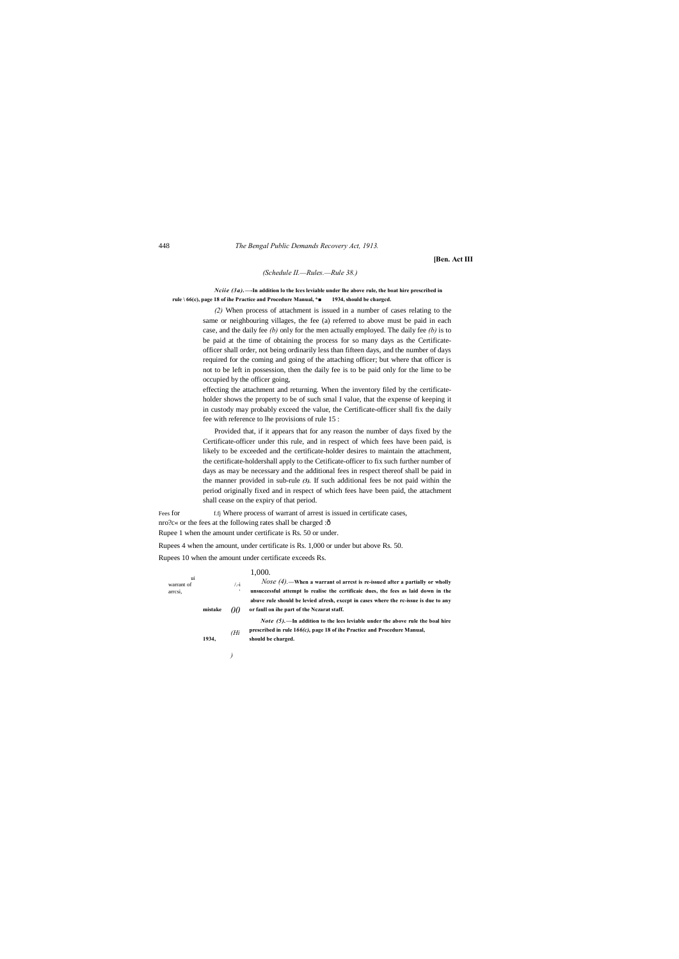*)*

#### 448 *The Bengal Public Demands Recovery Act, 1913.*

**[Ben. Act III**

#### *(Schedule II.—Rules.—Rule 38.)*

*Nciie (3a).***—-In addition lo the Ices leviable under lhe above rule, the boat hire prescribed in rule \ 66(c), page 18 of ihe Practice and Procedure Manual, \*■ 1934, should be chargcd.**

> *(2)* When process of attachment is issued in a number of cases relating to the same or neighbouring villages, the fee (a) referred to above must be paid in each case, and the daily fee *(b)* only for the men actually employed. The daily fee *(b)* is to be paid at the time of obtaining the process for so many days as the Certificateofficer shall order, not being ordinarily less than fifteen days, and the number of days required for the coming and going of the attaching officer; but where that officer is not to be left in possession, then the daily fee is to be paid only for the lime to be occupied by the officer going,

Fees for f.fj Where process of warrant of arrest is issued in certificate cases, nro?c« or the fees at the following rates shall be charged :— Rupee 1 when the amount under certificate is Rs. 50 or under.

effecting the attachment and returning. When the inventory filed by the certificateholder shows the property to be of such smal I value, that the expense of keeping it in custody may probably exceed the value, the Certificate-officer shall fix the daily fee with reference to lhe provisions of rule 15 :

ui warrant of  $\hspace{1cm}$  /.-i arrcsi, *00 (Hi* 1,000. *Nose (4).***—When a warrant ol arrcst is re-issued after a partially or wholly unsuccessful attempt lo realise the ccrtificaic dues, the fees as laid down in the abuve rule should be levied afresh, exccpt in cases where the rc-issue is due to any**  mistake  $\theta$  or faull on ihe part of the Nczarat staff. *Note (5).***—In addition to the lees leviable under the above rule the boal hire prescribed in rule 1***66(c),* **page 18 of ihe Practice and Procedure Manual, 1934, should be charged.**

Provided that, if it appears that for any reason the number of days fixed by the Certificate-officer under this rule, and in respect of which fees have been paid, is likely to be exceeded and the certificate-holder desires to maintain the attachment, the certificate-holdershall apply to the Cetificate-officer to fix such further number of days as may be necessary and the additional fees in respect thereof shall be paid in the manner provided in sub-rule *(3).* If such additional fees be not paid within the period originally fixed and in respect of which fees have been paid, the attachment shall cease on the expiry of that period.

Rupees 4 when the amount, under certificate is Rs. 1,000 or under but above Rs. 50. Rupees 10 when the amount under certificate exceeds Rs.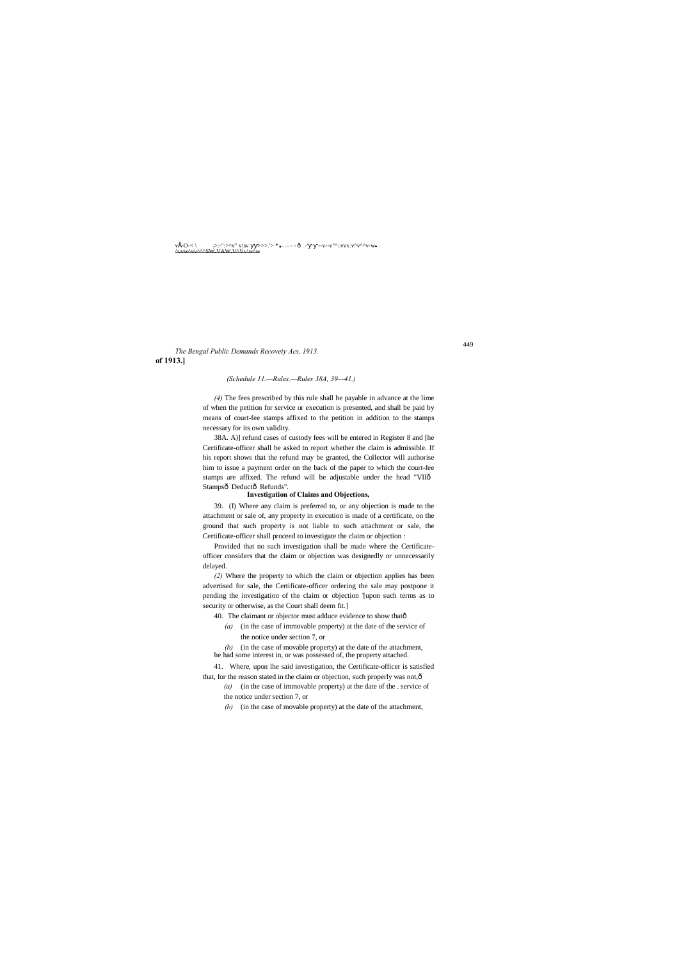#### 449

v• -O-< \ ;>:-":>^v" v\sv ■■>>>.'> \* *■>::->* - - — -' --v--v"^::vvv.v^v^^v-w- ^vvw^vv^^^SW.VAW.V^Vv\w^w

### **of 1913.]** *The Bengal Public Demands Recoveiy Acs, 1913.*

#### *(Schedule 11.—Rules.—Rules 38A, 39—41.)*

38A. A)] refund cases of custody fees will be entered in Register 8 and [he Certificate-officer shall be asked tn report whether the claim is admissible. If his report shows that the refund may be granted, the Collector will authorise him to issue a payment order on the back of the paper to which the court-fee stamps are affixed. The refund will be adjustable under the head "VIIô Stampsô Deductô Refunds".

*(4)* The fees prescribed by this rule shall be payable in advance at the lime of when the petition for service or execution is presented, and shall be paid by means of court-fee stamps affixed to the petition in addition to the stamps necessary for its own validity.

#### **Investigation of Claims and Objections,**

39. (I) Where any claim is preferred to, or any objection is made to the attachment or sale of, any property in execution is made of a certificate, on the ground that such property is not liable to such attachment or sale, the Certificate-officer shall proceed to investigate the claim or objection :

- 40. The claimant or objector must adduce evidence to show thatô
	- *(a)* (in the case of immovable property) at the date of the service of the notice under section 7, or
- *(b)* (in the case of movable property) at the date of the attachment, he had some interest in, or was possessed of, the property attached.
- 41. Where, upon lhe said investigation, the Certificate-officer is satisfied that, for the reason stated in the claim or objection, such properly was not, ô
	- *(a)* (in the case of immovable property) at the date of the . service of the notice under section 7, or
	- *(b)* (in the case of movable property) at the date of the attachment,

Provided that no such investigation shall be made where the Certificateofficer considers that the claim or objection was designedly or unnecessarily delayed.

*(2)* Where the property to which the claim or objection applies has been advertised for sale, the Certificate-officer ordering the sale may postpone it pending the investigation of the claim or objection '[upon such terms as to security or otherwise, as the Court shall deem fit.]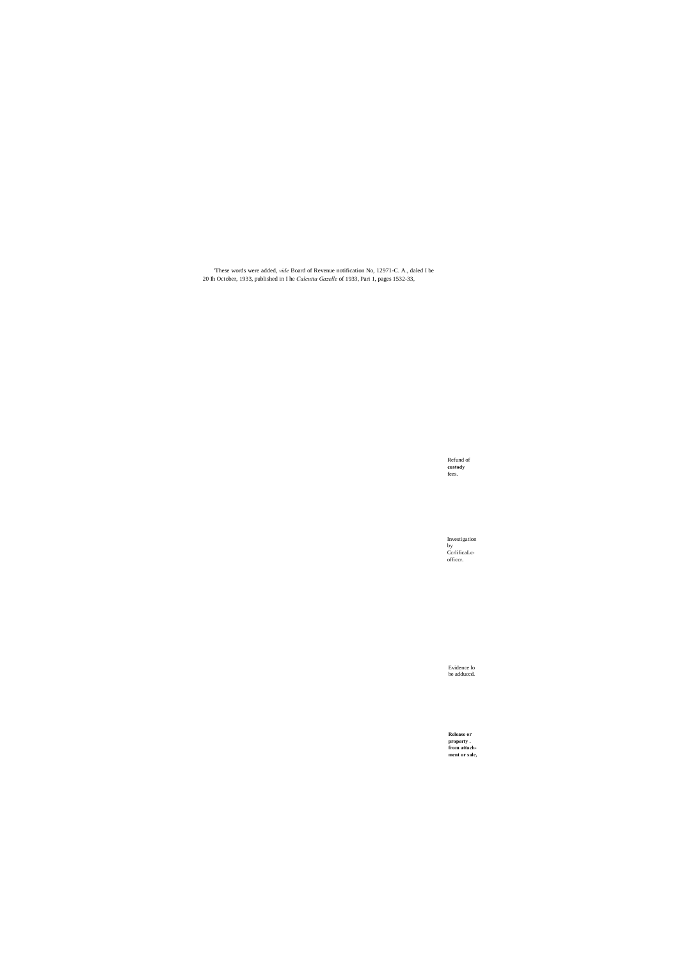Refund of **custody** fees.

Investigation by CcrlificaLcofficcr.

Evidence lo be adduccd.

**Release or property . from attachment or sale,**

'These words were added, *vide* Board of Revenue notification No, 12971-C. A., daled I be 20 Ih October, 1933, published in I he *Calcutta Gazelle* of 1933, Pari 1, pages 1532-33,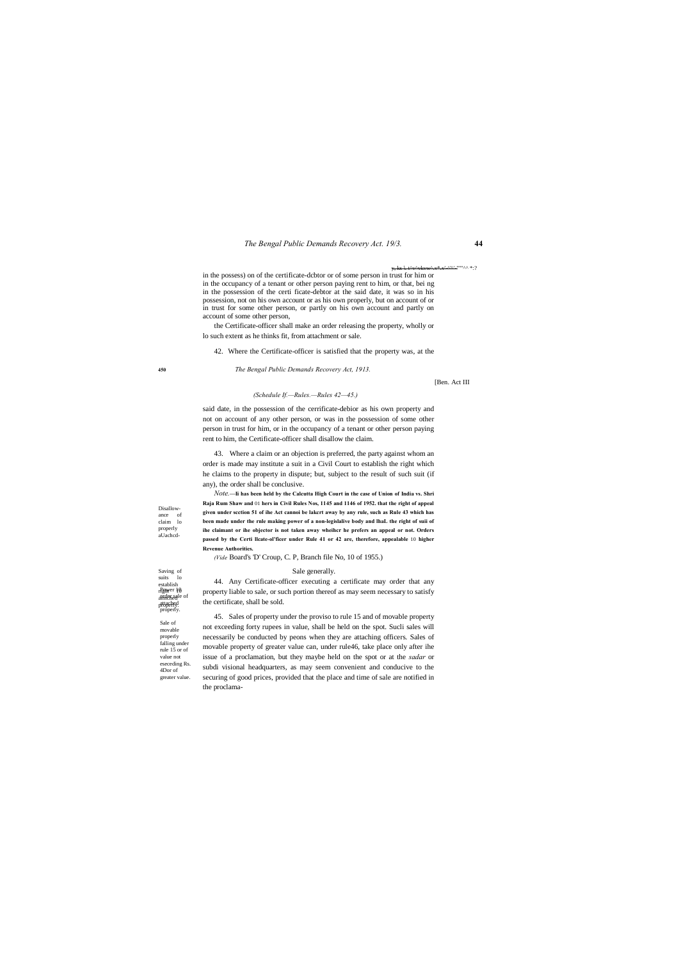#### *The Bengal Public Demands Recovery Act. 19/3.* **44**

Saving of suits lo righver 10

<u>a'a' '"''''AA \*:?</u>

Sale of movable properly falling under rule 15 or of value not eseceding Rs. 4Dor of greater value.

establish<br><sub>r</sub>Pøwer 10 arder sale of attached properly. properly.

Disallowance of claim lo properly aUachcd-

**450** *The Bengal Public Demands Recovery Act, 1913.*

[Ben. Act III

#### *(Schedule If.—Rules.—Rules 42—45.)*

in the possess) on of the certificate-dcbtor or of some person in trust for him or in the occupancy of a tenant or other person paying rent to him, or that, bei ng in the possession of the certi ficate-debtor at the said date, it was so in his possession, not on his own account or as his own properly, but on account of or in trust for some other person, or partly on his own account and partly on account of some other person,

the Certificate-officer shall make an order releasing the property, wholly or lo such extent as he thinks fit, from attachment or sale.

42. Where the Certificate-officer is satisfied that the property was, at the

said date, in the possession of the cerrificate-debior as his own property and not on account of any other person, or was in the possession of some other person in trust for him, or in the occupancy of a tenant or other person paying rent to him, the Certificate-officer shall disallow the claim.

43. Where a claim or an objection is preferred, the party against whom an order is made may institute a suit in a Civil Court to establish the right which he claims to the property in dispute; but, subject to the result of such suit (if any), the order shall be conclusive.

*Note.***—Ii has been held by the Calcutta High Court in the case of Union of India vs. Shri Raja Rum Shaw and** 01 **hers in Civil Rules Nos, 1145 and 1146 of 1952. that the right of appeal given under scction 51 of ihe Act cannoi be lakcrt away by any rule, such as Rule 43 which has been made under the rnle making power of a non-legislalive body and lhaL the right of suii of ihe claimant or ihe objector is not taken away wheihcr he prefers an appeal or not. Orders passed by the Certi llcate-ol'ficer under Rule 41 or 42 are, therefore, appealable** 10 **higher Revenue Authorities.**

*(Vide* Board's 'D' Croup, C. P, Branch file No, 10 of 1955.)

#### Sale generally.

44. Any Certificate-officer executing a certificate may order that any property liable to sale, or such portion thereof as may seem necessary to satisfy the certificate, shall be sold.

45. Sales of property under the proviso to rule 15 and of movable property not exceeding forty rupees in value, shall be held on the spot. Sucli sales will necessarily be conducted by peons when they are attaching officers. Sales of movable property of greater value can, under rule46, take place only after ihe issue of a proclamation, but they maybe held on the spot or at the *sadar* or subdi visional headquarters, as may seem convenient and conducive to the securing of good prices, provided that the place and time of sale are notified in the proclama-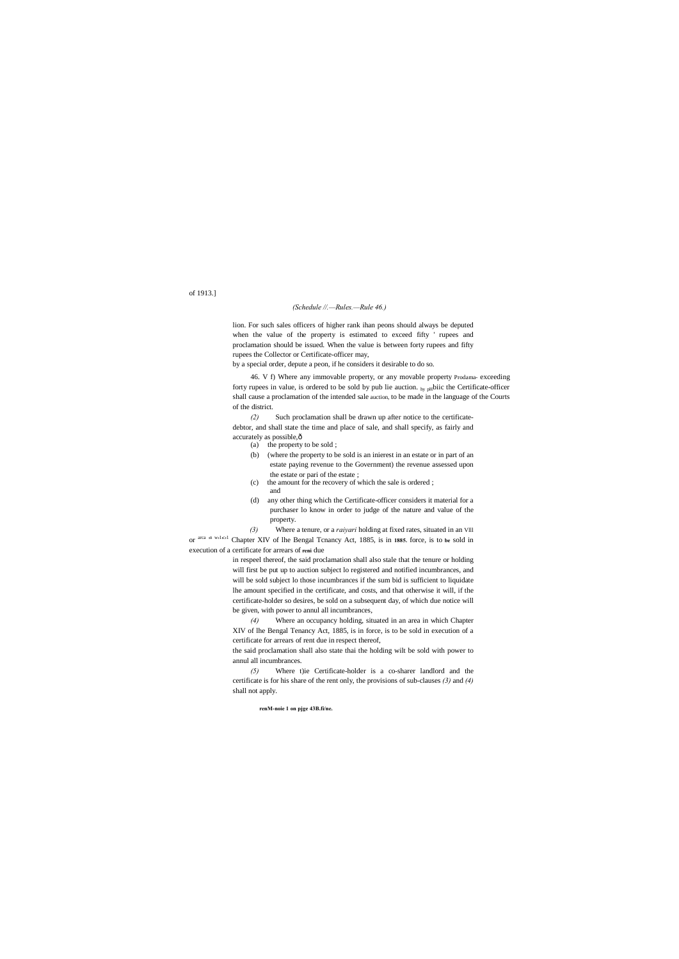#### of 1913.]

#### *(Schedule //.—Rules.—Rule 46.)*

lion. For such sales officers of higher rank ihan peons should always be deputed when the value of the property is estimated to exceed fifty ' rupees and proclamation should be issued. When the value is between forty rupees and fifty rupees the Collector or Certificate-officer may,

*(2)* Such proclamation shall be drawn up after notice to the certificatedebtor, and shall state the time and place of sale, and shall specify, as fairly and accurately as possible, $\hat{o}$ 

by a special order, depute a peon, if he considers it desirable to do so.

46. V f) Where any immovable property, or any movable property Prodama- exceeding forty rupees in value, is ordered to be sold by pub lie auction.  $_{hy\text{ pH}}$  biic the Certificate-officer shall cause a proclamation of the intended sale auction, to be made in the language of the Courts of the district.

- (a) the property to be sold ;
- (b) (where the property to be sold is an inierest in an estate or in part of an estate paying revenue to the Government) the revenue assessed upon the estate or pari of the estate ;
- (c) the amount for the recovery of which the sale is ordered ;
- and
- (d) any other thing which the Certificate-officer considers it material for a purchaser lo know in order to judge of the nature and value of the property.

*(3)* Where a tenure, or a *raiyari* holding at fixed rates, situated in an Vlll or <sup>arca in willend</sup> Chapter XIV of lhe Bengal Tcnancy Act, 1885, is in 1885. force, is to be sold in execution of a certificate for arrears of **reni** due

> in respeel thereof, the said proclamation shall also stale that the tenure or holding will first be put up to auction subject lo registered and notified incumbrances, and will be sold subject lo those incumbrances if the sum bid is sufficient to liquidate lhe amount specified in the certificate, and costs, and that otherwise it will, if the certificate-holder so desires, be sold on a subsequent day, of which due notice will be given, with power to annul all incumbrances,

> *(4)* Where an occupancy holding, situated in an area in which Chapter XIV of lhe Bengal Tenancy Act, 1885, is in force, is to be sold in execution of a certificate for arrears of rent due in respect thereof,

> the said proclamation shall also state thai the holding wilt be sold with power to annul all incumbrances.

> *(5)* Where t)ie Certificate-holder is a co-sharer landlord and the certificate is for his share of the rent only, the provisions of sub-clauses *(3)* and *(4)* shall not apply.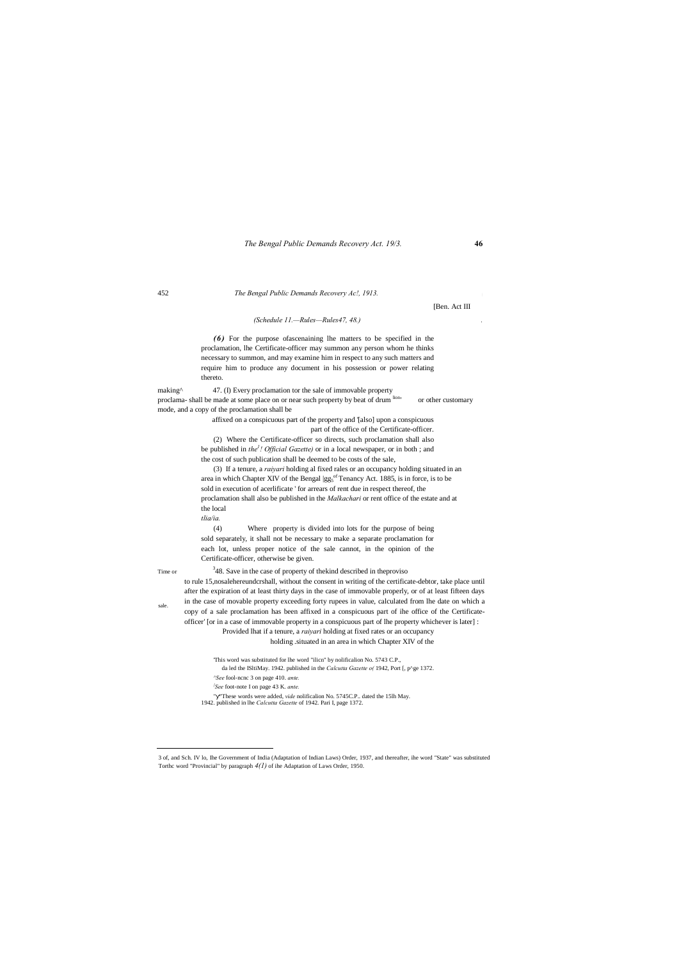#### *The Bengal Public Demands Recovery Act. 19/3.* **46**

sale.

#### 452 *The Bengal Public Demands Recovery Ac!, 1913.* <sup>j</sup>

[Ben. Act III

#### *(Schedule 11.—Rules—Rules47, 48.) .*

*(6)* For the purpose ofascenaining lhe matters to be specified in the proclamation, lhe Certificate-officer may summon any person whom he thinks necessary to summon, and may examine him in respect to any such matters and require him to produce any document in his possession or power relating thereto.

making<sup>^</sup> 47. (I) Every proclamation tor the sale of immovable property proclama- shall be made at some place on or near such property by beat of drum  $\frac{\text{ion}}{\text{ion}}$  or other customary mode, and a copy of the proclamation shall be

affixed on a conspicuous part of the property and '[also] upon a conspicuous part of the office of the Certificate-officer.

(2) Where the Certificate-officer so directs, such proclamation shall also be published in *the1 ! Official Gazette)* or in a local newspaper, or in both ; and the cost of such publication shall be deemed to be costs of the sale,

<sup>3</sup>48. Save in the case of property of the kind described in the proviso to rule 15,nosalehereundcrshall, without the consent in writing of the certificate-debtor, take place until after the expiration of at least thirty days in the case of immovable properly, or of at least fifteen days in the case of movable property exceeding forty rupees in value, calculated from lhe date on which a copy of a sale proclamation has been affixed in a conspicuous part of ihe office of the Certificateofficer' [or in a case of immovable property in a conspicuous part of lhe property whichever is later] :

(3) If a tenure, a *raiyari* holding al fixed rales or an occupancy holding situated in an area in which Chapter XIV of the Bengal  $|gg_5$ <sup>of</sup> Tenancy Act. 1885, is in force, is to be sold in execution of acerlificate ' for arrears of rent due in respect thereof, the proclamation shall also be published in the *Malkachari* or rent office of the estate and at the local

*tlia/ia.*

(4) Where property is divided into lots for the purpose of being sold separately, it shall not be necessary to make a separate proclamation for each lot, unless proper notice of the sale cannot, in the opinion of the Certificate-officer, otherwise be given.

Time or

Provided lhat if a tenure, a *raiyari* holding at fixed rates or an occupancy

#### holding .situated in an area in which Chapter XIV of the

'This word was substituted for lhe word "ilicn" by nolificalion No. 5743 C.P., da led the ISltiMay. 1942. published in the *Calcutta Gazette o(* 1942, Port [, p^ge 1372. *^See* fool-ncnc 3 on page 410. *ante. } See* foot-note I on page 43 K. *ante.*

" "These words were added, *vide* nolificalion No. 5745C.P.. dated the 15lh May. 1942. published in lhe *Calcutta Gazette* of 1942. Pari I, page 1372.

 3 of, and Sch. IV lo, Ihe Government of India (Adaptation of Indian Laws) Order, 1937, and thereafter, ihe word "State" was substituted Torthc word "Provincial" by paragraph *4(1)* of ihe Adaptation of Laws Order, 1950.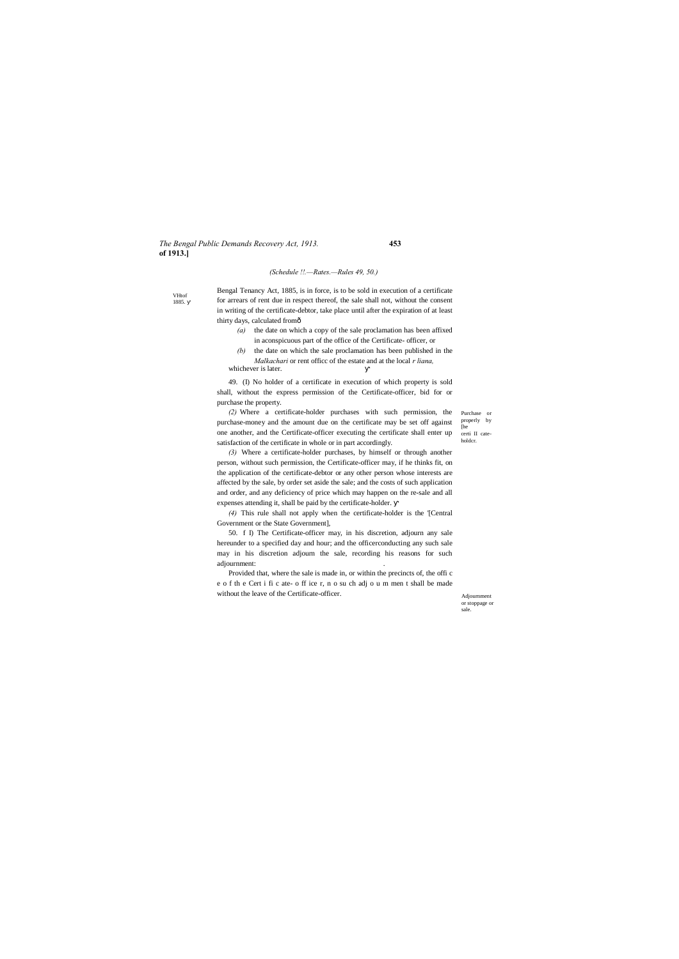#### *The Bengal Public Demands Recovery Act, 1913.* **453 of 1913.]**

VHtof 1885.

> Purchase or properly by [he certi II cateholdcr.

Adjournment or stoppage or sale.

#### *(Schedule !!.—Rates.—Rules 49, 50.)*

Bengal Tenancy Act, 1885, is in force, is to be sold in execution of a certificate for arrears of rent due in respect thereof, the sale shall not, without the consent in writing of the certificate-debtor, take place until after the expiration of at least thirty days, calculated from—

- *(a)* the date on which a copy of the sale proclamation has been affixed in aconspicuous part of the office of the Certificate- officer, or
- *(b)* the date on which the sale proclamation has been published in the *Malkachari* or rent officc of the estate and at the local *r liana,*

whichever is later.

49. (I) No holder of a certificate in execution of which property is sold shall, without the express permission of the Certificate-officer, bid for or purchase the property.

*(2)* Where a certificate-holder purchases with such permission, the purchase-money and the amount due on the certificate may be set off against one another, and the Certificate-officer executing the certificate shall enter up satisfaction of the certificate in whole or in part accordingly.

*(3)* Where a certificate-holder purchases, by himself or through another person, without such permission, the Certificate-officer may, if he thinks fit, on the application of the certificate-debtor or any other person whose interests are affected by the sale, by order set aside the sale; and the costs of such application and order, and any deficiency of price which may happen on the re-sale and all expenses attending it, shall be paid by the certificate-holder.

*(4)* This rule shall not apply when the certificate-holder is the '[Central Government or the State Government],

50. f I) The Certificate-officer may, in his discretion, adjourn any sale hereunder to a specified day and hour; and the officerconducting any such sale may in his discretion adjourn the sale, recording his reasons for such adjournment: .

Provided that, where the sale is made in, or within the precincts of, the offi c e o f th e Cert i fi c ate- o ff ice r, n o su ch adj o u m men t shall be made without the leave of the Certificate-officer.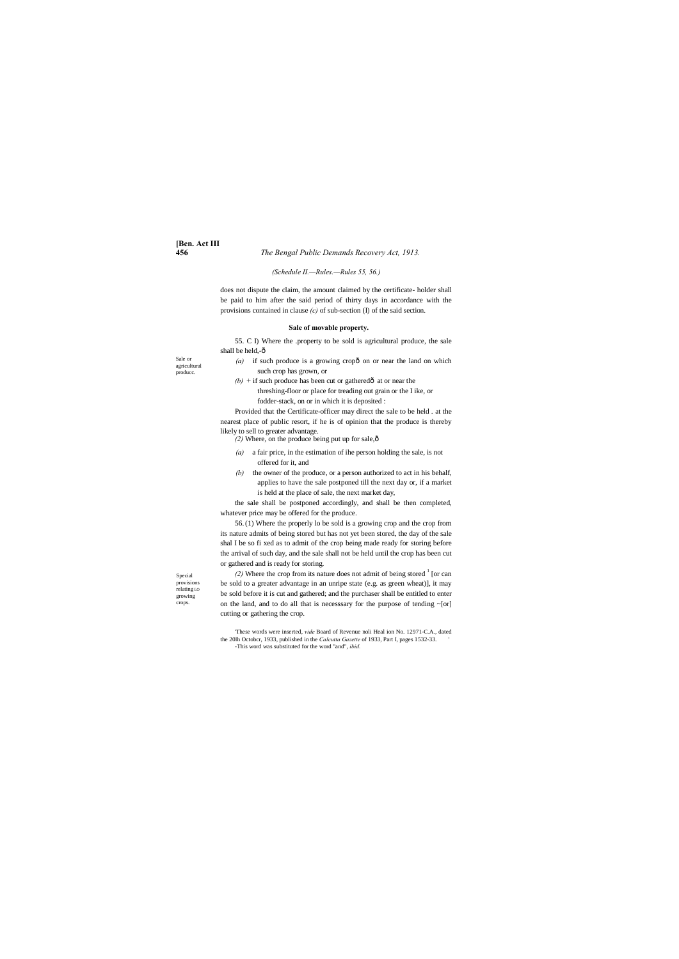# **[Ben. Act III**

#### **456** *The Bengal Public Demands Recovery Act, 1913.*

Sale or agricultural producc.

- $(a)$  if such produce is a growing cropô on or near the land on which such crop has grown, or
- $(b)$  + if such produce has been cut or gathered $\hat{a}$  at or near the

Special provisions relating LO growing crops.

#### *(Schedule II.—Rules.—Rules 55, 56.)*

55. C I) Where the .property to be sold is agricultural produce, the sale shall be held,-ô

does not dispute the claim, the amount claimed by the certificate- holder shall be paid to him after the said period of thirty days in accordance with the provisions contained in clause *(c)* of sub-section (I) of the said section.

#### **Sale of movable property.**

threshing-floor or place for treading out grain or the I ike, or fodder-stack, on or in which it is deposited :

Provided that the Certificate-officer may direct the sale to be held . at the nearest place of public resort, if he is of opinion that the produce is thereby likely to sell to greater advantage.

 $(2)$  Where, on the produce being put up for sale, $\hat{\text{o}}$ 

(2) Where the crop from its nature does not admit of being stored  $<sup>1</sup>$  [or can</sup> be sold to a greater advantage in an unripe state (e.g. as green wheat)], it may be sold before it is cut and gathered; and the purchaser shall be entitled to enter on the land, and to do all that is necesssary for the purpose of tending ~[or] cutting or gathering the crop.

- *(a)* a fair price, in the estimation of ihe person holding the sale, is not offered for it, and
- *(b)* the owner of the produce, or a person authorized to act in his behalf, applies to have the sale postponed till the next day or, if a market is held at the place of sale, the next market day,

the sale shall be postponed accordingly, and shall be then completed, whatever price may be offered for the produce.

56.(1) Where the properly lo be sold is a growing crop and the crop from its nature admits of being stored but has not yet been stored, the day of the sale shal I be so fi xed as to admit of the crop being made ready for storing before the arrival of such day, and the sale shall not be held until the crop has been cut or gathered and is ready for storing.

'These words were inserted, *vide* Board of Revenue noli Heal ion No. 12971-C.A., dated the 20lh Octobcr, 1933, published in the *Calcutta Gazette* of 1933, Part I, pages 1532-33. ' -This word was substituted for the word "and", *ibid.*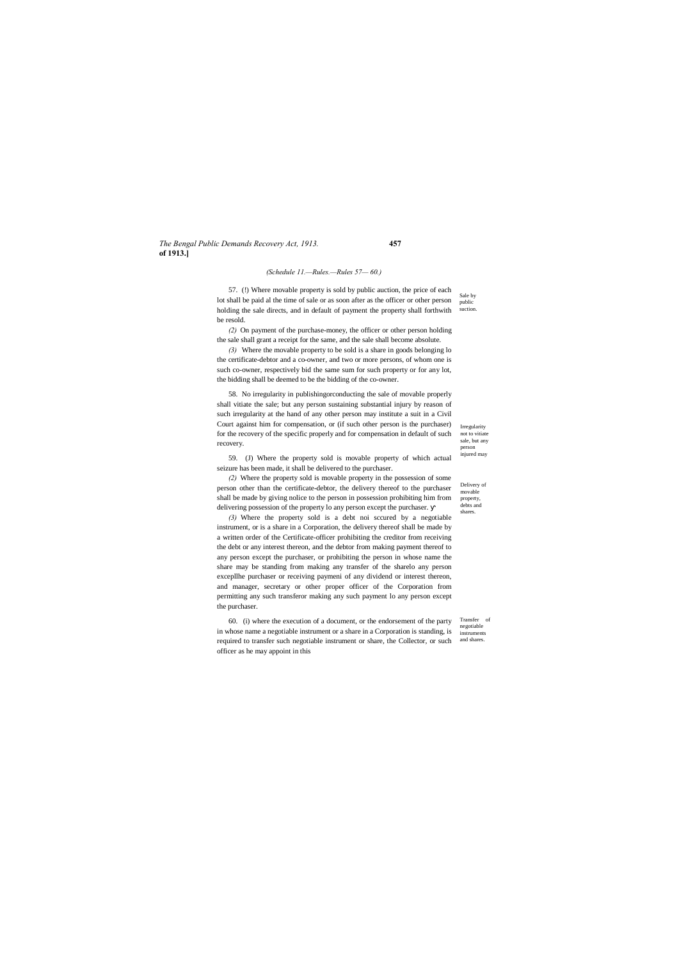#### *The Bengal Public Demands Recovery Act, 1913.* **457 of 1913.]**

Irregularity not to vitiate sale, but any person injured may

Delivery of movable property, debts and shares.

Transfer of negotiable instruments

#### *(Schedule 11.—Rules.—Rules 57— 60.)*

Sale by public suction. 57. (!) Where movable property is sold by public auction, the price of each lot shall be paid al the time of sale or as soon after as the officer or other person holding the sale directs, and in default of payment the property shall forthwith be resold.

*(2)* On payment of the purchase-money, the officer or other person holding the sale shall grant a receipt for the same, and the sale shall become absolute.

*(3)* Where the movable property to be sold is a share in goods belonging lo the certificate-debtor and a co-owner, and two or more persons, of whom one is such co-owner, respectively bid the same sum for such property or for any lot, the bidding shall be deemed to be the bidding of the co-owner.

58. No irregularity in publishingorconducting the sale of movable properly shall vitiate the sale; but any person sustaining substantial injury by reason of such irregularity at the hand of any other person may institute a suit in a Civil Court against him for compensation, or (if such other person is the purchaser) for the recovery of the specific properly and for compensation in default of such recovery.

required to transfer such negotiable instrument or share, the Collector, or such and shares. 60. (i) where the execution of a document, or the endorsement of the party in whose name a negotiable instrument or a share in a Corporation is standing, is officer as he may appoint in this

59. (J) Where the property sold is movable property of which actual seizure has been made, it shall be delivered to the purchaser.

*(2)* Where the property sold is movable property in the possession of some person other than the certificate-debtor, the delivery thereof to the purchaser shall be made by giving nolice to the person in possession prohibiting him from delivering possession of the property lo any person except the purchaser.

*(3)* Where the property sold is a debt noi sccured by a negotiable instrument, or is a share in a Corporation, the delivery thereof shall be made by a written order of the Certificate-officer prohibiting the creditor from receiving the debt or any interest thereon, and the debtor from making payment thereof to any person except the purchaser, or prohibiting the person in whose name the share may be standing from making any transfer of the sharelo any person excepllhe purchaser or receiving paymeni of any dividend or interest thereon, and manager, secretary or other proper officer of the Corporation from permitting any such transferor making any such payment lo any person except the purchaser.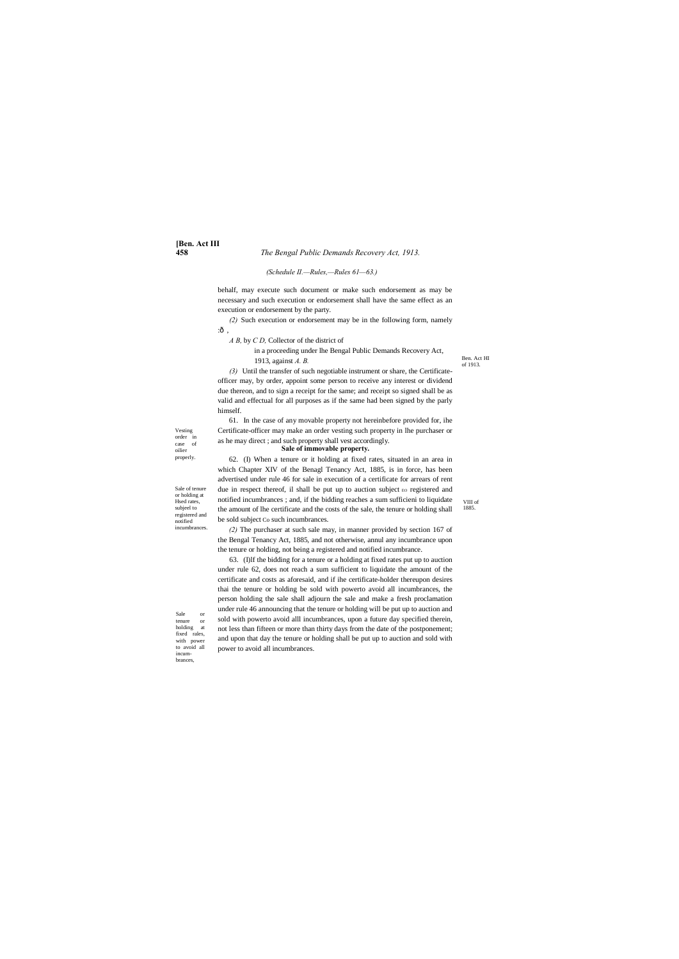# **[Ben. Act III**

#### **458** *The Bengal Public Demands Recovery Act, 1913.*

Ben. Act HI of 1913.

Vesting order in case of oilier properly.

Sale or<br>tenure or tenure holding at fixed rales, with power to avoid all incumbrances,

Sale of tenure or holding at Hsed rates, subjeel to registered and notified incumbrances.

VIII of 1885.

#### *(Schedule II.—Rules,—Rules 61—63.)*

behalf, may execute such document or make such endorsement as may be necessary and such execution or endorsement shall have the same effect as an execution or endorsement by the party.

*(2)* Such execution or endorsement may be in the following form, namely :—,

*A B,* by *C D,* Collector of the district of

in a proceeding under lhe Bengal Public Demands Recovery Act, 1913, against *A. B.*

*(3)* Until the transfer of such negotiable instrument or share, the Certificateofficer may, by order, appoint some person to receive any interest or dividend due thereon, and to sign a receipt for the same; and receipt so signed shall be as valid and effectual for all purposes as if the same had been signed by the parly himself.

61. In the case of any movable property not hereinbefore provided for, ihe Certificate-officer may make an order vesting such property in lhe purchaser or as he may direct ; and such property shall vest accordingly.

# **Sale of immovable property.**

62. (I) When a tenure or it holding at fixed rates, situated in an area in which Chapter XIV of the Benagl Tenancy Act, 1885, is in force, has been advertised under rule 46 for sale in execution of a certificate for arrears of rent due in respect thereof, il shall be put up to auction subject EO registered and notified incumbrances ; and, if the bidding reaches a sum sufficieni to liquidate the amount of lhe certificate and the costs of the sale, the tenure or holding shall be sold subject Co such incumbrances.

*(2)* The purchaser at such sale may, in manner provided by section 167 of the Bengal Tenancy Act, 1885, and not otherwise, annul any incumbrance upon the tenure or holding, not being a registered and notified incumbrance.

63. (I)lf the bidding for a tenure or a holding at fixed rates put up to auction under rule 62, does not reach a sum sufficient to liquidate the amount of the certificate and costs as aforesaid, and if ihe certificate-holder thereupon desires thai the tenure or holding be sold with powerto avoid all incumbrances, the person holding the sale shall adjourn the sale and make a fresh proclamation under rule 46 announcing that the tenure or holding will be put up to auction and sold with powerto avoid alll incumbrances, upon a future day specified therein, not less than fifteen or more than thirty days from the date of the postponement; and upon that day the tenure or holding shall be put up to auction and sold with power to avoid all incumbrances.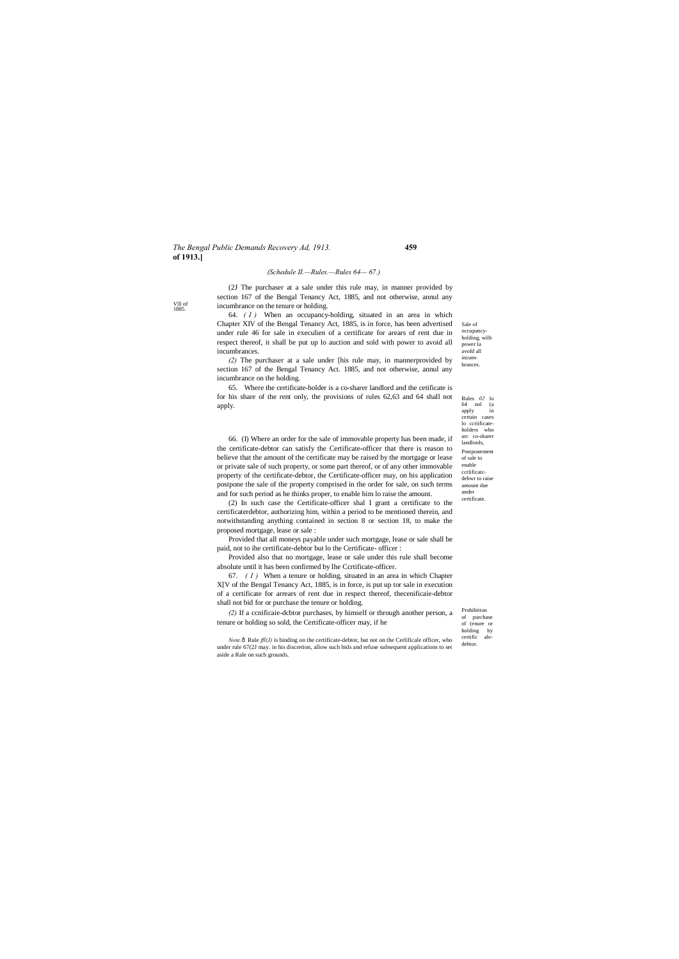#### *The Bengal Public Demands Recovery Ad, 1913.* **459 of 1913.]**

Prohibition of purchase of (enure or holding by<br>certific ale $certific$ debtor.

V|ll of 1885.

Sale of occupancyholding, wilh power la avofd all incumbrances.

Rules *02* lo 64 nol (a apply in certain cases lo ccriificateholders who arc co-sharer landlords, Postponement of sale to enable ccrlificatcdebwr to raise amount due under certificate.

#### *(Schedule II.—Rules.—Rules 64— 67.)*

(2J The purchaser at a sale under this rule may, in manner provided by section 167 of the Bengal Tenancy Act, 1885, and not otherwise, annul any incumbrance on the tenure or holding.

64. *( I )* When an occupancy-holding, situated in an area in which Chapter XIV of the Bengal Tenancy Act, 1885, is in force, has been advertised under rule 46 for sale in execulien of a certificate for arears of rent due in respect thereof, it shall be put up lo auction and sold with power to avoid all incumbrances.

*(2)* The purchaser at a sale under [his rule may, in mannerprovided by section 167 of the Bengal Tenancy Act. 1885, and not otherwise, annul any incumbrance on the holding.

65. Where the certificate-holder is a co-sharer landlord and the cetificate is for his share of the rent only, the provisions of rules 62,63 and 64 shall not apply.

*Note.* $\hat{\text{o}}$  Rule  $\text{ffl}(J)$  is binding on the certificate-debtor, but not on the Cerlificale officer, who under rule 67(2J may. in his discretion, allow such bids and refuse subsequent applications to set aside a Rale on such grounds.

66. (I) Where an order for the sale of immovable property has been made, if the certificate-debtor can satisfy the Certificate-officer that there is reason to believe that the amount of the certificate may be raised by the mortgage or lease or private sale of such property, or some part thereof, or of any other immovable property of the certificate-debtor, the Certificate-officer may, on his application postpone the sale of the property comprised in the order for sale, on such terms and for such period as he thinks proper, to enable him lo raise the amount.

(2) In such case the Certificate-officer shal I grant a certificate to the certificaterdebtor, authorizing him, within a period to be mentioned therein, and notwithstanding anything contained in section 8 or section 18, to make the proposed mortgage, lease or sale :

Provided that all moneys payable under such mortgage, lease or sale shall be paid, not to ihe certificate-debtor but lo the Certificate- officer :

Provided also that no mortgage, lease or sale under this rule shall become absolute until it has been confirmed by lhe Ccrtificate-officer.

67. *( I )* When a tenure or holding, situated in an area in which Chapter X[V of the Bengal Tenancy Act, 1885, is in force, is put up tor sale in execution of a certificate for arrears of rent due in respect thereof, thecenificaie-debtor shall not bid for or purchase the tenure or holding.

*(2)* If a ccnificaie-dcbtor purchases, by himself or through another person, a tenure or holding so sold, the Certificate-officer may, if he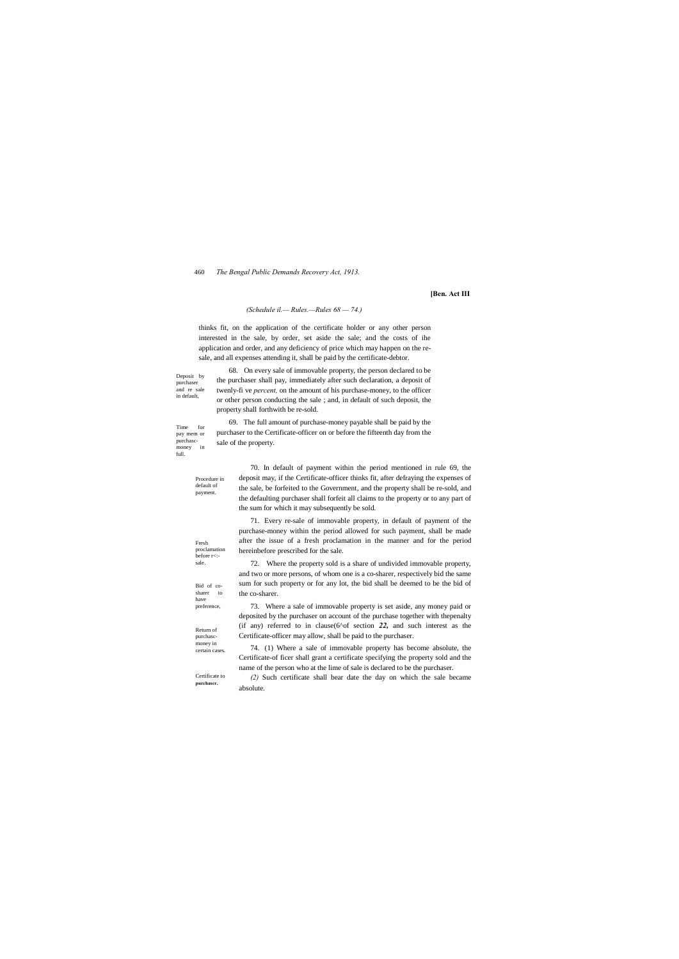Deposit by purchaser and re sale in default,

Time for pay mem or purchasc-<br>money in money full.

> Procedure in default of payment.

Fresh proclamation before r<: sale.

#### 460 *The Bengal Public Demands Recovery Act, 1913.*

Bid of cosharer to have preference,

Return of purchascmoney in certain cases.

Certificate to **purchaser.**

#### **[Ben. Act III**

#### *(Schedule il.— Rules.—Rules 68 — 74.)*

thinks fit, on the application of the certificate holder or any other person interested in the sale, by order, set aside the sale; and the costs of ihe application and order, and any deficiency of price which may happen on the resale, and all expenses attending it, shall be paid by the certificate-debtor.

68. On every sale of immovable property, the person declared to be the purchaser shall pay, immediately after such declaration, a deposit of twenly-fi ve *percent,* on the amount of his purchase-money, to the officer or other person conducting the sale ; and, in default of such deposit, the property shall forthwith be re-sold.

69. The full amount of purchase-money payable shall be paid by the purchaser to the Certificate-officer on or before the fifteenth day from the sale of the property.

> 70. In default of payment within the period mentioned in rule 69, the deposit may, if the Certificate-officer thinks fit, after defraying the expenses of the sale, be forfeited to the Government, and the property shall be re-sold, and the defaulting purchaser shall forfeit all claims to the property or to any part of the sum for which it may subsequently be sold.

71. Every re-sale of immovable property, in default of payment of the purchase-money within the period allowed for such payment, shall be made after the issue of a fresh proclamation in the manner and for the period hereinbefore prescribed for the sale.

72. Where the property sold is a share of undivided immovable property, and two or more persons, of whom one is a co-sharer, respectively bid the same sum for such property or for any lot, the bid shall be deemed to be the bid of the co-sharer.

73. Where a sale of immovable property is set aside, any money paid or deposited by the purchaser on account of the purchase together with thepenalty (if any) referred to in clause(6^of section *22,* and such interest as the Certificate-officer may allow, shall be paid to the purchaser.

74. (1) Where a sale of immovable property has become absolute, the Certificate-of ficer shall grant a certificate specifying the property sold and the name of the person who at the lime of sale is declared to be the purchaser.

*(2)* Such certificate shall bear date the day on which the sale became absolute.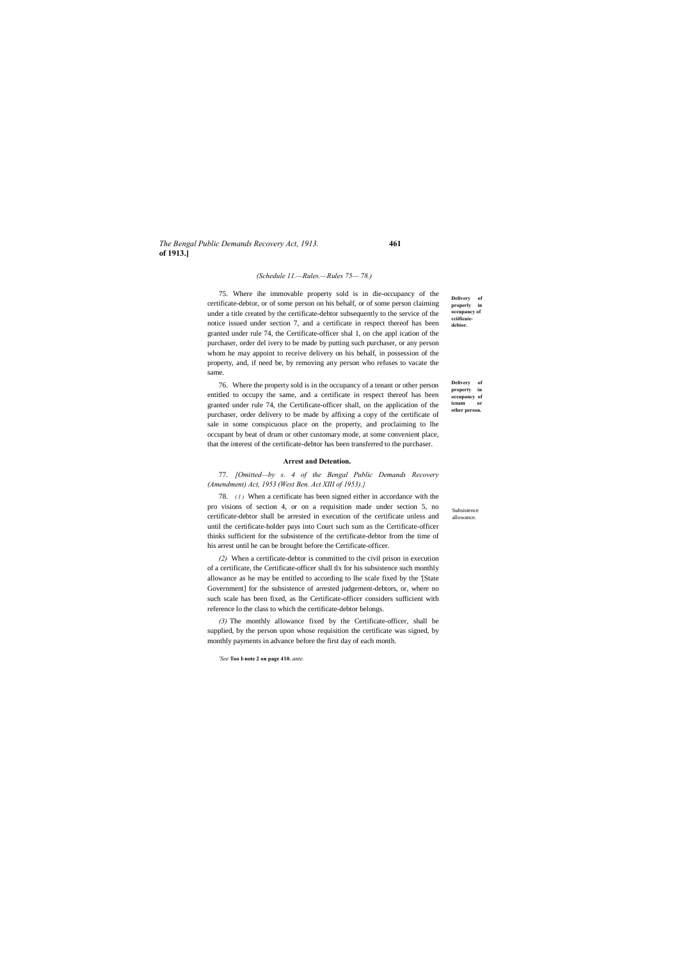#### *The Bengal Public Demands Recovery Act, 1913.* **461 of 1913.]**

Subsistence allowance.

**Delivery of properly in occupancy of cciificaiedebior.**

**Delivery of property in occupancy of icnam or other person.**

#### *(Schedule 11.—Rules.—Rules 75— 78.)*

75. Where ihe immovable property sold is in die-occupancy of the certificate-debtor, or of some person on his behalf, or of some person claiming under a title created by the certificate-debtor subsequently to the service of the notice issued under section 7, and a certificate in respect thereof has been granted under rule 74, the Certificate-officer shal 1, on che appl ication of the purchaser, order del ivery to be made by putting such purchaser, or any person whom he may appoint to receive delivery on his behalf, in possession of the property, and, if need be, by removing any person who refuses to vacate the same.

78. (1) When a certificate has been signed either in accordance with the pro visions of section 4, or on a requisition made under section 5, no certificate-debtor shall be arrested in execution of the certificate unless and until the certificate-holder pays into Court such sum as the Certificate-officer thinks sufficient for the subsistence of the certificate-debtor from the time of his arrest until he can be brought before the Certificate-officer.

76. Where the property sold is in the occupancy of a tenant or other person entitled to occupy the same, and a certificate in respect thereof has been granted under rule 74, the Certificate-officer shall, on the application of the purchaser, order delivery to be made by affixing a copy of the certificate of sale in some conspicuous place on the property, and proclaiming to lhe occupant by beat of drum or other customary mode, at some convenient place, that the interest of the certificate-debtor has been transferred to the purchaser.

#### **Arrest and Detention.**

77. *[Omitted—by s. 4 of the Bengal Public Demands Recovery (Amendment) Act, 1953 (West Ben. Act XIII of 1953).}*

*(2)* When a certificate-debtor is committed to the civil prison in execution of a certificate, the Certificate-officer shall tlx for his subsistence such monthly allowance as he may be entitled to according to lhe scale fixed by the '[State Government] for the subsistence of arrested judgement-debtors, or, where no such scale has been fixed, as lhe Certificate-officer considers sufficient with reference lo the class to which the certificate-debtor belongs.

*(3)* The monthly allowance fixed by the Certificate-officer, shall be supplied, by the person upon whose requisition the certificate was signed, by monthly payments in advance before the first day of each month.

*'See* **Too I-note 2 on page 410.** *ante.*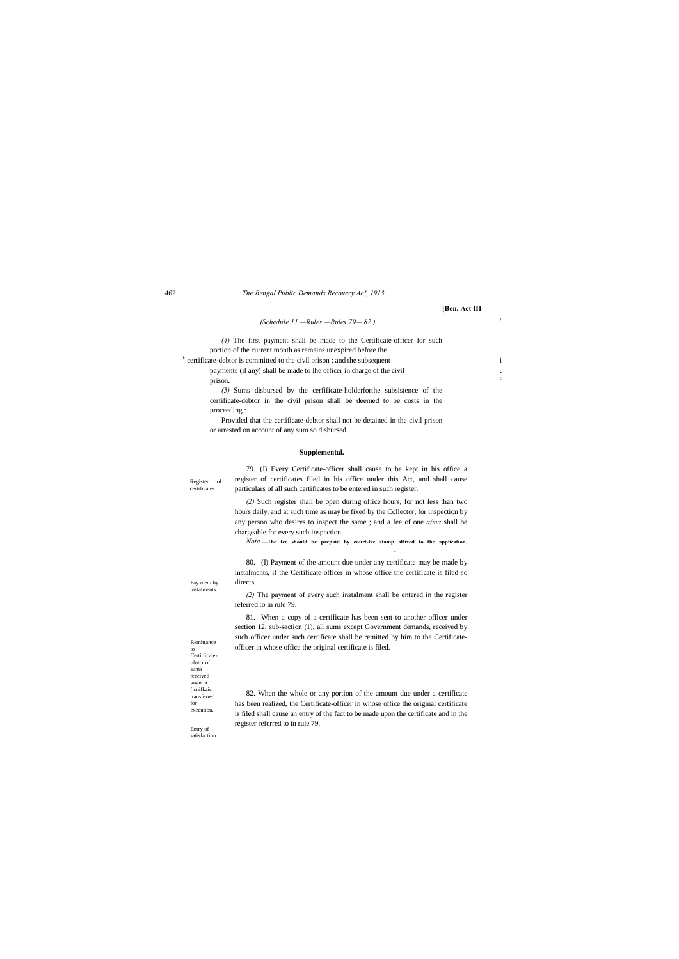Register of certificates.

Pay mem by instalments.

Remittance to Certi ficaieofntcr of sums received under a (.cnifkaic transferred for execution.

Entry of satisfaction.

| 462 | The Bengal Public Demands Recovery Ac., 1913. |
|-----|-----------------------------------------------|
|     |                                               |

**[Ben. Act III |**

# *(Schedule 11.—Rules.—Rules 79— 82.) <sup>1</sup>*

*(4)* The first payment shall be made to the Certificate-officer for such portion of the current month as remains unexpired before the

<sup>i:</sup> certificate-debtor is committed to the civil prison ; and the subsequent i payments (if any) shall be made to Ihe officer in charge of the civil prison.

*(5)* Sums disbursed by the cerfificate-holderforthe subsistence of the certificate-debtor in the civil prison shall be deemed to be costs in the proceeding :

Provided that the certificate-debtor shall not be detained in the civil prison or arrested on account of any sum so disbursed.

#### **Supplemental.**

79. (I) Every Certificate-officer shall cause to be kept in his office a register of certificates filed in his office under this Act, and shall cause particulars of all such certificates to be entered in such register.

*(2)* Such register shall be open during office hours, for not less than two hours daily, and at such time as may be fixed by the Collector, for inspection by any person who desires to inspect the same ; and a fee of one *a/ma* shall be chargeable for every such inspection.

*Note.***—The fee should be prepaid by court-fee stamp affixed to the application.**

**-**

80. (I) Payment of the amount due under any certificate may be made by instalments, if the Certificate-officer in whose office the certificate is filed so directs.

*(2)* The payment of every such instalment shall be entered in the register referred to in rule 79.

81. When a copy of a certificate has been sent to another officer under section 12, sub-section (1), all sums except Government demands, received by such officer under such certificate shall be remitted by him to the Certificateofficer in whose office the original certificate is filed.

82. When the whole or any portion of the amount due under a certificate has been realized, the Certificate-officer in whose office the original certificate is filed shall cause an entry of the fact to be made upon the certificate and in the

register referred to in rule 79,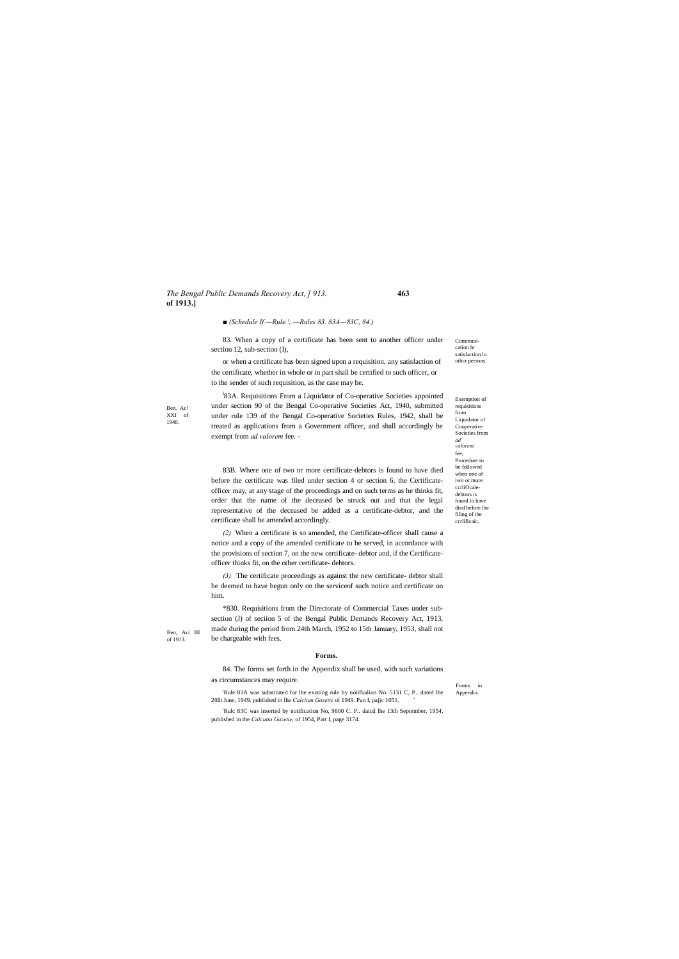#### *The Bengal Public Demands Recovery Act, ] 913.* **463 of 1913.]**

Ben. Ac! XXI of 1940.

Ben, Aci III of 1913.

> Forms in Appendix.

Communication br satisfaction lo oihcr persons.

Exemption of requisitions from Liquidator of Cooperative Societies from *ad valorem* fee, Procedure to be followed when one of iwo or more ccrliOcaiedebtors is found lo have died before lhe filing of the ccrlificaic.

*■ (Schedule If.—Rule.';.—Rules 83. 83A—83C, 84.)*

83. When a copy of a certificate has been sent to another officer under section 12, sub-section (I),

<sup>1</sup>83A. Requisitions From a Liquidator of Co-operative Societies appointed under section 90 of the Bengal Co-operative Societies Act, 1940, submitted under rule 139 of the Bengal Co-operative Societies Rules, 1942, shall be treated as applications from a Government officer, and shall accordingly be exempt from *ad valorem* fee. -

or when a certificate has been signed upon a requisition, any satisfaction of the certificate, whether in whole or in part shall be certified to such officer, or to the sender of such requisition, as the case may be.

83B. Where one of two nr more certificate-debtors is found to have died before the certificate was filed under section 4 or section 6, the Certificateofficer may, at any stage of the proceedings and on such terms as he thinks fit, order that the name of the deceased be struck out and that the legal representative of the deceased be added as a certificate-debtor, and the certificate shall be amended accordingly.

*(2)* When a certificate is so amended, the Certificate-officer shall cause a notice and a copy of the amended certificate to be served, in accordance with the provisions of section 7, on the new certificate- debtor and, if the Certificateofficer thinks fit, on the other certificate- debtors.

*(3)* The certificate proceedings as against the new certificate- debtor shall be deemed to have begun only on the serviceof such notice and certificate on him.

\*830. Requisitions from the Directorate of Commercial Taxes under subsection (J) of seciion 5 of the Bengal Public Demands Recovery Act, 1913, made during the period from 24th March, 1952 to 15th January, 1953, shall not be chargeable with fees.

#### **Forms.**

84. The forms set forth in the Appendix shall be used, with such variations as circumstances may require.

'Rule 83A was substituted for lhe existing rule by nolifkalion No. 5131 C, P.. dated lhe 20lh June, 1949. published in lhe *Calcium Gazette* of 1949. Pan I, pajjc 1051. '

Rulc 83C was inserted by notification No, 9600 C. P.. daicd lhe 13th September, 1954.

published in the *Calcutta Gazette,* of 1954, Part I, page 3174.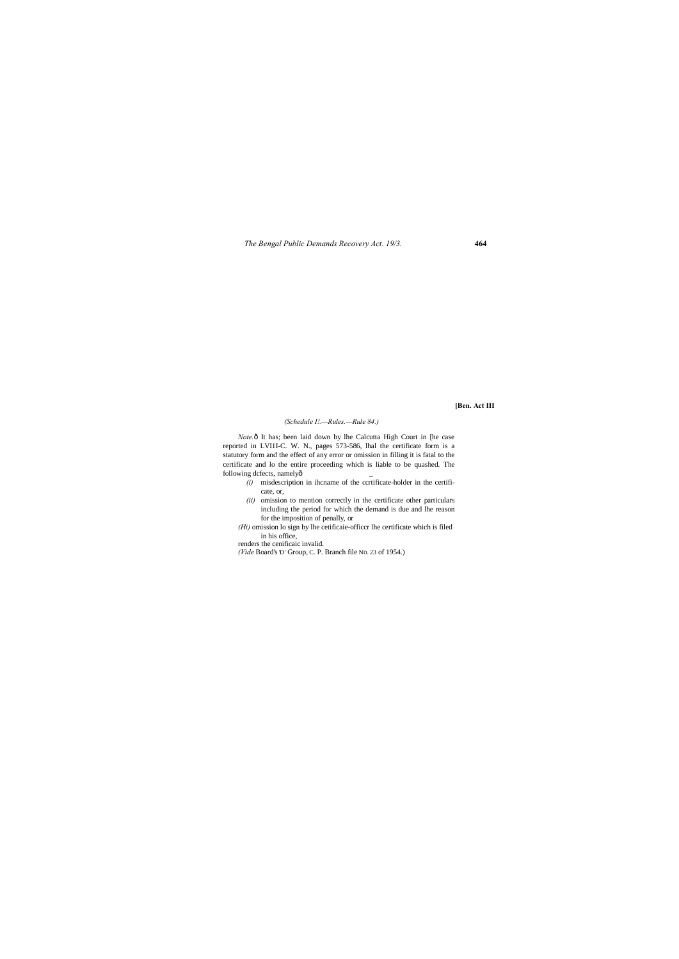*The Bengal Public Demands Recovery Act. 19/3.* **464**

#### **[Ben. Act III**

### *(Schedule I!.—Rules.—Rule 84.)*

*Note.*<sup>6</sup> It has; been laid down by lhe Calcutta High Court in [he case reported in LVI1I-C. W. N., pages 573-586, lhal the certificate form is a statutory form and the effect of any error or omission in filling it is fatal to the certificate and lo the entire proceeding which is liable to be quashed. The following dcfects, namelyô

- $(i)$  misdescription in ihcname of the ccrtificate-holder in the certificate, or,
- *(ii)* omission to mention correctly in the certificate other particulars including the period for which the demand is due and lhe reason for the imposition of penally, or

*(Hi)* omission lo sign by lhe cetificaie-officcr lhe certificate which is filed in his office,

renders the cenificaic invalid.

*(Vide* Board's'D' Group, C. P. Branch file ND. 23 of 1954.)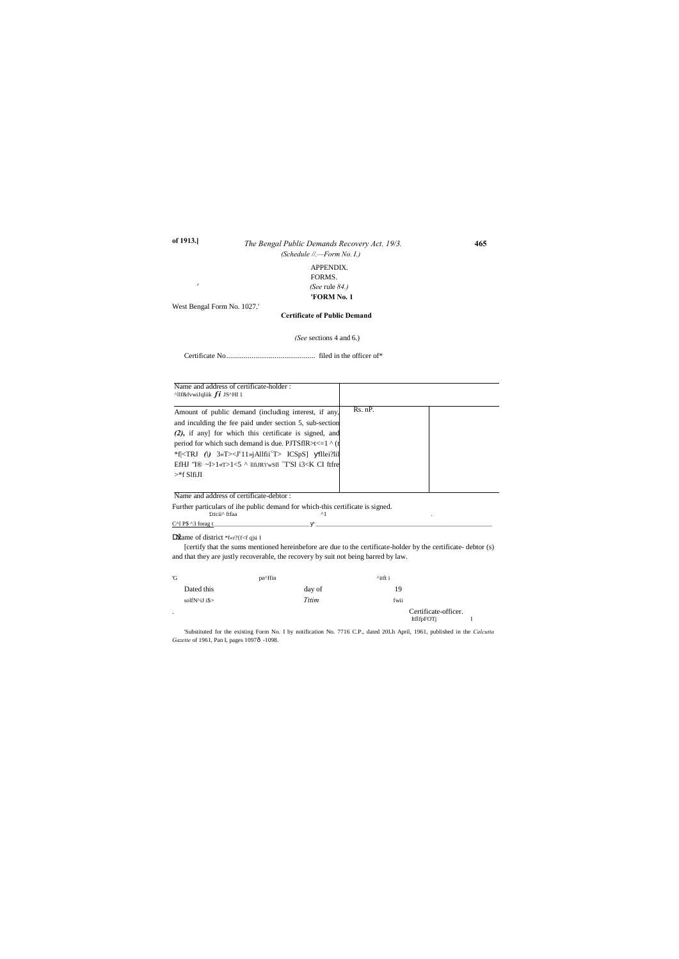## *The Bengal Public Demands Recovery Act. 19/3.* **465 of 1913.]** *(Schedule //.—Form No. I.)*

APPENDIX. FORMS. *<sup>r</sup> (See* rule *84.)* **'FORM No. 1**

West Bengal Form No. 1027.'

#### **Certificate of Public Demand**

*(See* sections 4 and 6.)

Certificate No.............................................. filed in the officer of\*

'Substituted for the existing Form No. I by notification No. 7716 C.P., dated 20Lh April, 1961, published in the *Calcutta Gazette* of 1961, Pan I, pages 1097ô -1098.

Name of district \*f«r?{f<f q|si I

[certify that the sums mentioned hereinbefore are due to the certificate-holder by the certificate- debtor (s) and that they are justly recoverable, the recovery by suit not being barred by law.

| 'G      |               | pn^ffin |        | $^{\wedge}$ itft i |                                           |  |
|---------|---------------|---------|--------|--------------------|-------------------------------------------|--|
|         | Dated this    |         | day of | 19                 |                                           |  |
|         | solfN^iJ i\$> |         | Tttim  | fwii               |                                           |  |
| $\cdot$ |               |         |        |                    | Certificate-officer.<br><b>ItflfpFOTj</b> |  |

| Name and address of certificate-holder:<br>$\triangle$ llf&fvwiJqliik $fi$ JS $\triangle$ HI1                                                                                    |         |  |
|----------------------------------------------------------------------------------------------------------------------------------------------------------------------------------|---------|--|
| Amount of public demand (including interest, if any,                                                                                                                             | Rs. nP. |  |
| and inculding the fee paid under section 5, sub-section                                                                                                                          |         |  |
| (2), if any] for which this certificate is signed, and                                                                                                                           |         |  |
| period for which such demand is due. PJTSflR>t<=1 $\land$ (t                                                                                                                     |         |  |
| *f  <trj <math="">\left(\right) 3«T&gt;<math>\left  \left  \right </math> 3«T&gt;<math>\left  \right </math> allfii<sup><math>\left  \right </math></sup> ICSpS] fllei?lil</trj> |         |  |
| EfHJ "I <sup>®</sup> ~ $\geq$ 1< $\leq$ ^ 11fiJR't'wSfl <sup>&lt;</sup> T'Sl i3 <k ci="" ftfre<="" td=""><td></td><td></td></k>                                                  |         |  |
| $>$ *f SlfiJI                                                                                                                                                                    |         |  |

Name and address of certificate-debtor :

Further particulars of ihe public demand for which-this certificate is signed.<br>  $\epsilon_{\rm t}$  fits  $\epsilon_{\rm t}$  ${\tt fttci'}$ ftfaa

 $C^{\wedge}$ l P\$  $\wedge$ 3 forag t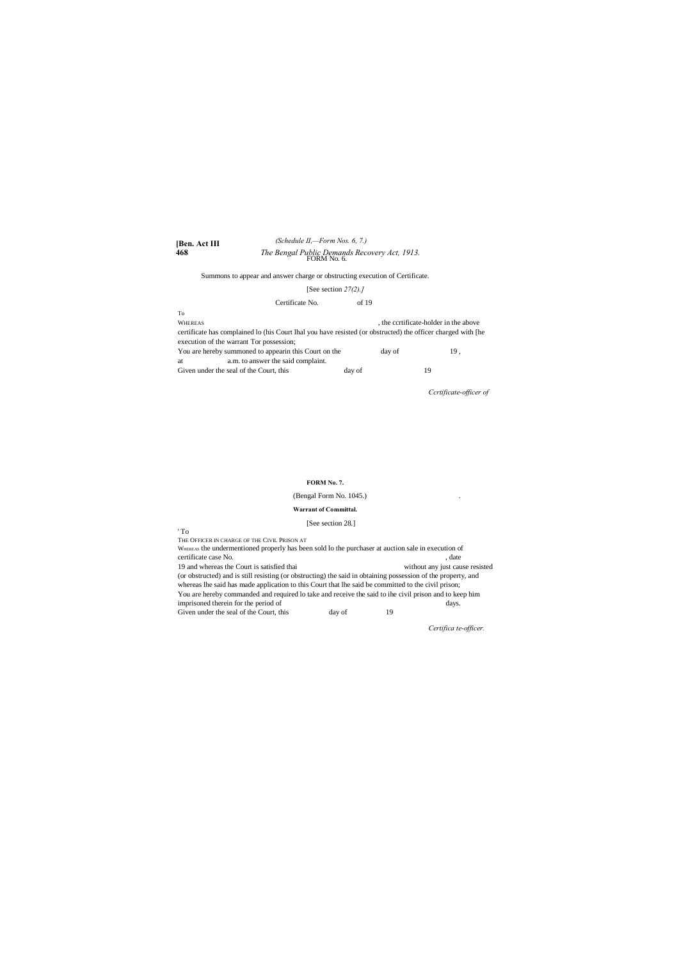#### **[Ben. Act III 468** *The Bengal Public Demands Recovery Act, 1913.* FORM No. 6. *(Schedule II,—Form Nos. 6, 7.)*

Summons to appear and answer charge or obstructing execution of Certificate.

#### [See section *27(2).]*

#### Certificate No. of 19

THE OFFICER IN CHARGE OF THE CIVIL PRISON AT WHEREAS the undermentioned properly has been sold lo the purchaser at auction sale in execution of certificate case No.  $\qquad \qquad$ , date 19 and whereas the Court is satisfied thai without any just cause resisted (or obstructed) and is still resisting (or obstructing) the said in obtaining possession of the property, and whereas lhe said has made application to this Court that lhe said be committed to the civil prison; You are hereby commanded and required lo take and receive the said to ihe civil prison and to keep him imprisoned therein for the period of days. Given under the seal of the Court, this day of 19

| To                                                                                                           |        |                                       |
|--------------------------------------------------------------------------------------------------------------|--------|---------------------------------------|
| <b>WHEREAS</b>                                                                                               |        | , the cortificate-holder in the above |
| certificate has complained lo (his Court lhal you have resisted (or obstructed) the officer charged with [he |        |                                       |
| execution of the warrant Tor possession;                                                                     |        |                                       |
| You are hereby summoned to appear in this Court on the                                                       | day of | 19,                                   |
| a.m. to answer the said complaint.<br>at                                                                     |        |                                       |
| Given under the seal of the Court, this                                                                      | day of | 19                                    |
|                                                                                                              |        |                                       |

*Ccrtificate-officer of*

#### **FORM No. 7.**

### (Bengal Form No. 1045.)

#### **Warrant of Committal.**

#### [See section 28.]

' To

*Certifica te-officer.*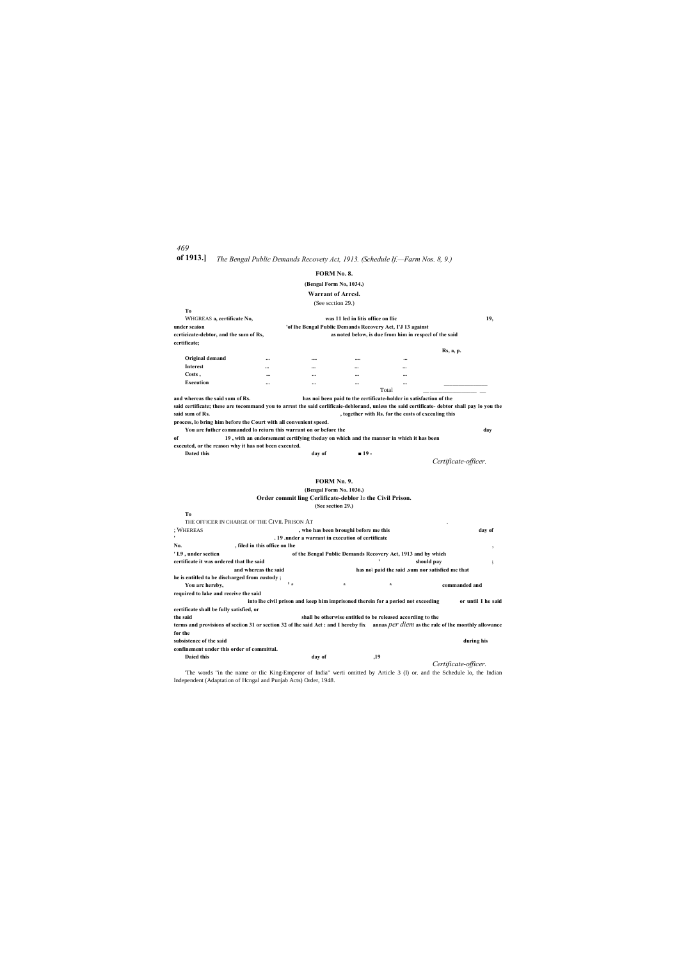### *469*

# **of 1913.]** *The Bengal Public Demands Recovety Act, 1913. (Schedule If.—Farm Nos. 8, 9.)*

#### **FORM No. 8.**

## **(Bengal Form No, 1034.)**

**Warrant of Arrcsl.**

(See scction 29.)

| Tо                                     |          |                                                            |                                    |          |           |  |  |
|----------------------------------------|----------|------------------------------------------------------------|------------------------------------|----------|-----------|--|--|
| WHGREAS a, certificate No,             |          |                                                            | was 11 led in litis office on Ilic |          | 19,       |  |  |
| under scaion                           |          | 'of lhe Bengal Public Demands Recovery Act, I'J 13 against |                                    |          |           |  |  |
| ccrticicate-debtor, and the sum of Rs, |          | as noted below, is due from him in respect of the said     |                                    |          |           |  |  |
| certificate;                           |          |                                                            |                                    |          |           |  |  |
|                                        |          |                                                            |                                    |          | Rs, a, p. |  |  |
| Original demand                        | $\cdots$ |                                                            |                                    | $\cdots$ |           |  |  |
| <b>Interest</b>                        | $\cdots$ | $\cdots$                                                   | $\cdots$                           | $\cdots$ |           |  |  |
| Costs,                                 | $\cdots$ | $\cdots$                                                   | $\cdots$                           | $\cdots$ |           |  |  |
| Execution                              |          | $\cdots$                                                   | $\cdots$                           | $\cdots$ |           |  |  |
|                                        |          |                                                            |                                    | Total    |           |  |  |

#### **(Bengal Form No. 1036.)** Order commit ling Cerlificate-deblor I<sub>D</sub> the Civil Prison.

**and whereas the said sum of Rs. has noi been paid to the certificate-holdcr in satisfaction of the said certificate; these are tocommand you to arrest the said cerlificaie-deblorand, unless the said certificate- debtor shall pay lo you the said sum of Rs. , together with Rs. for the costs of cxcculing this proccss, lo bring him before the Court with all convenient speed. You are futhcr commanded lo reiurn this warrant on or before the day**

**of 19 , with an endorsement certifying theday on which and the manner in which it has been executed, or the reason why it has not been executed.**

**Dated this day of ■ 19 -**

*Certificate-officer.*

## **FORM Nn. 9.**

#### **(See section 29.)**

| To                                       |                                                                                                                                         |                                                              |         |                                                  |                    |
|------------------------------------------|-----------------------------------------------------------------------------------------------------------------------------------------|--------------------------------------------------------------|---------|--------------------------------------------------|--------------------|
|                                          | THE OFFICER IN CHARGE OF THE CIVIL PRISON AT                                                                                            |                                                              |         |                                                  |                    |
| : WHEREAS                                |                                                                                                                                         | , who has been broughi before me this                        |         |                                                  | day of             |
|                                          |                                                                                                                                         | .19 .under a warrant in execution of certificate             |         |                                                  |                    |
| No.                                      | , filed in this office on lhe                                                                                                           |                                                              |         |                                                  | ٠                  |
| 'L9, under sectien                       |                                                                                                                                         | of the Bengal Public Demands Recovery Act, 1913 and by which |         |                                                  |                    |
| certificate it was ordered that lhe said |                                                                                                                                         |                                                              |         | should pay                                       | ۰                  |
|                                          | and whereas the said                                                                                                                    |                                                              |         | has not paid the said .sum nor satisfied me that |                    |
|                                          | he is entitled ta be discharged from custody;                                                                                           |                                                              |         |                                                  |                    |
| You arc hereby,                          | $1_{\infty}$                                                                                                                            | $\star$                                                      | $\star$ | commanded and                                    |                    |
| required to lake and receive the said    |                                                                                                                                         |                                                              |         |                                                  |                    |
|                                          | into lhe civil prison and keep him imprisoned therein for a period not exceeding                                                        |                                                              |         |                                                  | or until I he said |
| certificate shall be fully satisfied, or |                                                                                                                                         |                                                              |         |                                                  |                    |
| the said                                 |                                                                                                                                         | shall be otherwise entitled to be released according to the  |         |                                                  |                    |
|                                          | terms and provisions of seciion 31 or section 32 of lhe said Act : and I hereby fix annas per diem as the rale of lhe monthly allowance |                                                              |         |                                                  |                    |
| for the                                  |                                                                                                                                         |                                                              |         |                                                  |                    |
| subsistence of the said                  |                                                                                                                                         |                                                              |         |                                                  | during his         |

**confinement under this order of committal. Daied this day of ,19** *Certificate-officer.*

'The words "in the name or tlic King-Emperor of India" werti omitted by Article 3 (I) or. and the Schedule lo, the Indian Independent (Adaptation of Hcngal and Punjab Acts) Order, 1948.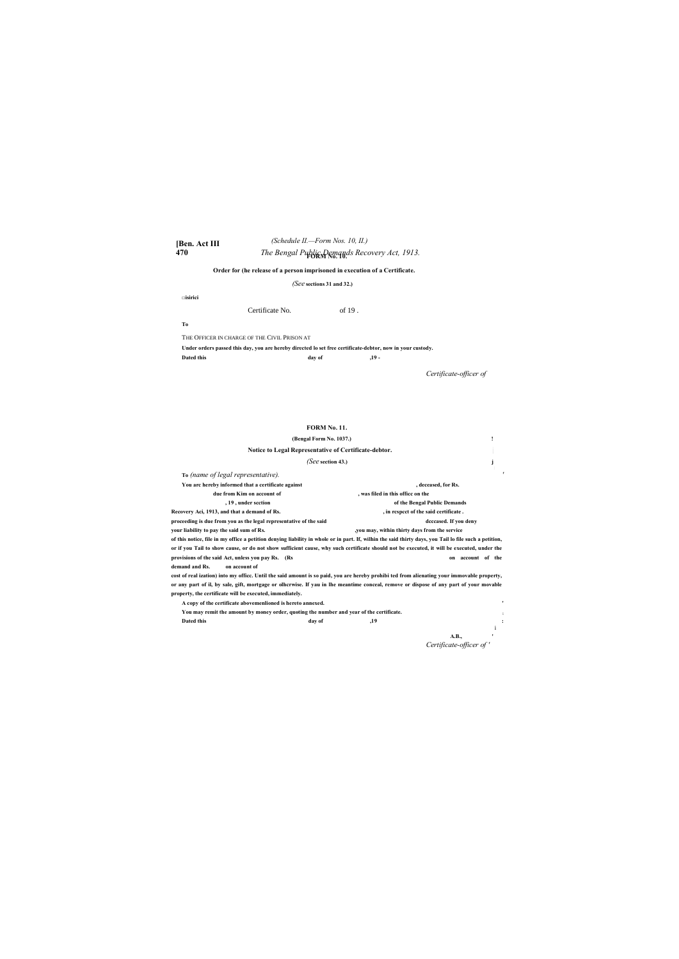#### **[Ben. Act III 470** *The Bengal Public Demands Recovery Act, 1913.* **FORM No. 10.** *(Schedule II.—Form Nos. 10, II.)*

### **Order for (he release of a person imprisoned in execution of a Certificate.**

### *(See* **sections 31 and 32.)**

**□isirici**

Certificate No. 6f 19.

**To**

THE OFFICER IN CHARGE OF THE CIVIL PRISON AT **Under orders passed this day, you are hereby directed lo set free certificate-debtor, now in your custody. Dated this day of ,19 -**

*Certificate-officer of*

#### **FORM No. 11.**

| (Bengal Form No. 1037.)                                                                  |                                                                                                                                                        |
|------------------------------------------------------------------------------------------|--------------------------------------------------------------------------------------------------------------------------------------------------------|
| Notice to Legal Representative of Certificate-debtor.                                    |                                                                                                                                                        |
| (See section 43.)                                                                        |                                                                                                                                                        |
| To (name of legal representative).                                                       |                                                                                                                                                        |
| You arc hereby informed that a certificate against                                       | , deceased, for Rs.                                                                                                                                    |
| due from Kim on account of                                                               | , was filed in this office on the                                                                                                                      |
| , 19, under section                                                                      | of the Bengal Public Demands                                                                                                                           |
| Recovery Aci, 1913, and that a demand of Rs.                                             | , in respect of the said certificate.                                                                                                                  |
| proceeding is due from you as the legal representative of the said                       | deceased. If you deny                                                                                                                                  |
| your liability to pay the said sum of Rs.                                                | you may, within thirty days from the service                                                                                                           |
|                                                                                          | of this notice, file in my office a petition denying liability in whole or in part. If, wilhin the said thirty days, you Tail lo file such a petition, |
|                                                                                          | or if you Tail to show cause, or do not show sufficient cause, why such certificate should not be executed, it will be executed, under the             |
| provisions of the said Act, unless you pay Rs. (Rs                                       | on account of the                                                                                                                                      |
| demand and Rs.<br>on account of                                                          |                                                                                                                                                        |
|                                                                                          | cost of real ization) into my office. Until the said amount is so paid, you are hereby prohibi ted from alienating your immovable property,            |
|                                                                                          | or any part of il, by sale, gift, mortgage or olhcrwise. If yau in lhe meantime conceal, remove or dispose of any part of your movable                 |
| property, the certificate will be executed, immediately.                                 |                                                                                                                                                        |
| A copy of the certificate abovemenlioned is hereto annexed.                              | ٠                                                                                                                                                      |
| You may remit the amount by money order, quoting the number and year of the certificate. |                                                                                                                                                        |
| Dated this<br>day of                                                                     | ,19                                                                                                                                                    |

i

**A.B., '** *Certificate-officer of '*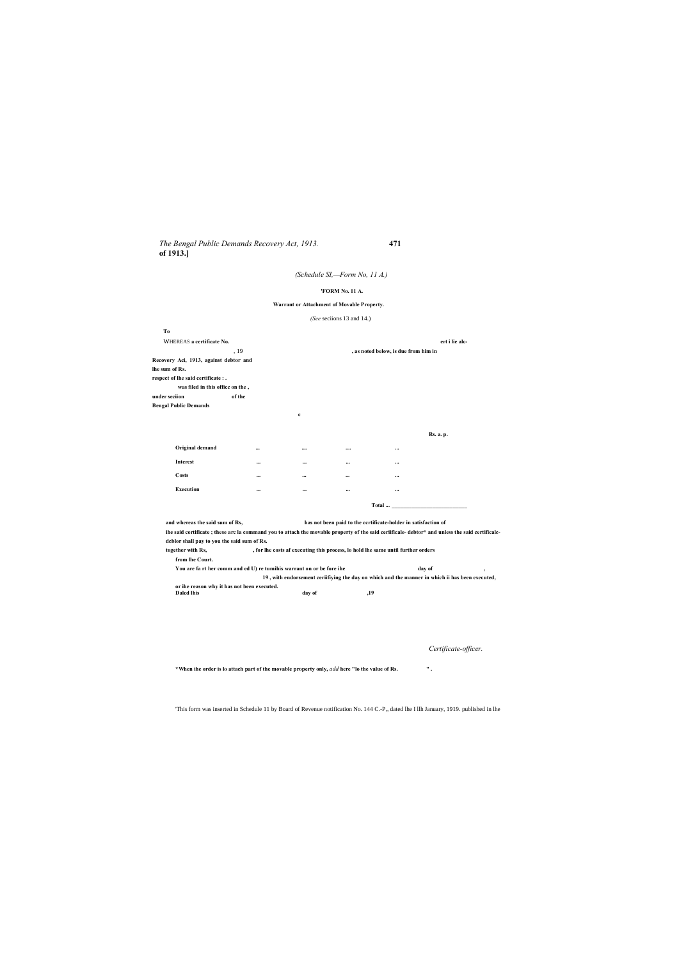*The Bengal Public Demands Recovery Act, 1913.* **471 of 1913.]**

### *(Schedule SI,—Form No, 11 A.)*

#### **'FORM No. 11 A.**

#### **Warrant or Attachment of Movable Property.**

*(See* seciions 13 and 14.)

| To             |                                        |          |             |          |                                      |                  |
|----------------|----------------------------------------|----------|-------------|----------|--------------------------------------|------------------|
|                | WHEREAS a certificate No.              |          |             |          |                                      | ert i lie alc-   |
|                |                                        | , 19     |             |          | , as noted below, is due from him in |                  |
|                | Recovery Aci, 1913, against debtor and |          |             |          |                                      |                  |
| lhe sum of Rs. |                                        |          |             |          |                                      |                  |
|                | respect of lhe said certificate : .    |          |             |          |                                      |                  |
|                | was filed in this office on the,       |          |             |          |                                      |                  |
| under seciion  |                                        | of the   |             |          |                                      |                  |
|                | <b>Bengal Public Demands</b>           |          |             |          |                                      |                  |
|                |                                        |          | $\mathbf c$ |          |                                      |                  |
|                |                                        |          |             |          |                                      |                  |
|                |                                        |          |             |          |                                      | <b>Rs. a. p.</b> |
|                | Original demand                        | $\cdots$ |             |          | $\cdots$                             |                  |
|                | Interest                               | $\cdots$ | $\cdots$    | $\cdots$ | $\cdots$                             |                  |
|                | Costs                                  |          | $\cdots$    | $\cdots$ | $\cdots$                             |                  |
|                | <b>Execution</b>                       |          | $\cdots$    | $\cdots$ | $\cdots$                             |                  |
|                |                                        |          |             |          | Total                                |                  |

**and whereas the said sum of Rs, has not been paid to the ccrtificate-holder in satisfaction of**

**ihe said certificate ; these arc la command you to attach the movable property of the said ceriificale- debtor\* and unless the said certificalcdcblor shall pay to you the said sum of Rs.**

**together with Rs, , for lhe costs af executing this process, lo hold lhe same until further orders from lhe Court.**

**You are fa rt her comm and ed U) re tumihis warrant on or be fore ihe day of , 19 , with endorsement ceriifiying the day on which and the manner in which ii has been executed, or ihe reason why it has not been executed. Daled lhis day of ,19**

*Certificate-officer.*

**\*When ihe order is lo attach part of the movable property only,** *add* **here "lo the value of Rs. " .**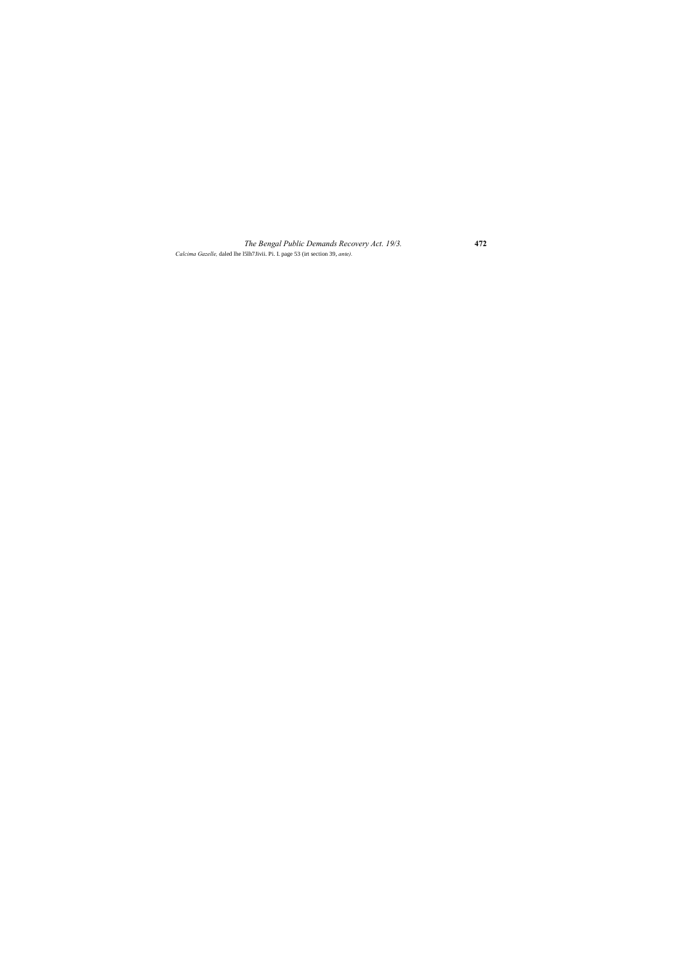*The Bengal Public Demands Recovery Act. 19/3.* **472** *Calcima Gazelle,* daled lhe l5lh7Jivii. Pi. I. page 53 (irt section 39, *ante).*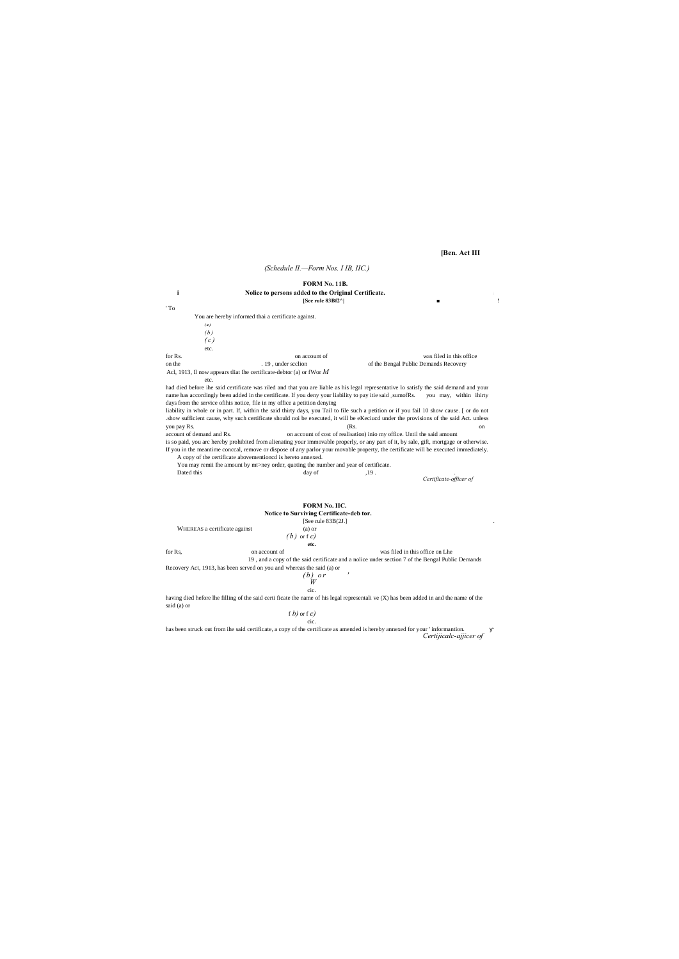#### **[Ben. Act III**

#### *(Schedule II.—Form Nos. I IB, IIC.)*

# **FORM No. 11B.**

**i Nolice to persons added to the Original Certificate.** <sup>i</sup> **[See rule 83Bf2^| ■ !**

' To

had died before ihe said certificate was riled and that you are liable as his legal representative lo satisfy the said demand and your name has accordingly been added in the certificate. If you deny your liability to pay itie said ; sumofRs. you may, within ihirty days from the service ofihis notice, file in my office a petition denying

You are hereby informed thai a certificate against. *( a ) (b ) ( c )* etc. for Rs. **b** account of was filed in this office on the . 19, under scclion of the Bengal Public Demands Recovery Acl, 1913, Il now appears tliat Ihe certificate-debtor (a) or fWor *M* etc.

Dated this day of the set of the set of the set of the day of the set of the set of the set of the set of the set of the set of the set of the set of the set of the set of the set of the set of the set of the set of the se *Certificate-officer of*

[See rule 83B(2J.] . WHEREAS a certificate against (a) or *( b )* or f *c)* **etc.** for Rs, however, on account of was filed in this office on Lhe 19 , and a copy of the said certificate and a nolice under section 7 of the Bengal Public Demands Recovery Act, 1913, has been served on you and whereas the said (a) or  $(h)$  or

liability in whole or in part. If, within the said thirty days, you Tail to file such a petition or if you fail 10 show cause. [ or do not .show sufficient cause, why such certificate should noi be executed, it will be eKeciucd under the provisions of the said Act. unless you pay Rs. (Rs. on account of demand and Rs. on account of cost of realisation) inio my office. Until the said amount

is so paid, you arc hereby prohibited from alienating your immovable properly, or any part of it, by sale, gift, mortgage or otherwise. If you in the meantime conccal, remove or dispose of any parlor your movable property, the certificate will be executed immediately. A copy of the certificate abovementioncd is hereto annexed.

You may remii Ihe amount by mt>ney order, quoting the number and year of certificate.

#### **FORM No. IIC. Notice to Surviving Certificate-deb tor.**

$$
\begin{array}{c}\n (b) \quad 0 \\
W \\
\text{etc.} \\
\end{array}
$$

having died hefore lhe filling of the said certi ficate the name of his legal representali ve (X) has been added in and the name of the said (a) or

f *b)* or f *c)* cic.

has been struck out from ihe said certificate, a copy of the certificate as amended is hereby annexed for your ' informantion. *Certijicalc-ajjicer of*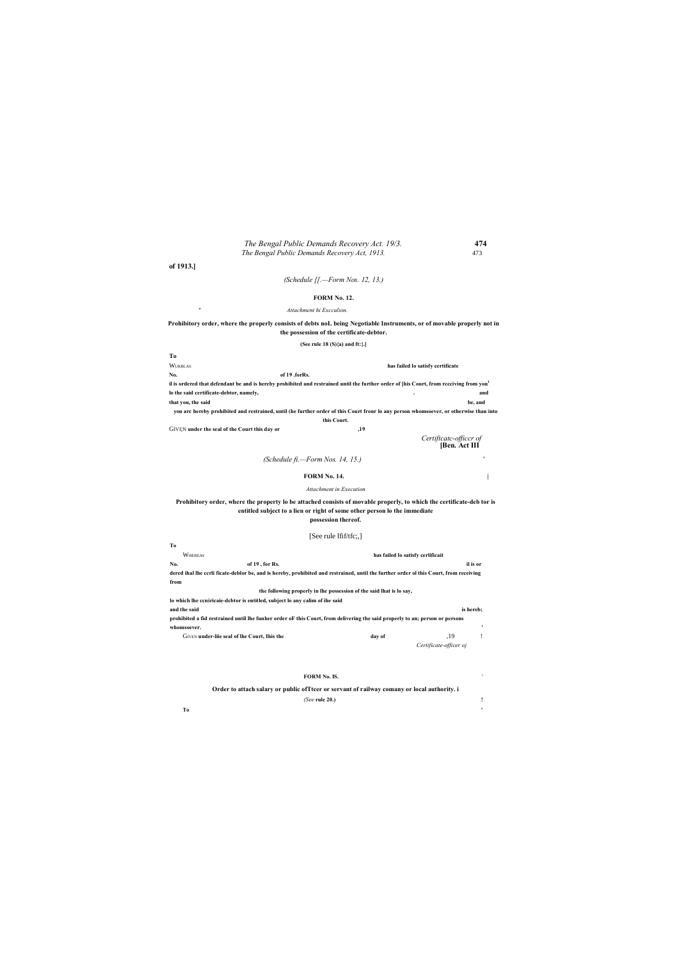#### *The Bengal Public Demands Recovery Act. 19/3.* **474** *The Bengal Public Demands Recovery Act, 1913.* 473

**of 1913.]**

*(Schedule [[.—Form Nos. 12, 13.)*

#### **FORM No. 12.**

*" Attachment hi Excculion.*

**Prohibitory order, where the properly consists of debts noL being Negotiable Instruments, or of movable properly not in the possession of the certificate-debtor.**

**(See rule 18 (S){a) and ft:}.]**

**To** WUKBLAS **has failed lo satisfy certificate No. of 19 .forRs. il is ordered that defendant be and is hereby prohibited and restrained until the further order of [his Court, from rccciving from you1 lo the said certificate-debtor, namely, . and**

**that you, the said be, and you arc hereby prohibited and restrained, until (he further order of this Court fronr lo any person whomsoever, or otherwise than into this Court.**

GIVI;N **under the seal of the Court this day or ,19** *Certiftcatc-officcr of*

**[Ben. Act III**

*(Schedule fi.—Form Nos. 14, 15.) '*

#### **FORM No. 14. |**

#### *Attachment in Execution*

**Prohibitory order, where the property lo be attached consists of movable properly, to which the certificate-deb tor is entitled subject to a lien or right of some other person lo the immediate possession thereof.**

#### [See rule lfif/tfc;,]

| Tо                                                                                                                                     |                                                                      |        |                                   |          |
|----------------------------------------------------------------------------------------------------------------------------------------|----------------------------------------------------------------------|--------|-----------------------------------|----------|
| WHEREAS                                                                                                                                |                                                                      |        | has failed lo satisfy cerlificait |          |
| No.<br>of $19$ , for Rs.                                                                                                               |                                                                      |        |                                   | il is or |
| dered ihal lhe ccrli ficate-deblor be, and is hereby, prohibited and restrained, until the further order ol this Court, from receiving |                                                                      |        |                                   |          |
| from                                                                                                                                   |                                                                      |        |                                   |          |
|                                                                                                                                        | the following properly in the possession of the said lhat is to say, |        |                                   |          |
| lo which lhe contricate-debtor is entitled, subject lo any calim of the said                                                           |                                                                      |        |                                   |          |
| and the said                                                                                                                           |                                                                      |        | is hereb:                         |          |
| prohibited a fid restrained until lhe funher order of this Court, from delivering the said properly to an; person or persons           |                                                                      |        |                                   |          |
| whomsoever.                                                                                                                            |                                                                      |        |                                   | ٠        |
| GIVEN under-lije seal of the Court, this the                                                                                           |                                                                      | day of | ,19                               |          |
|                                                                                                                                        |                                                                      |        | Certificate-officer oi            |          |

#### **FORM No. IS. ;**

#### **Order to attach salary or public ofTtcer or servant of railway comany or local authority. i**

| (See rule 20.) |  |  |
|----------------|--|--|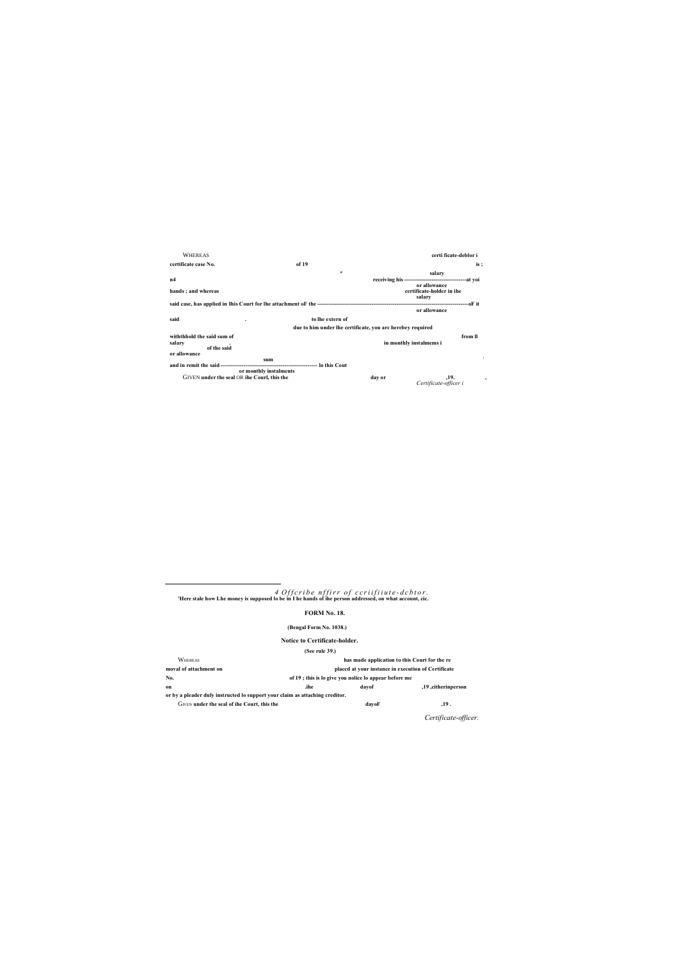WHEREAS **certi ficate-deblor i certificate case No. of 19 is ; salary**<br>**The same of the set of the set of the set of the set of the set of the set of the set of the set of the set of the set of the set of the set of the set of the set of the set of the set of the set of the set of th n4 receiving his --------------------------------at yoi or allowance hands ; and whereas certificate-holder in ihe salary said case, has applied in Ihis Court for lhe attachment oF the ------------------------------------------------------------------------------oF it or allowance said . to lhe extern of due to him under lhe certificate, you arc herebey required withthhold the said sum of from ll**<br> **example 2 from ll**<br> **example 2 from ll**<br> **example 2 from ll**<br> **example 2 from ll**<br> **example 2 from ll**<br> **example 2 from ll salary . in monthly instalmems i of the said or allowance sum : and in remit the said -------------------------------------------------- lo this Cout or monthly instalments** GIVEN **under the seal** OR **ihe Courl, this the day or ,19. ,** *Certificate-officer i*

*4 O f f c r i b e n f f i r r o f c c r i i f i i u t e - d c b t o r .* **'Here stale how Lhe money is supposed lo be in I he hands of ihe person addressed, on what account, cic.**

 $\overline{a}$ 

#### **FORM No. 18.**

#### **(Bengal Form No. 1038.)**

#### **Notice to Certificate-holder.**

**(See rule 39.)**

WHEREAS **has made application to this Court for the re moval of attachment on placcd at your instance in execution of Certificate No. of 19 ; this is lo give you nolice lo appear before me on .ihe dayof ,19 ,citherinperson or by a pleader duly instructed lo support your claim as attaching creditor.**

GIVEN **under** the seal of ihe Court, this the **dayof dayof ,19.** 

*Certificate-officer.*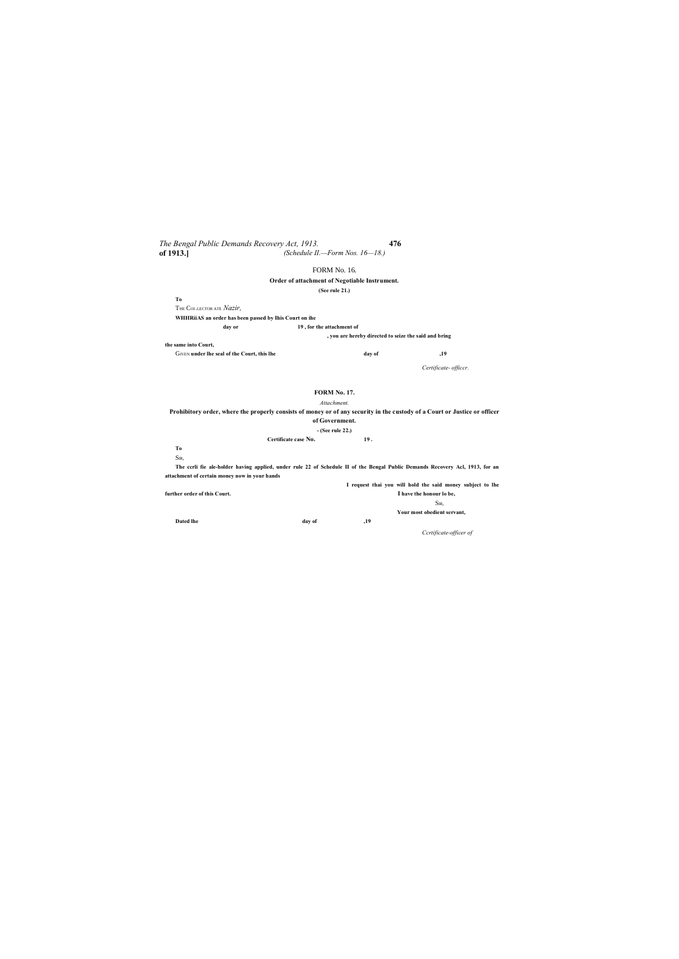*The Bengal Public Demands Recovery Act, 1913.* **476 of 1913.]** *(Schedule II.—Form Nos. 16—18.)*

#### FORM No. 16.

#### **Order of attachment of Negotiable Instrument.**

**(See rule 21.)**

**the same into Court,** GIVEN **under the seal of the Court, this lhe day of day of** *,19* 

**To** THE COI .I.ECTOR ATE *Nazir,*

**WHHRiiAS an order has been passed by Ihis Court on ihe**

**day or 19 , for the attachment of**

**, you are hereby directed to seize the said and bring**

*Certificate- officcr.*

#### **FORM No. 17.**

*Attachment.*

**Prohibitory order, where the properly consists of money or of any security in the custody of a Court or Justice or officer of Government. - (See rule 22.) Certificate case No. 19 .**

**To** SIR,

**The ccrli fie ale-holder having applied, under rule 22 of Schedule II of the Bengal Public Demands Recovery Acl, 1913, for an attachment of certain money now in your hands**

**I request thai you will hold the said money subject to lhe further order of this Court. I have the honour lo be,** SIR, **Your most obedient servant, Dated lhe day of ,19** *Ccrtificate-officer of*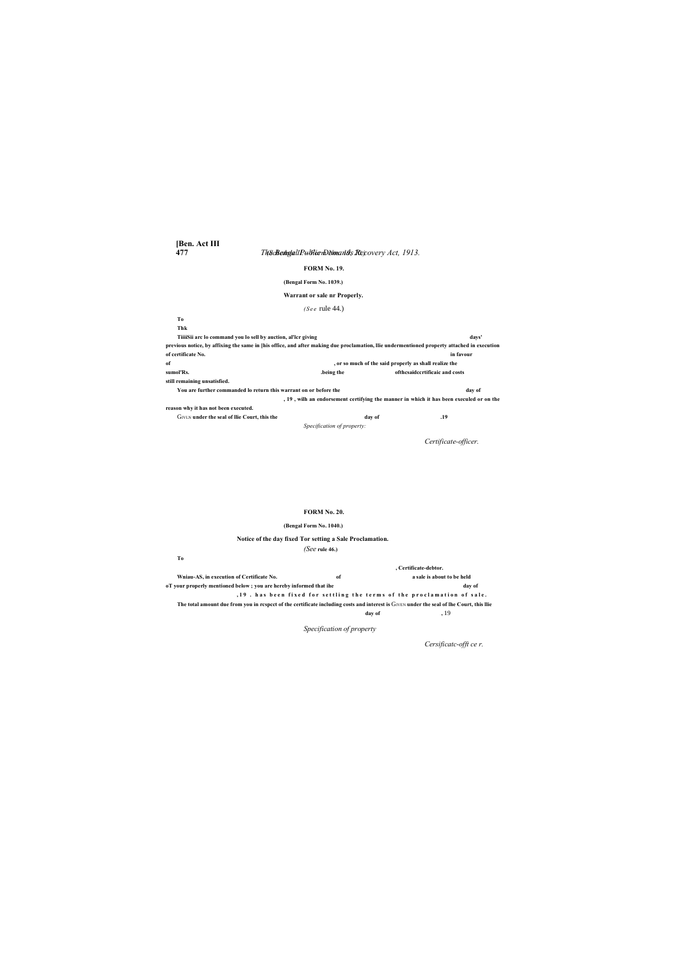**[Ben. Act III**

**477** *The Bengal Public Demands Recovery Act, 1913. (Schedule II.—Form Nos. 19, 20.)*

#### **FORM No. 19.**

#### **(Bengal Form No. 1039.)**

### **Warrant or sale nr Properly.**

#### *(S e e* rule 44.)

#### **To Thk**

**TiiiiSii arc lo command you lo sell by auction, al'lcr giving days' previous notice, by affixing the same in [his office, and after making due proclamation, llie undermentioned property attached in execution of certificate No. in favour of , or so much of the said properly as shall realize the sumol'Rs. .being the ofthcsaidccrtificaic and costs still remaining unsatisfied. You are further commanded lo return this warrant on or before the day of , 19 , wilh an endorsement certifying the manner in which it has been execuled or on the reason why it has not been executed.** GIVLN **under the seal of llie Court, this the day of day of .19** *Specification of property:*

*Certificate-officer.*

#### **FORM No. 20.**

#### **(Bengal Form No. 1040.)**

### **Notice of the day fixed Tor setting a Sale Proclamation.**

#### *(See* **rule 46.)**

**To**

**, Certificate-debtor. Wniau-AS, in execution of Certificate No. of a sale is about to be held oT your properly mentioned below ; you are hereby informed that ihe day of** , 19 . has been fixed for settling the terms of the proclamation of sale. The total amount due from you in respect of the certificate including costs and interest is GIVEN under the seal of lhe Court, this llie **day of ,** 19

*Specification of property*

*Cersificatc-offt ce r.*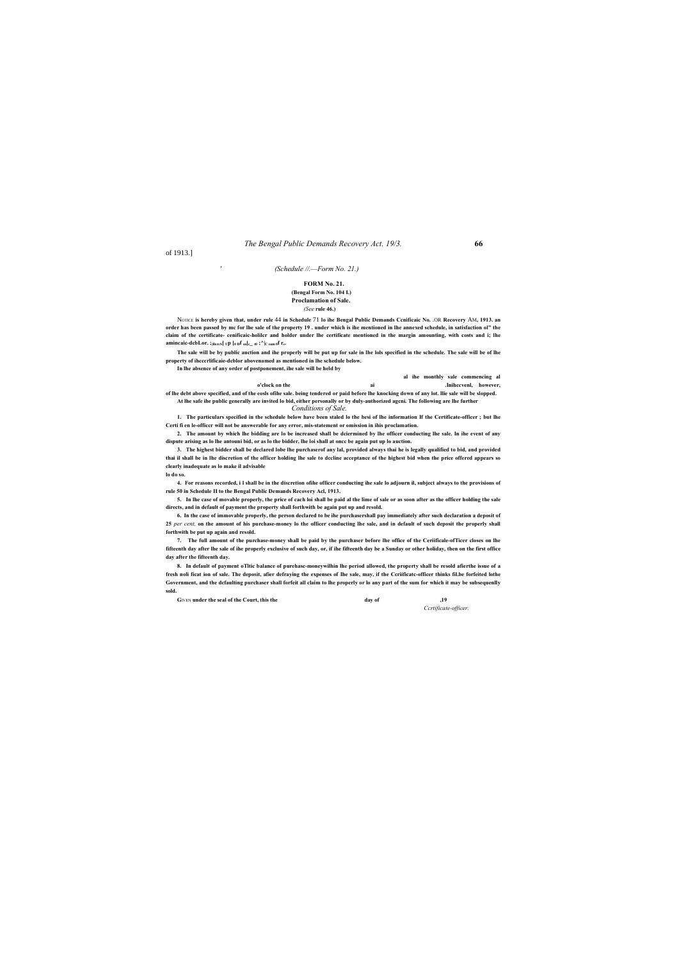#### *The Bengal Public Demands Recovery Act. 19/3.* **66**

of 1913.]

*'*

#### *(Schedule //.—Form No. 21.)*

NOTICE **is hereby given that, under rule** 44 **in Schedule** 71 **lo ihe Bengal Public Demands Ccnificaic No.** .OR **Recovery** AM**, 1913. an order has been passed by mc for lhe sale of the property 19 . under which is ihe mentioned in lhe annexed schedule, in satisfaction ol" the claim of the certificate- cenificaic-holilcr and holder under lhe certificate mentioned in the margin amounting, with costs and i; lhe amincaic-dcbLor.** ;<sub>)llereS</sub>[  $_{\text{UP}}$  [0  $_{\text{D}}$ f  $_{\text{sn}}$ [ $_{\text{c\_t0}}$  ; $^{\wedge}$ ] $_{\text{C sum 0}}$ f  $_{\text{r}}$ s.

#### **FORM No. 21. (Bengal Form No. 104 I.) Proclamation of Sale.**

*(See* **rule 46.)**

**The sale will be by public auction and ihe properly will be put up for sale in lhe lols specified in the schedule. The sale will be of lhe property of ihcccrlificaie-dcblor abovenamed as mentioned in lhe schedule below.**

**In lhe absence of any order of postponement, ihe sale will be held by**

**al ihe monthly sale commencing al o'clock on the ai .Inihccvenl, however, of lhe debt above specified, and of the eosls ofihe sale. being tendered or paid before lhe knocking down of any lot. llie sale will be slopped. At lhe safe ihe public generally are invited lo bid, either personally or by duly-authorized agcni. The following are lhe further** *Conditions of Sale.*

**1. The particulars specified in the schedule below have been staled lo the besi of lhe information If the Certificate-officer ; but lhe Certi fi en le-officcr will not be answerable for any error, mis-statement or omission in ihis proclamation.**

**2. The amount by which lhe bidding are lo be increased shall be dciermined by lhe officer conducting lhe sale. In ihe event of any dispute arising as lo lhe antouni bid, or as lo the bidder, lhe loi shall at oncc be again put up lo auction.**

**3. The highest bidder shall be declared lobe lhe purchaserof any lal, provided always thai he is legally qualified to bid, and provided thai il shall be in lhe discretion of the officer holding lhe sale to dccline acceptance of the highest bid when the price offered appears so clearly inadequate as lo make il advisable lo do so.**

**4. For reasons recorded, i l shall be in the discretion ofihe officer conducting ihe sale lo adjourn il, subject always to the provisions of rule 50 in Schedule II to the Bengal Public Demands Recovery Acl, 1913.**

**5. In lhe case of movable properly, the price of cach loi shall be paid al the lime of sale or as soon after as the officer holding the sale directs, and in default of payment the property shall forthwith be again put up and resold.**

**6. In the case of immovable properly, the person declared to be ihe purchasershall pay immediately after such declaration a deposit of 25** *per cent,* **on the amount of his purchase-money lo the officer conducting lhe sale, and in default of such deposit the properly shall forthwith be put up again and resold.**

**7. The full amount of the purchase-money shall be paid by the purchaser before lhe office of the Ceriificale-ofTicer closes on lhe fifteenth day after lhe sale of ihe properly exclusive of such day, or, if ihe fifteenth day be a Sunday or other holiday, then on the first office day after the fifteenth day.**

**8. In default of payment oTltic balance of purehasc-moneywilhin lhe period allowed, the property shall be resold afierthe issue of a fresh noli ficat ion of sale. The deposit, afier defraying the expenses of Ihe sale, may, if the Ccriificatc-officer thinks fil.be forfeited lothe Government, and the dcfaulting purchaser shall forfeit all claim to lhe properly or lo any part of the sum for which it may be subsequenlly sold.**

**G**IVEN **under the seal of the Court, this the day of ,19**

*Ccrtificate-officer.*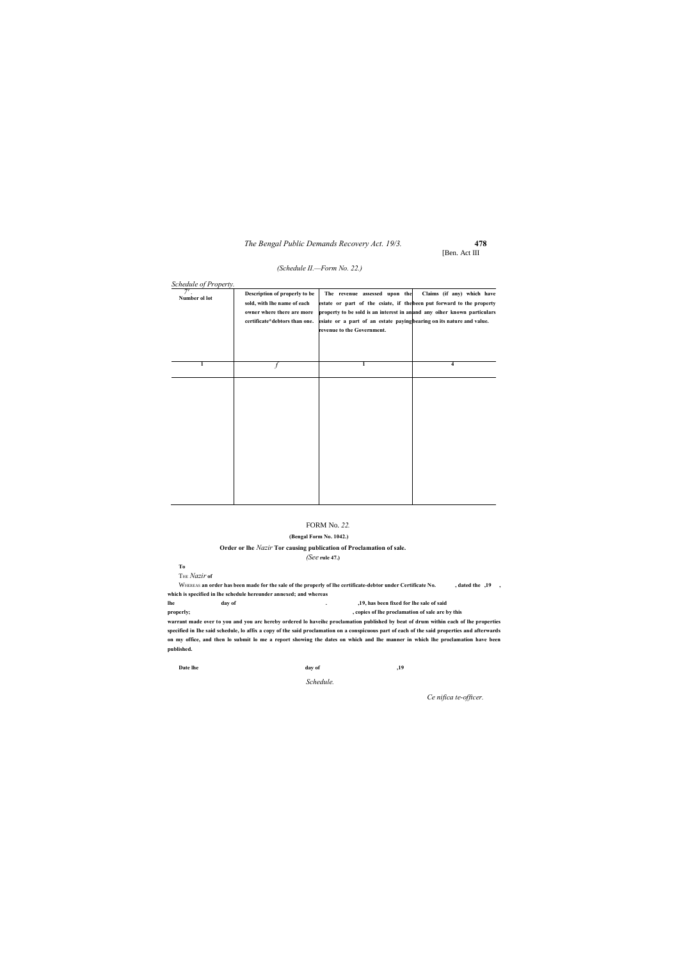### *The Bengal Public Demands Recovery Act. 19/3.* **478**

[Ben. Act III

#### *(Schedule II.—Form No. 22.)*

#### FORM No. *22.*

#### **(Bengal Form No. 1042.)**

#### **Order or lhe** *Nazir* **Tor causing publication of Proclamation of sale.**

*(See* **rule 47.)**

**To**

THE *Nazir* **of**

WHEREAS **an order has been made for the sale of the properly of lhe certificate-debtor under Certificate No. , dated the ,19 , which is specified in lhe schedule hereunder annexed; and whereas**

**lhe day of . ,19, has been fixed for lhe sale of said**

**properly; , copies of lhe proclamation of sale are by this**

**warrant made over to you and you arc hereby ordered lo haveihc proclamation published by beat of drum within each of lhe properties specified in Ihe said schedule, lo affix a copy of the said proclamation on a conspicuous part of each of the said properties and afterwards on my office, and then lo submit lo me a report showing the dates on which and lhe manner in which lhe proclamation have been published.**

| Date lhe<br>day of<br>.19 |  |
|---------------------------|--|
|---------------------------|--|

*Schedule.*

| Schedule of Property.<br>Number ol lot | Description of properly to be<br>sold, with lhe name of each<br>owner where there are more<br>certificate*debtors than one. | The revenue assessed upon the<br>estate or part of the csiate, if the been put forward to the property<br>property to be sold is an interest in an and any oiher known particulars<br>esiate or a part of an estate paying bearing on its nature and value.<br>revenue to the Government. | Claims (if any) which have |
|----------------------------------------|-----------------------------------------------------------------------------------------------------------------------------|-------------------------------------------------------------------------------------------------------------------------------------------------------------------------------------------------------------------------------------------------------------------------------------------|----------------------------|
| 1                                      |                                                                                                                             | 1                                                                                                                                                                                                                                                                                         | $\overline{\mathbf{4}}$    |
|                                        |                                                                                                                             |                                                                                                                                                                                                                                                                                           |                            |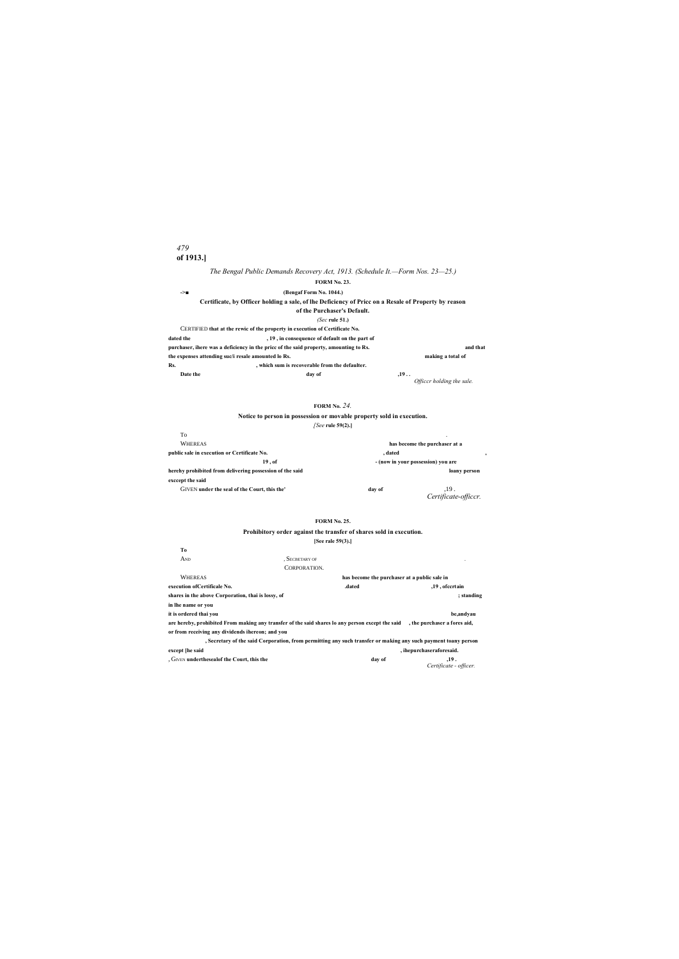# *479* **of 1913.]**

# *The Bengal Public Demands Recovery Act, 1913. (Schedule It.—Form Nos. 23—25.)*

# **FORM No. 23.**

| (Bengaf Form No. 1044.)<br>$\rightarrow$                                                             |                                  |
|------------------------------------------------------------------------------------------------------|----------------------------------|
| Certificate, by Officer holding a sale, of lhe Deficiency of Price on a Resale of Property by reason |                                  |
| of the Purchaser's Default.                                                                          |                                  |
| $(Sec)$ rule 51.)                                                                                    |                                  |
| CERTIFIED that at the rewic of the property in execution of Certificate No.                          |                                  |
| dated the<br>, 19, in consequence of default on the part of                                          |                                  |
| purchaser, ihere was a deficiency in the pricc of the said property, amounting to Rs.                | and that                         |
| the expenses attending suc/i resale amounted lo Rs.                                                  | making a total of                |
| Rs.<br>, which sum is recoverable from the defaulter.                                                |                                  |
| Date the<br>day of                                                                                   | .19<br>Officcr holding the sale. |

## **FORM No.** *24.*

## **Notice to person in possession or movable property sold in execution.** *[See* **rule 59(2).]**

| To                                                       |                                    |                              |  |  |
|----------------------------------------------------------|------------------------------------|------------------------------|--|--|
| <b>WHEREAS</b>                                           | has become the purchaser at a      |                              |  |  |
| public sale in execution or Certificate No.              | . dated                            |                              |  |  |
| 19.0f                                                    | - (now in your possession) you are |                              |  |  |
| herehy prohibited from delivering possession of the said |                                    | loany person                 |  |  |
| exccept the said                                         |                                    |                              |  |  |
| GIVEN under the seal of the Court, this the'             | day of                             | .19.<br>Certificate-officcr. |  |  |

## **FORM No. 25.**

### **Prohibitory order against the transfer of shares sold in execution. [See rale 59(3).]**

|                                                                                                                               | 1966 Fait 37(3).1                                                                                              |                                |  |
|-------------------------------------------------------------------------------------------------------------------------------|----------------------------------------------------------------------------------------------------------------|--------------------------------|--|
| Тo                                                                                                                            |                                                                                                                |                                |  |
| And                                                                                                                           | . SECBETARY OF                                                                                                 |                                |  |
|                                                                                                                               | CORPORATION.                                                                                                   |                                |  |
| <b>WHEREAS</b>                                                                                                                | has become the purchaser at a public sale in                                                                   |                                |  |
| execution of Certificale No.                                                                                                  | .dated                                                                                                         | ,19, ofccrtain                 |  |
| shares in the above Corporation, thai is lossy, of                                                                            |                                                                                                                | ; standing                     |  |
| in lhe name or you                                                                                                            |                                                                                                                |                                |  |
| it is ordered thai you                                                                                                        |                                                                                                                | be,andvau                      |  |
| are hereby, prohibited From making any transfer of the said shares lo any person except the said , the purchaser a fores aid, |                                                                                                                |                                |  |
| or from receiving any dividends ihereon; and you                                                                              |                                                                                                                |                                |  |
|                                                                                                                               | , Secretary of the said Corporation, from permitting any such transfer or making any such payment toany person |                                |  |
| except [he said                                                                                                               |                                                                                                                | , ihepurchaseraforesaid.       |  |
| , GIVEN undertheseal of the Court, this the                                                                                   | day of                                                                                                         | .19.<br>Certificate - officer. |  |
|                                                                                                                               |                                                                                                                |                                |  |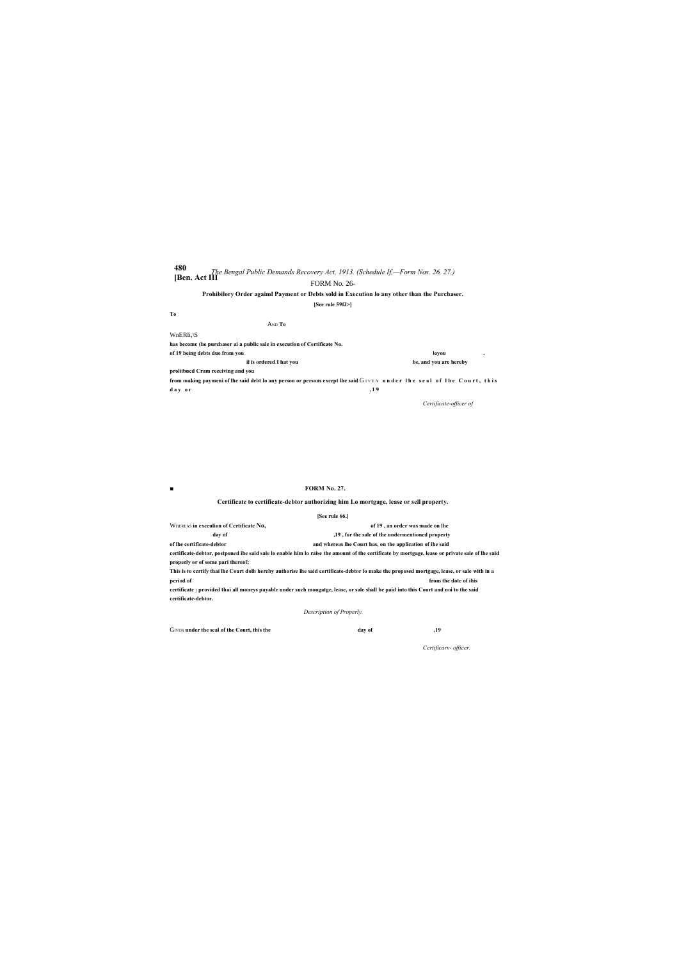# **480 [Ben. Act III***The Bengal Public Demands Recovery Act, 1913. (Schedule If,—Form Nos. 26, 27.)* FORM No. 26-

# **Prohibilory Order agaiml Payment or Debts sold in Execution lo any other than the Purchaser.**

| [See rule 59fJ>]                                                                                                      |                        |   |  |
|-----------------------------------------------------------------------------------------------------------------------|------------------------|---|--|
| T <sub>0</sub>                                                                                                        |                        |   |  |
| And <b>To</b>                                                                                                         |                        |   |  |
| $WnERli, \S$                                                                                                          |                        |   |  |
| has become (he purchaser ai a public sale in execution of Certificate No.                                             |                        |   |  |
| of 19 being debts due from you                                                                                        | lovou                  | ٠ |  |
| il is ordered I hat you                                                                                               | be, and you are hereby |   |  |
| proliibned Cram receiving and you                                                                                     |                        |   |  |
| from making paymeni of the said debt to any person or persons except the said GIVEN under the seal of the Court, this |                        |   |  |

d a y or  $, 19$ 

*Certificate-officer of*

■ **FORM** No. 27.

## **Certificate to certificate-debtor authorizing him Lo mortgage, lease or sell property.**

|                                         | [See rule 66.]                                                                                                                                  |
|-----------------------------------------|-------------------------------------------------------------------------------------------------------------------------------------------------|
| WHEREAS in exceulion of Certificate No. | of 19, an order was made on lhe                                                                                                                 |
| day of                                  | ,19, for the sale of the undermentioned property                                                                                                |
| of lhe certificate-debtor               | and whereas lhe Court has, on the application of ihe said                                                                                       |
|                                         | certificate-debtor, postponed ihe said sale lo enable him lo raise the amount of the certificate by mortgage, lease or private sale of lhe said |
| properly or of some pari thereof;       |                                                                                                                                                 |
|                                         | This is to ccrtify thai lhe Court dolh hereby authorise lhe said certificate-debtor lo make the proposed mortgage, lease, or sale with in a     |
| period of                               | from the dote of ihis                                                                                                                           |
|                                         | certificate : provided thai all moneys payable under such mongatge, lease, or sale shall be paid into this Court and noi to the said            |
| certificate-debtor.                     |                                                                                                                                                 |
|                                         |                                                                                                                                                 |

*Description of Properly.*

GIVEN under the seal of the Court, this the **day of**  $\frac{19}{2}$ 

*Certificarv- officer.*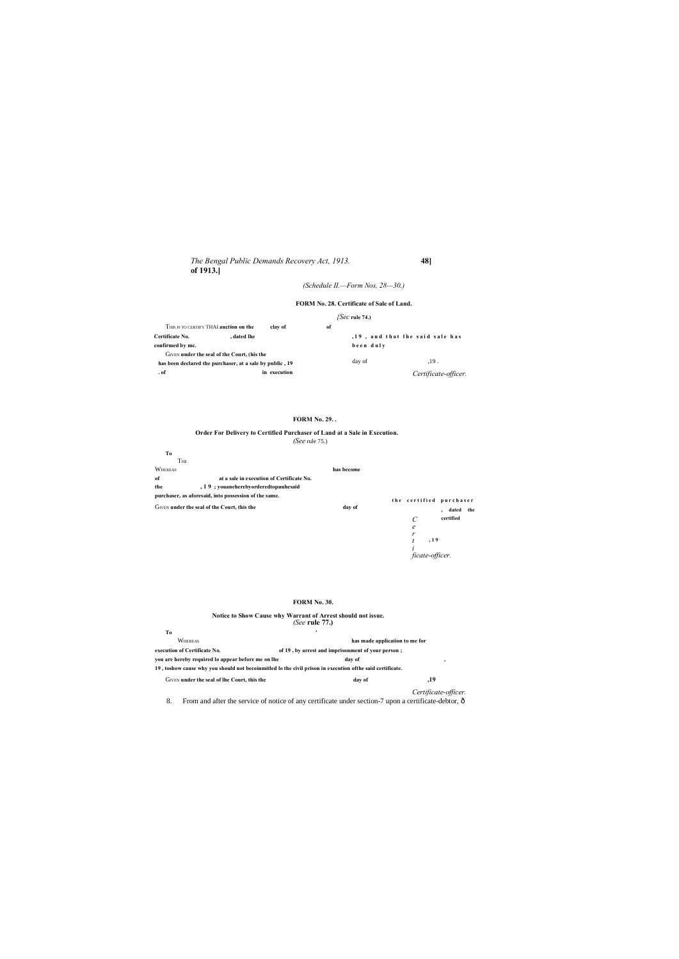# *(Schedule II.—Form Nos, 28—30.)*

# **FORM No. 28. Certificate of Sale of Land.**

## *{Sec* **rule 74.)**

|                        | THIS IS TO CERTIFY THAI auction on the                   | clav of      | of        |                                 |                      |  |
|------------------------|----------------------------------------------------------|--------------|-----------|---------------------------------|----------------------|--|
| <b>Certificate No.</b> | dated lhe.                                               |              |           | .19, and that lhe said sale has |                      |  |
| confirmed by mc.       |                                                          |              | been duly |                                 |                      |  |
|                        | GIVEN under the seal of the Court, (his the              |              |           |                                 |                      |  |
|                        | has been declared the purchaser, at a sale by public, 19 |              |           | day of                          | .19.                 |  |
| . of                   |                                                          | in execution |           |                                 | Certificate-officer. |  |

### **t h e c e r t i f i e d p u r c h a s e r , dated the certified , 1 9 Order For Delivery to Certified Purchaser of Land at a Sale in Execution.** *(See* rule 75.) **To** THE WHEREAS **has become of at a sale in execution of Certificate No. the , 1 9 ; youaneherebyorderedtopuuhesaid purchaser, as aforesaid, into possession of the same.** GIVEN **under the seal of the Court, this the day of** *C e r t i ficate-officer.*

# **FORM No. 29. .**

## **FORM No. 30.**

| Notice to Show Cause why Warrant of Arrest should not issue.                                                       | (See rule $77$ .)              |                      |  |
|--------------------------------------------------------------------------------------------------------------------|--------------------------------|----------------------|--|
| Tо                                                                                                                 |                                |                      |  |
| <b>WHEREAS</b>                                                                                                     | has made application to me for |                      |  |
| execution of Certificate No.<br>of 19, by arrest and imprisonment of your person;                                  |                                |                      |  |
| you are hereby required to appear before me on the                                                                 | day of                         | ,                    |  |
| 19, toshow cause why you should not becoinmitled lo the civil prison in execution of the said certificate.         |                                |                      |  |
| GIVEN under the seal of lhe Court, this the                                                                        | day of                         | ,19                  |  |
|                                                                                                                    |                                | Certificate-officer. |  |
| From and after the service of notice of any certificate under section-7 upon a certificate-debtor, $\hat{o}$<br>8. |                                |                      |  |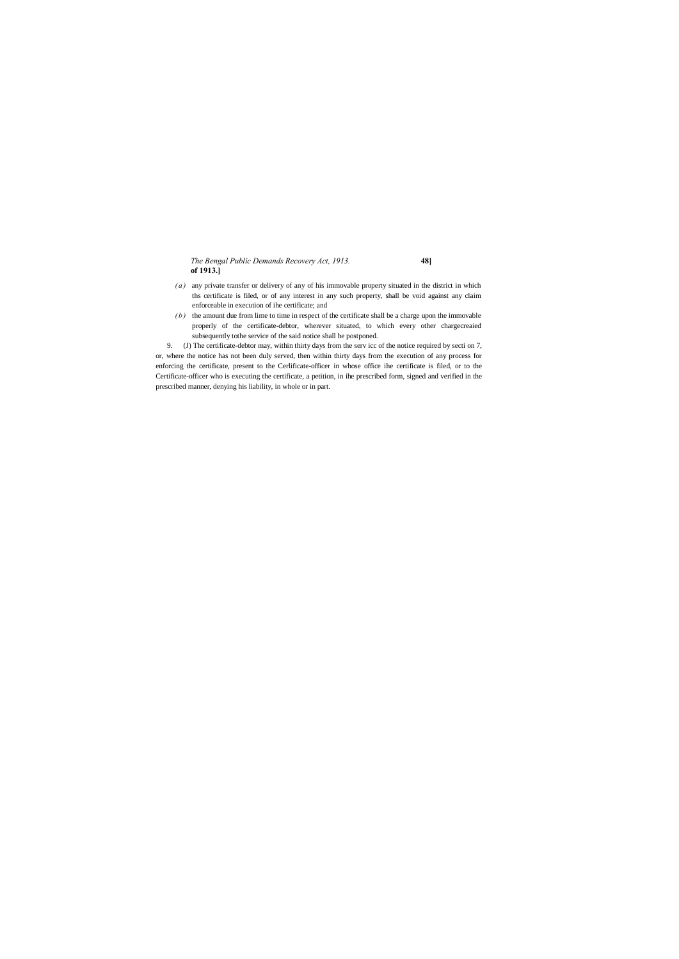- *( a )* any private transfer or delivery of any of his immovable property situated in the district in which ths certificate is filed, or of any interest in any such property, shall be void against any claim enforceable in execution of ihe certificate; and
- *( b )* the amount due from lime to time in respect of the certificate shall be a charge upon the immovable properly of the certificate-debtor, wherever situated, to which every other chargecreaied subsequently tothe service of the said notice shall be postponed.

9. (J) The certificate-debtor may, within thirty days from the serv icc of the notice required by secti on 7, or, where the notice has not been duly served, then within thirty days from the execution of any process for enforcing the certificate, present to the Cerlificate-officer in whose office ihe certificate is filed, or to the Certificate-officer who is executing the certificate, a petition, in ihe prescribed form, signed and verified in the prescribed manner, denying his liability, in whole or in part.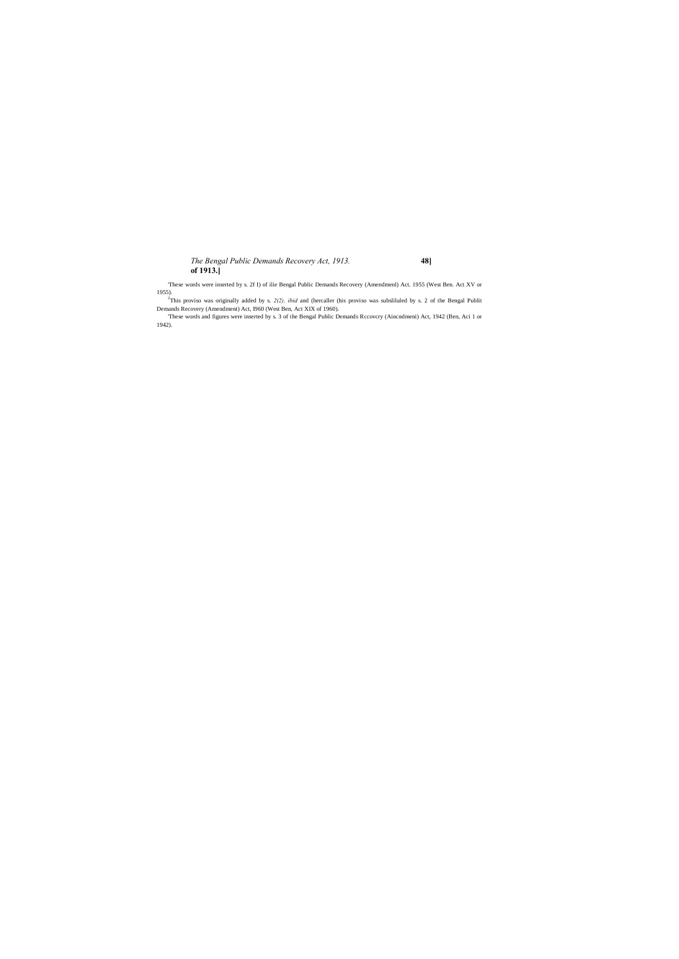'These words were inserted by s. 2f I) of ilie Bengal Public Demands Recovery (Amendmenl) Act. 1955 (West Ben. Act XV or

1955). 2 This proviso was originally added by s. *2(2), ibid* and (hercaller (his proviso was subsliluled by s. 2 of the Bengal Publit Demands Recovery (Amendment) Act, I960 (West Ben, Act XIX of 1960).

'These words and figures were inserted by s. 3 of the Bengal Public Demands Rccovcry (Aincndmeni) Act, 1942 (Ben, Aci 1 or 1942).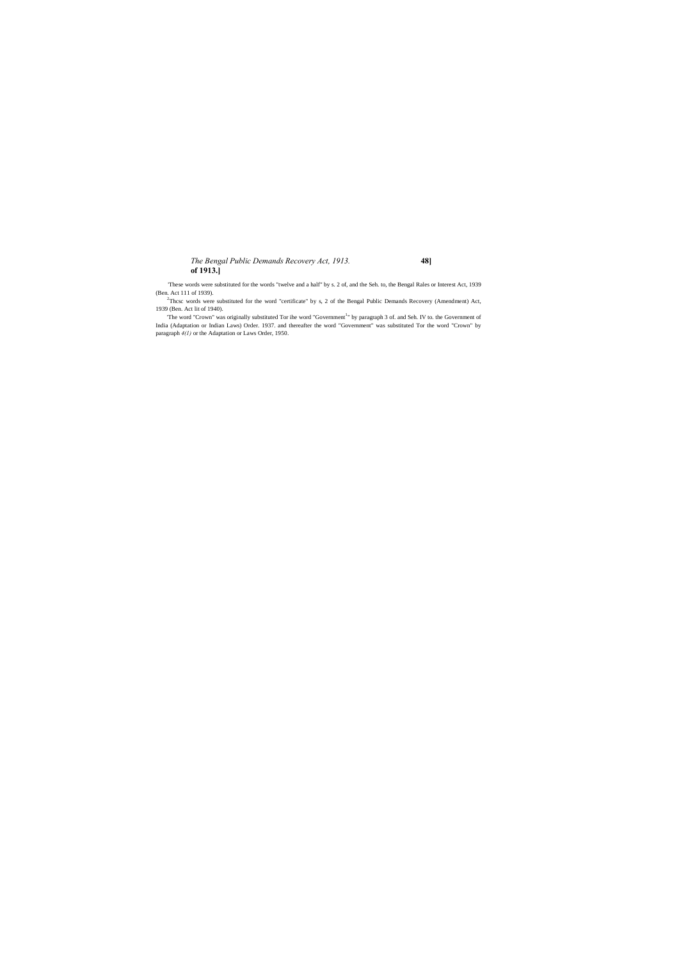'These words were substituted for the words "twelve and a half" by s. 2 of, and the Seh. to, the Bengal Rales or Interest Act, 1939 (Ben. Act 111 of 1939).

<sup>2</sup>Thcsc words were substituted for the word "certificate" by s, 2 of the Bengal Public Demands Recovery (Amendment) Act, 1939 (Ben. Act lit of 1940).

The word "Crown" was originally substituted Tor ihe word "Government<sup>1</sup>" by paragraph 3 of. and Seh. IV to. the Government of India (Adaptation or Indian Laws) Order. 1937. and thereafter the word "Government" was substituted Tor the word "Crown" by paragraph *4(1)* or the Adaptation or Laws Order, 1950.